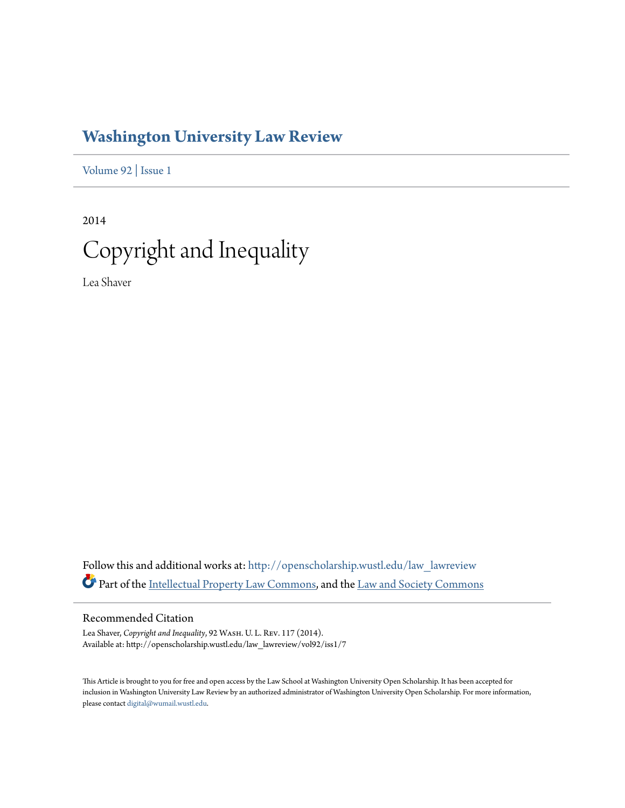# **[Washington University Law Review](http://openscholarship.wustl.edu/law_lawreview?utm_source=openscholarship.wustl.edu%2Flaw_lawreview%2Fvol92%2Fiss1%2F7&utm_medium=PDF&utm_campaign=PDFCoverPages)**

[Volume 92](http://openscholarship.wustl.edu/law_lawreview/vol92?utm_source=openscholarship.wustl.edu%2Flaw_lawreview%2Fvol92%2Fiss1%2F7&utm_medium=PDF&utm_campaign=PDFCoverPages) | [Issue 1](http://openscholarship.wustl.edu/law_lawreview/vol92/iss1?utm_source=openscholarship.wustl.edu%2Flaw_lawreview%2Fvol92%2Fiss1%2F7&utm_medium=PDF&utm_campaign=PDFCoverPages)

2014 Copyright and Inequality

Lea Shaver

Follow this and additional works at: [http://openscholarship.wustl.edu/law\\_lawreview](http://openscholarship.wustl.edu/law_lawreview?utm_source=openscholarship.wustl.edu%2Flaw_lawreview%2Fvol92%2Fiss1%2F7&utm_medium=PDF&utm_campaign=PDFCoverPages) Part of the [Intellectual Property Law Commons,](http://network.bepress.com/hgg/discipline/896?utm_source=openscholarship.wustl.edu%2Flaw_lawreview%2Fvol92%2Fiss1%2F7&utm_medium=PDF&utm_campaign=PDFCoverPages) and the [Law and Society Commons](http://network.bepress.com/hgg/discipline/853?utm_source=openscholarship.wustl.edu%2Flaw_lawreview%2Fvol92%2Fiss1%2F7&utm_medium=PDF&utm_campaign=PDFCoverPages)

# Recommended Citation

Lea Shaver, *Copyright and Inequality*, 92 Wash. U. L. Rev. 117 (2014). Available at: http://openscholarship.wustl.edu/law\_lawreview/vol92/iss1/7

This Article is brought to you for free and open access by the Law School at Washington University Open Scholarship. It has been accepted for inclusion in Washington University Law Review by an authorized administrator of Washington University Open Scholarship. For more information, please contact [digital@wumail.wustl.edu.](mailto:digital@wumail.wustl.edu)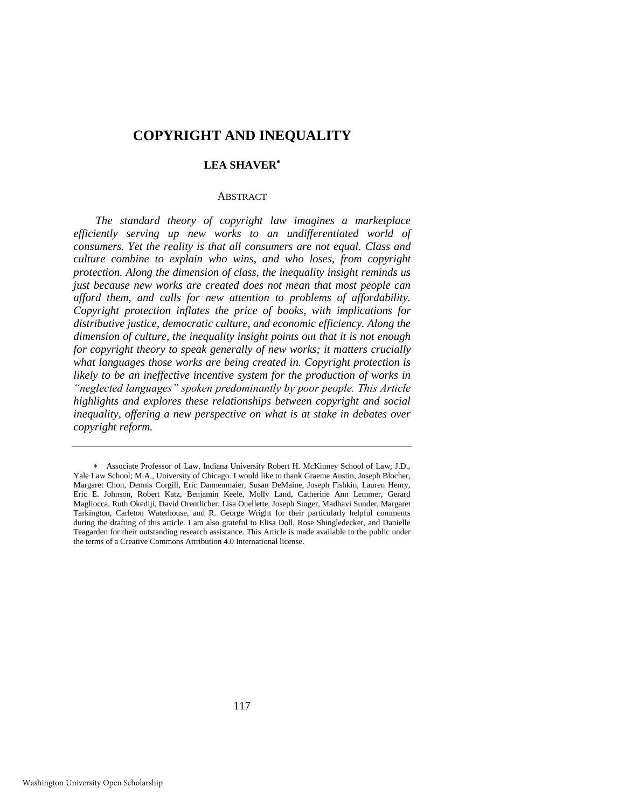# **COPYRIGHT AND INEQUALITY**

# **LEA SHAVER**

# ABSTRACT

*The standard theory of copyright law imagines a marketplace efficiently serving up new works to an undifferentiated world of consumers. Yet the reality is that all consumers are not equal. Class and culture combine to explain who wins, and who loses, from copyright protection. Along the dimension of class, the inequality insight reminds us just because new works are created does not mean that most people can afford them, and calls for new attention to problems of affordability. Copyright protection inflates the price of books, with implications for distributive justice, democratic culture, and economic efficiency. Along the dimension of culture, the inequality insight points out that it is not enough for copyright theory to speak generally of new works; it matters crucially what languages those works are being created in. Copyright protection is likely to be an ineffective incentive system for the production of works in "neglected languages" spoken predominantly by poor people. This Article highlights and explores these relationships between copyright and social inequality, offering a new perspective on what is at stake in debates over copyright reform.*

117

Associate Professor of Law, Indiana University Robert H. McKinney School of Law; J.D., Yale Law School; M.A., University of Chicago. I would like to thank Graeme Austin, Joseph Blocher, Margaret Chon, Dennis Corgill, Eric Dannenmaier, Susan DeMaine, Joseph Fishkin, Lauren Henry, Eric E. Johnson, Robert Katz, Benjamin Keele, Molly Land, Catherine Ann Lemmer, Gerard Magliocca, Ruth Okediji, David Orentlicher, Lisa Ouellette, Joseph Singer, Madhavi Sunder, Margaret Tarkington, Carleton Waterhouse, and R. George Wright for their particularly helpful comments during the drafting of this article. I am also grateful to Elisa Doll, Rose Shingledecker, and Danielle Teagarden for their outstanding research assistance. This Article is made available to the public under the terms of a Creative Commons Attribution 4.0 International license.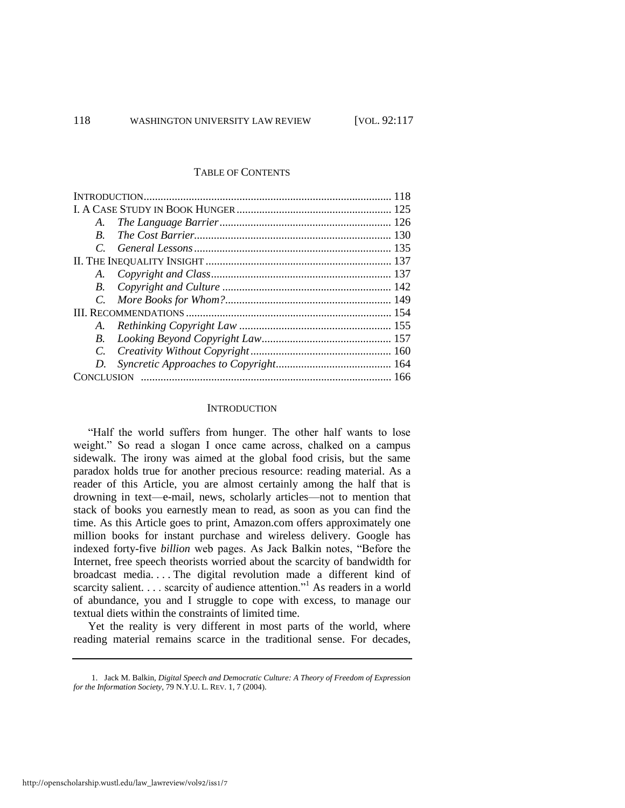#### TABLE OF CONTENTS

| A.          |  |  |
|-------------|--|--|
| $B_{\cdot}$ |  |  |
|             |  |  |
|             |  |  |
|             |  |  |
| B.          |  |  |
|             |  |  |
|             |  |  |
|             |  |  |
|             |  |  |
|             |  |  |
| D.          |  |  |
|             |  |  |

# **INTRODUCTION**

"Half the world suffers from hunger. The other half wants to lose weight." So read a slogan I once came across, chalked on a campus sidewalk. The irony was aimed at the global food crisis, but the same paradox holds true for another precious resource: reading material. As a reader of this Article, you are almost certainly among the half that is drowning in text—e-mail, news, scholarly articles—not to mention that stack of books you earnestly mean to read, as soon as you can find the time. As this Article goes to print, Amazon.com offers approximately one million books for instant purchase and wireless delivery. Google has indexed forty-five *billion* web pages. As Jack Balkin notes, "Before the Internet, free speech theorists worried about the scarcity of bandwidth for broadcast media. . . . The digital revolution made a different kind of scarcity salient. . . . scarcity of audience attention."<sup>1</sup> As readers in a world of abundance, you and I struggle to cope with excess, to manage our textual diets within the constraints of limited time.

Yet the reality is very different in most parts of the world, where reading material remains scarce in the traditional sense. For decades,

<sup>1.</sup> Jack M. Balkin, *Digital Speech and Democratic Culture: A Theory of Freedom of Expression for the Information Society*, 79 N.Y.U. L. REV. 1, 7 (2004).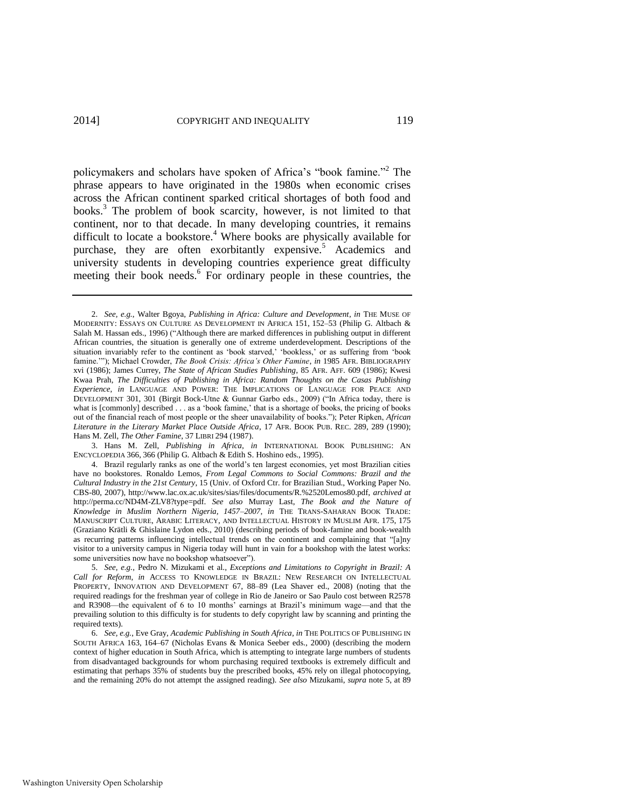<span id="page-3-1"></span>policymakers and scholars have spoken of Africa's "book famine."<sup>2</sup> The phrase appears to have originated in the 1980s when economic crises across the African continent sparked critical shortages of both food and books.<sup>3</sup> The problem of book scarcity, however, is not limited to that continent, nor to that decade. In many developing countries, it remains difficult to locate a bookstore.<sup>4</sup> Where books are physically available for purchase, they are often exorbitantly expensive.<sup>5</sup> Academics and university students in developing countries experience great difficulty meeting their book needs.<sup>6</sup> For ordinary people in these countries, the

3. Hans M. Zell, *Publishing in Africa*, *in* INTERNATIONAL BOOK PUBLISHING: AN ENCYCLOPEDIA 366, 366 (Philip G. Altbach & Edith S. Hoshino eds., 1995).

<span id="page-3-0"></span><sup>2.</sup> *See, e.g.*, Walter Bgoya, *Publishing in Africa: Culture and Development*, *in* THE MUSE OF MODERNITY: ESSAYS ON CULTURE AS DEVELOPMENT IN AFRICA 151, 152–53 (Philip G. Altbach & Salah M. Hassan eds., 1996) ("Although there are marked differences in publishing output in different African countries, the situation is generally one of extreme underdevelopment. Descriptions of the situation invariably refer to the continent as 'book starved,' 'bookless,' or as suffering from 'book famine.'"); Michael Crowder, *The Book Crisis: Africa's Other Famine*, *in* 1985 AFR. BIBLIOGRAPHY xvi (1986); James Currey, *The State of African Studies Publishing*, 85 AFR. AFF. 609 (1986); Kwesi Kwaa Prah, *The Difficulties of Publishing in Africa: Random Thoughts on the Casas Publishing Experience*, *in* LANGUAGE AND POWER: THE IMPLICATIONS OF LANGUAGE FOR PEACE AND DEVELOPMENT 301, 301 (Birgit Bock-Utne & Gunnar Garbo eds., 2009) ("In Africa today, there is what is [commonly] described . . . as a 'book famine,' that is a shortage of books, the pricing of books out of the financial reach of most people or the sheer unavailability of books."); Peter Ripken, *African Literature in the Literary Market Place Outside Africa*, 17 AFR. BOOK PUB. REC. 289, 289 (1990); Hans M. Zell, *The Other Famine*, 37 LIBRI 294 (1987).

<sup>4.</sup> Brazil regularly ranks as one of the world's ten largest economies, yet most Brazilian cities have no bookstores. Ronaldo Lemos, *From Legal Commons to Social Commons: Brazil and the Cultural Industry in the 21st Century*, 15 (Univ. of Oxford Ctr. for Brazilian Stud., Working Paper No. CBS-80, 2007), http://www.lac.ox.ac.uk/sites/sias/files/documents/R.%2520Lemos80.pdf, *archived at* http://perma.cc/ND4M-ZLV8?type=pdf. *See also* Murray Last, *The Book and the Nature of Knowledge in Muslim Northern Nigeria, 1457–2007*, *in* THE TRANS-SAHARAN BOOK TRADE: MANUSCRIPT CULTURE, ARABIC LITERACY, AND INTELLECTUAL HISTORY IN MUSLIM AFR. 175, 175 (Graziano Krätli & Ghislaine Lydon eds., 2010) (describing periods of book-famine and book-wealth as recurring patterns influencing intellectual trends on the continent and complaining that "[a]ny visitor to a university campus in Nigeria today will hunt in vain for a bookshop with the latest works: some universities now have no bookshop whatsoever").

<sup>5.</sup> *See, e.g.*, Pedro N. Mizukami et al., *Exceptions and Limitations to Copyright in Brazil: A Call for Reform*, *in* ACCESS TO KNOWLEDGE IN BRAZIL: NEW RESEARCH ON INTELLECTUAL PROPERTY, INNOVATION AND DEVELOPMENT 67, 88–89 (Lea Shaver ed., 2008) (noting that the required readings for the freshman year of college in Rio de Janeiro or Sao Paulo cost between R2578 and R3908—the equivalent of 6 to 10 months' earnings at Brazil's minimum wage—and that the prevailing solution to this difficulty is for students to defy copyright law by scanning and printing the required texts).

<sup>6.</sup> *See, e.g.*, Eve Gray, *Academic Publishing in South Africa*, *in* THE POLITICS OF PUBLISHING IN SOUTH AFRICA 163, 164–67 (Nicholas Evans & Monica Seeber eds., 2000) (describing the modern context of higher education in South Africa, which is attempting to integrate large numbers of students from disadvantaged backgrounds for whom purchasing required textbooks is extremely difficult and estimating that perhaps 35% of students buy the prescribed books, 45% rely on illegal photocopying, and the remaining 20% do not attempt the assigned reading). *See also* Mizukami, *supra* not[e 5,](#page-3-0) at 89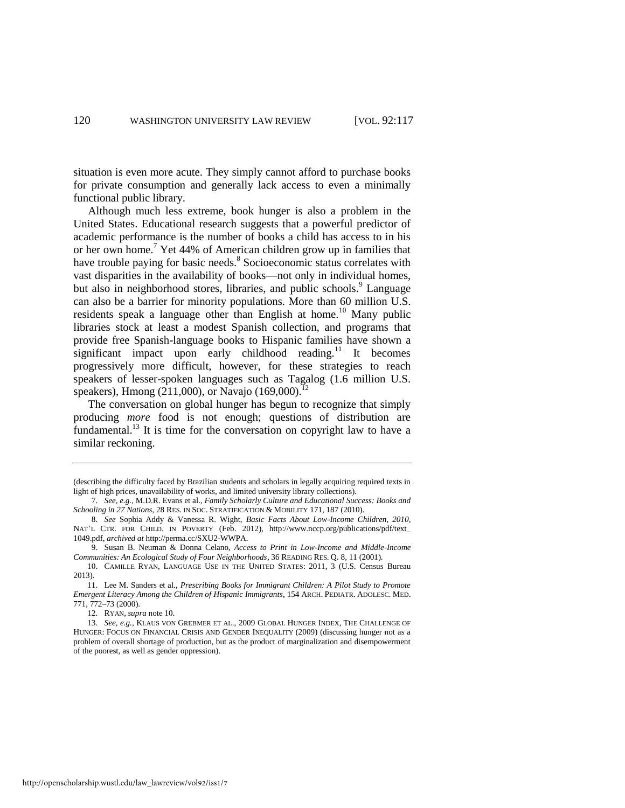situation is even more acute. They simply cannot afford to purchase books for private consumption and generally lack access to even a minimally functional public library.

Although much less extreme, book hunger is also a problem in the United States. Educational research suggests that a powerful predictor of academic performance is the number of books a child has access to in his or her own home.<sup>7</sup> Yet 44% of American children grow up in families that have trouble paying for basic needs.<sup>8</sup> Socioeconomic status correlates with vast disparities in the availability of books—not only in individual homes, but also in neighborhood stores, libraries, and public schools.<sup>9</sup> Language can also be a barrier for minority populations. More than 60 million U.S. residents speak a language other than English at home.<sup>10</sup> Many public libraries stock at least a modest Spanish collection, and programs that provide free Spanish-language books to Hispanic families have shown a significant impact upon early childhood reading.<sup>11</sup> It becomes progressively more difficult, however, for these strategies to reach speakers of lesser-spoken languages such as Tagalog (1.6 million U.S. speakers), Hmong (211,000), or Navajo (169,000).<sup>12</sup>

<span id="page-4-1"></span><span id="page-4-0"></span>The conversation on global hunger has begun to recognize that simply producing *more* food is not enough; questions of distribution are fundamental.<sup>13</sup> It is time for the conversation on copyright law to have a similar reckoning.

<sup>(</sup>describing the difficulty faced by Brazilian students and scholars in legally acquiring required texts in light of high prices, unavailability of works, and limited university library collections).

<sup>7.</sup> *See, e.g.*, M.D.R. Evans et al., *Family Scholarly Culture and Educational Success: Books and Schooling in 27 Nations*, 28 RES. IN SOC. STRATIFICATION & MOBILITY 171, 187 (2010).

<sup>8.</sup> *See* Sophia Addy & Vanessa R. Wight, *Basic Facts About Low-Income Children, 2010*, NAT'L CTR. FOR CHILD. IN POVERTY (Feb. 2012), http://www.nccp.org/publications/pdf/text\_ 1049.pdf, *archived at* http://perma.cc/SXU2-WWPA.

<sup>9.</sup> Susan B. Neuman & Donna Celano, *Access to Print in Low-Income and Middle-Income Communities: An Ecological Study of Four Neighborhoods*, 36 READING RES. Q. 8, 11 (2001)*.*

<sup>10.</sup> CAMILLE RYAN, LANGUAGE USE IN THE UNITED STATES: 2011, 3 (U.S. Census Bureau 2013).

<sup>11.</sup> Lee M. Sanders et al., *Prescribing Books for Immigrant Children: A Pilot Study to Promote Emergent Literacy Among the Children of Hispanic Immigrants*, 154 ARCH. PEDIATR. ADOLESC. MED. 771, 772–73 (2000).

<sup>12.</sup> RYAN, *supra* not[e 10.](#page-4-0) 

<sup>13.</sup> *See, e.g.*, KLAUS VON GREBMER ET AL., 2009 GLOBAL HUNGER INDEX, THE CHALLENGE OF HUNGER: FOCUS ON FINANCIAL CRISIS AND GENDER INEQUALITY (2009) (discussing hunger not as a problem of overall shortage of production, but as the product of marginalization and disempowerment of the poorest, as well as gender oppression).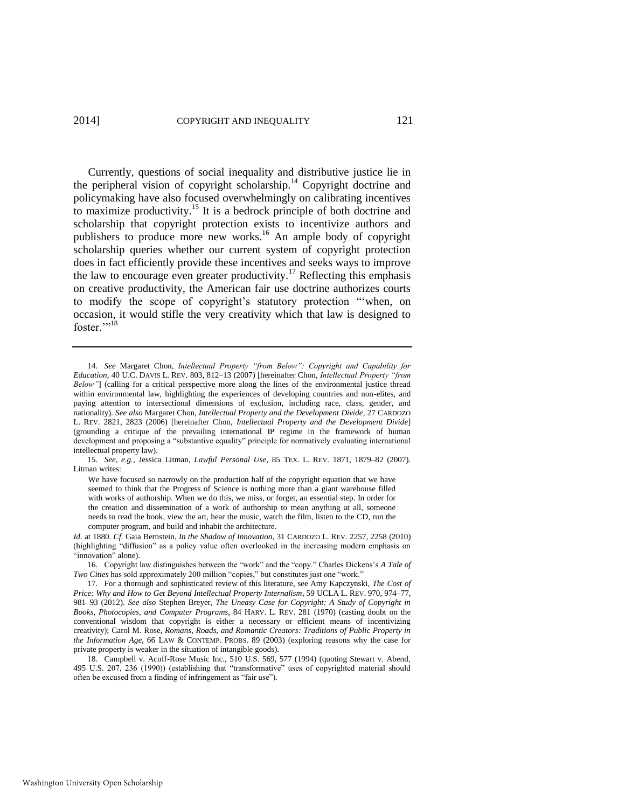<span id="page-5-0"></span>Currently, questions of social inequality and distributive justice lie in the peripheral vision of copyright scholarship.<sup>14</sup> Copyright doctrine and policymaking have also focused overwhelmingly on calibrating incentives to maximize productivity.<sup>15</sup> It is a bedrock principle of both doctrine and scholarship that copyright protection exists to incentivize authors and publishers to produce more new works.<sup>16</sup> An ample body of copyright scholarship queries whether our current system of copyright protection does in fact efficiently provide these incentives and seeks ways to improve the law to encourage even greater productivity.<sup>17</sup> Reflecting this emphasis on creative productivity, the American fair use doctrine authorizes courts to modify the scope of copyright's statutory protection "'when, on occasion, it would stifle the very creativity which that law is designed to foster."<sup>18</sup>

15. *See, e.g.*, Jessica Litman, *Lawful Personal Use*, 85 TEX. L. REV. 1871, 1879–82 (2007). Litman writes:

We have focused so narrowly on the production half of the copyright equation that we have seemed to think that the Progress of Science is nothing more than a giant warehouse filled with works of authorship. When we do this, we miss, or forget, an essential step. In order for the creation and dissemination of a work of authorship to mean anything at all, someone needs to read the book, view the art, hear the music, watch the film, listen to the CD, run the computer program, and build and inhabit the architecture.

*Id.* at 1880. *Cf.* Gaia Bernstein, *In the Shadow of Innovation*, 31 CARDOZO L. REV. 2257, 2258 (2010) (highlighting "diffusion" as a policy value often overlooked in the increasing modern emphasis on "innovation" alone).

16. Copyright law distinguishes between the "work" and the "copy." Charles Dickens's *A Tale of Two Cities* has sold approximately 200 million "copies," but constitutes just one "work."

<span id="page-5-1"></span><sup>14.</sup> *See* Margaret Chon, *Intellectual Property "from Below": Copyright and Capability for Education*, 40 U.C. DAVIS L. REV. 803, 812–13 (2007) [hereinafter Chon, *Intellectual Property "from Below"*] (calling for a critical perspective more along the lines of the environmental justice thread within environmental law, highlighting the experiences of developing countries and non-elites, and paying attention to intersectional dimensions of exclusion, including race, class, gender, and nationality). *See also* Margaret Chon, *Intellectual Property and the Development Divide*, 27 CARDOZO L. REV. 2821, 2823 (2006) [hereinafter Chon, *Intellectual Property and the Development Divide*] (grounding a critique of the prevailing international IP regime in the framework of human development and proposing a "substantive equality" principle for normatively evaluating international intellectual property law).

<sup>17.</sup> For a thorough and sophisticated review of this literature, see Amy Kapczynski, *The Cost of Price: Why and How to Get Beyond Intellectual Property Internalism*, 59 UCLA L. REV. 970, 974–77, 981–93 (2012). *See also* Stephen Breyer, *The Uneasy Case for Copyright: A Study of Copyright in Books, Photocopies, and Computer Programs*, 84 HARV. L. REV. 281 (1970) (casting doubt on the conventional wisdom that copyright is either a necessary or efficient means of incentivizing creativity); Carol M. Rose, *Romans, Roads, and Romantic Creators: Traditions of Public Property in the Information Age*, 66 LAW & CONTEMP. PROBS. 89 (2003) (exploring reasons why the case for private property is weaker in the situation of intangible goods).

<sup>18.</sup> Campbell v. Acuff-Rose Music Inc., 510 U.S. 569, 577 (1994) (quoting Stewart v. Abend, 495 U.S. 207, 236 (1990)) (establishing that "transformative" uses of copyrighted material should often be excused from a finding of infringement as "fair use").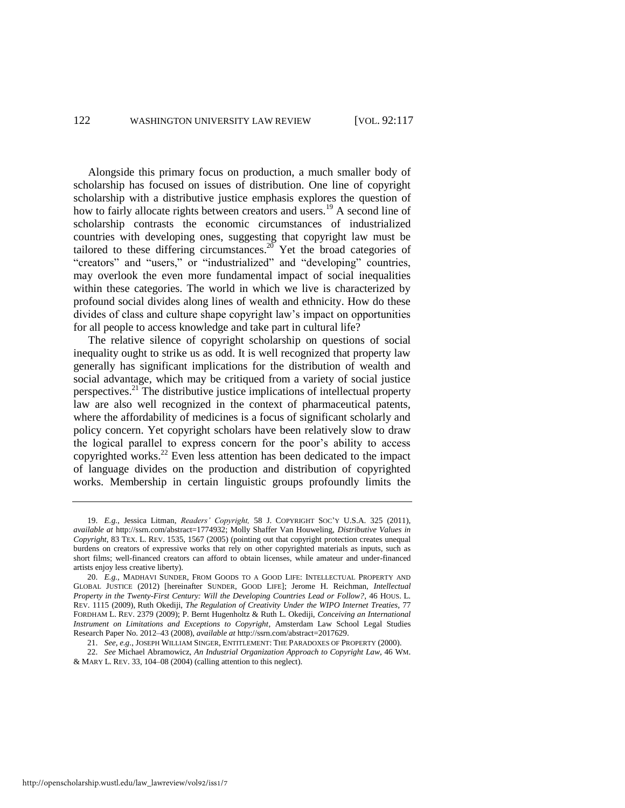<span id="page-6-0"></span>Alongside this primary focus on production, a much smaller body of scholarship has focused on issues of distribution. One line of copyright scholarship with a distributive justice emphasis explores the question of how to fairly allocate rights between creators and users.<sup>19</sup> A second line of scholarship contrasts the economic circumstances of industrialized countries with developing ones, suggesting that copyright law must be tailored to these differing circumstances.<sup>20</sup> Yet the broad categories of "creators" and "users," or "industrialized" and "developing" countries, may overlook the even more fundamental impact of social inequalities within these categories. The world in which we live is characterized by profound social divides along lines of wealth and ethnicity. How do these divides of class and culture shape copyright law's impact on opportunities for all people to access knowledge and take part in cultural life?

The relative silence of copyright scholarship on questions of social inequality ought to strike us as odd. It is well recognized that property law generally has significant implications for the distribution of wealth and social advantage, which may be critiqued from a variety of social justice perspectives.<sup>21</sup> The distributive justice implications of intellectual property law are also well recognized in the context of pharmaceutical patents, where the affordability of medicines is a focus of significant scholarly and policy concern. Yet copyright scholars have been relatively slow to draw the logical parallel to express concern for the poor's ability to access copyrighted works.<sup>22</sup> Even less attention has been dedicated to the impact of language divides on the production and distribution of copyrighted works. Membership in certain linguistic groups profoundly limits the

<sup>19.</sup> *E.g.*, Jessica Litman, *Readers' Copyright,* 58 J. COPYRIGHT SOC'Y U.S.A. 325 (2011), *available at* http://ssrn.com/abstract=1774932; Molly Shaffer Van Houweling, *Distributive Values in Copyright*, 83 TEX. L. REV. 1535, 1567 (2005) (pointing out that copyright protection creates unequal burdens on creators of expressive works that rely on other copyrighted materials as inputs, such as short films; well-financed creators can afford to obtain licenses, while amateur and under-financed artists enjoy less creative liberty).

<sup>20.</sup> *E.g.*, MADHAVI SUNDER, FROM GOODS TO A GOOD LIFE: INTELLECTUAL PROPERTY AND GLOBAL JUSTICE (2012) [hereinafter SUNDER, GOOD LIFE]; Jerome H. Reichman, *Intellectual Property in the Twenty-First Century: Will the Developing Countries Lead or Follow?*, 46 HOUS. L. REV. 1115 (2009), Ruth Okediji, *The Regulation of Creativity Under the WIPO Internet Treaties,* 77 FORDHAM L. REV. 2379 (2009); P. Bernt Hugenholtz & Ruth L. Okediji, *Conceiving an International Instrument on Limitations and Exceptions to Copyright*, Amsterdam Law School Legal Studies Research Paper No. 2012–43 (2008), *available at* http://ssrn.com/abstract=2017629.

<sup>21.</sup> *See, e.g*., JOSEPH WILLIAM SINGER, ENTITLEMENT: THE PARADOXES OF PROPERTY (2000).

<sup>22.</sup> *See* Michael Abramowicz, *An Industrial Organization Approach to Copyright Law*, 46 WM. & MARY L. REV. 33, 104–08 (2004) (calling attention to this neglect).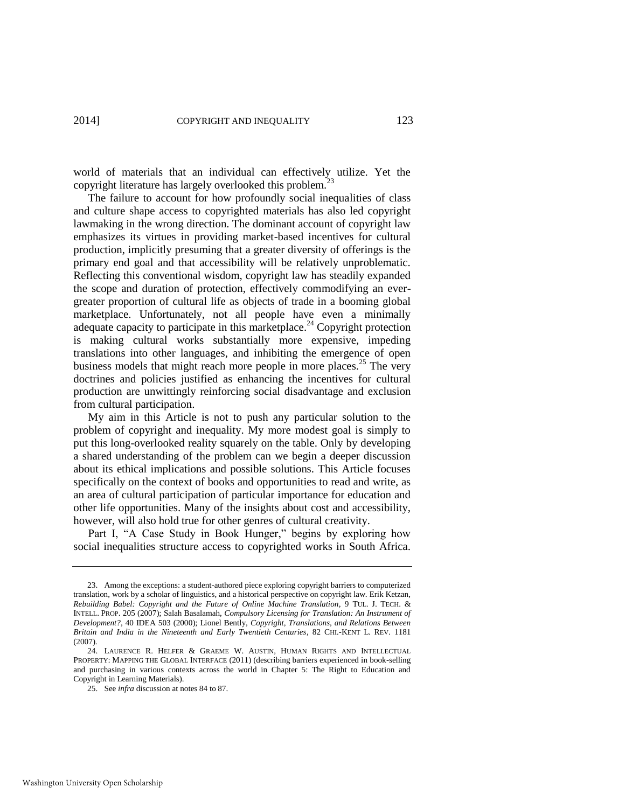world of materials that an individual can effectively utilize. Yet the copyright literature has largely overlooked this problem.<sup>2</sup>

The failure to account for how profoundly social inequalities of class and culture shape access to copyrighted materials has also led copyright lawmaking in the wrong direction. The dominant account of copyright law emphasizes its virtues in providing market-based incentives for cultural production, implicitly presuming that a greater diversity of offerings is the primary end goal and that accessibility will be relatively unproblematic. Reflecting this conventional wisdom, copyright law has steadily expanded the scope and duration of protection, effectively commodifying an evergreater proportion of cultural life as objects of trade in a booming global marketplace. Unfortunately, not all people have even a minimally adequate capacity to participate in this marketplace.<sup>24</sup> Copyright protection is making cultural works substantially more expensive, impeding translations into other languages, and inhibiting the emergence of open business models that might reach more people in more places.<sup>25</sup> The very doctrines and policies justified as enhancing the incentives for cultural production are unwittingly reinforcing social disadvantage and exclusion from cultural participation.

My aim in this Article is not to push any particular solution to the problem of copyright and inequality. My more modest goal is simply to put this long-overlooked reality squarely on the table. Only by developing a shared understanding of the problem can we begin a deeper discussion about its ethical implications and possible solutions. This Article focuses specifically on the context of books and opportunities to read and write, as an area of cultural participation of particular importance for education and other life opportunities. Many of the insights about cost and accessibility, however, will also hold true for other genres of cultural creativity.

Part I, "A Case Study in Book Hunger," begins by exploring how social inequalities structure access to copyrighted works in South Africa.

<sup>23.</sup> Among the exceptions: a student-authored piece exploring copyright barriers to computerized translation, work by a scholar of linguistics, and a historical perspective on copyright law. Erik Ketzan, *Rebuilding Babel: Copyright and the Future of Online Machine Translation*, 9 TUL. J. TECH. & INTELL. PROP. 205 (2007); Salah Basalamah, *Compulsory Licensing for Translation: An Instrument of Development?*, 40 IDEA 503 (2000); Lionel Bently, *Copyright, Translations, and Relations Between Britain and India in the Nineteenth and Early Twentieth Centuries*, 82 CHI.-KENT L. REV. 1181 (2007).

<sup>24.</sup> LAURENCE R. HELFER & GRAEME W. AUSTIN, HUMAN RIGHTS AND INTELLECTUAL PROPERTY: MAPPING THE GLOBAL INTERFACE (2011) (describing barriers experienced in book-selling and purchasing in various contexts across the world in Chapter 5: The Right to Education and Copyright in Learning Materials).

<sup>25.</sup> See *infra* discussion at notes 84 to 87.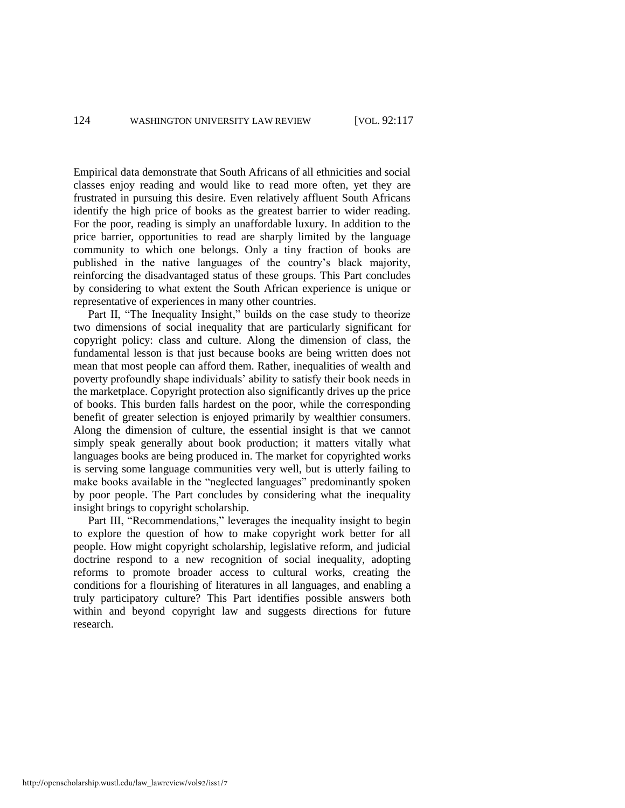Empirical data demonstrate that South Africans of all ethnicities and social classes enjoy reading and would like to read more often, yet they are frustrated in pursuing this desire. Even relatively affluent South Africans identify the high price of books as the greatest barrier to wider reading. For the poor, reading is simply an unaffordable luxury. In addition to the price barrier, opportunities to read are sharply limited by the language community to which one belongs. Only a tiny fraction of books are published in the native languages of the country's black majority, reinforcing the disadvantaged status of these groups. This Part concludes by considering to what extent the South African experience is unique or representative of experiences in many other countries.

Part II, "The Inequality Insight," builds on the case study to theorize two dimensions of social inequality that are particularly significant for copyright policy: class and culture. Along the dimension of class, the fundamental lesson is that just because books are being written does not mean that most people can afford them. Rather, inequalities of wealth and poverty profoundly shape individuals' ability to satisfy their book needs in the marketplace. Copyright protection also significantly drives up the price of books. This burden falls hardest on the poor, while the corresponding benefit of greater selection is enjoyed primarily by wealthier consumers. Along the dimension of culture, the essential insight is that we cannot simply speak generally about book production; it matters vitally what languages books are being produced in. The market for copyrighted works is serving some language communities very well, but is utterly failing to make books available in the "neglected languages" predominantly spoken by poor people. The Part concludes by considering what the inequality insight brings to copyright scholarship.

Part III, "Recommendations," leverages the inequality insight to begin to explore the question of how to make copyright work better for all people. How might copyright scholarship, legislative reform, and judicial doctrine respond to a new recognition of social inequality, adopting reforms to promote broader access to cultural works, creating the conditions for a flourishing of literatures in all languages, and enabling a truly participatory culture? This Part identifies possible answers both within and beyond copyright law and suggests directions for future research.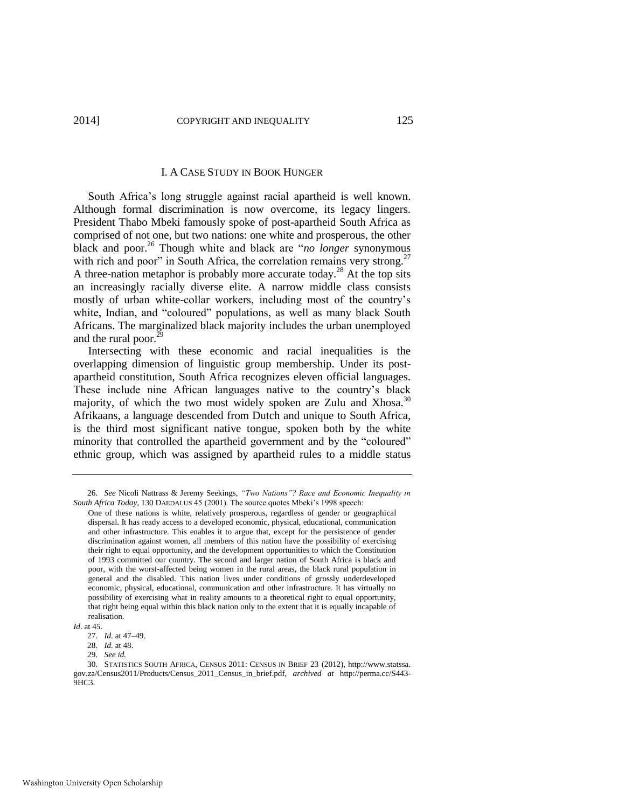#### I. A CASE STUDY IN BOOK HUNGER

South Africa's long struggle against racial apartheid is well known. Although formal discrimination is now overcome, its legacy lingers. President Thabo Mbeki famously spoke of post-apartheid South Africa as comprised of not one, but two nations: one white and prosperous, the other black and poor.<sup>26</sup> Though white and black are "*no longer* synonymous with rich and poor" in South Africa, the correlation remains very strong.<sup>27</sup> A three-nation metaphor is probably more accurate today.<sup>28</sup> At the top sits an increasingly racially diverse elite. A narrow middle class consists mostly of urban white-collar workers, including most of the country's white, Indian, and "coloured" populations, as well as many black South Africans. The marginalized black majority includes the urban unemployed and the rural poor.<sup>29</sup>

Intersecting with these economic and racial inequalities is the overlapping dimension of linguistic group membership. Under its postapartheid constitution, South Africa recognizes eleven official languages. These include nine African languages native to the country's black majority, of which the two most widely spoken are Zulu and Xhosa. $30$ Afrikaans, a language descended from Dutch and unique to South Africa, is the third most significant native tongue, spoken both by the white minority that controlled the apartheid government and by the "coloured" ethnic group, which was assigned by apartheid rules to a middle status

*Id*. at 45.

<sup>26.</sup> *See* Nicoli Nattrass & Jeremy Seekings, *"Two Nations"? Race and Economic Inequality in South Africa Today*, 130 DAEDALUS 45 (2001). The source quotes Mbeki's 1998 speech:

One of these nations is white, relatively prosperous, regardless of gender or geographical dispersal. It has ready access to a developed economic, physical, educational, communication and other infrastructure. This enables it to argue that, except for the persistence of gender discrimination against women, all members of this nation have the possibility of exercising their right to equal opportunity, and the development opportunities to which the Constitution of 1993 committed our country. The second and larger nation of South Africa is black and poor, with the worst-affected being women in the rural areas, the black rural population in general and the disabled. This nation lives under conditions of grossly underdeveloped economic, physical, educational, communication and other infrastructure. It has virtually no possibility of exercising what in reality amounts to a theoretical right to equal opportunity, that right being equal within this black nation only to the extent that it is equally incapable of realisation.

<sup>27.</sup> *Id.* at 47–49.

<sup>28.</sup> *Id.* at 48. 29. *See id.*

<sup>30.</sup> STATISTICS SOUTH AFRICA, CENSUS 2011: CENSUS IN BRIEF 23 (2012), http://www.statssa. gov.za/Census2011/Products/Census\_2011\_Census\_in\_brief.pdf, *archived at* http://perma.cc/S443- 9HC3.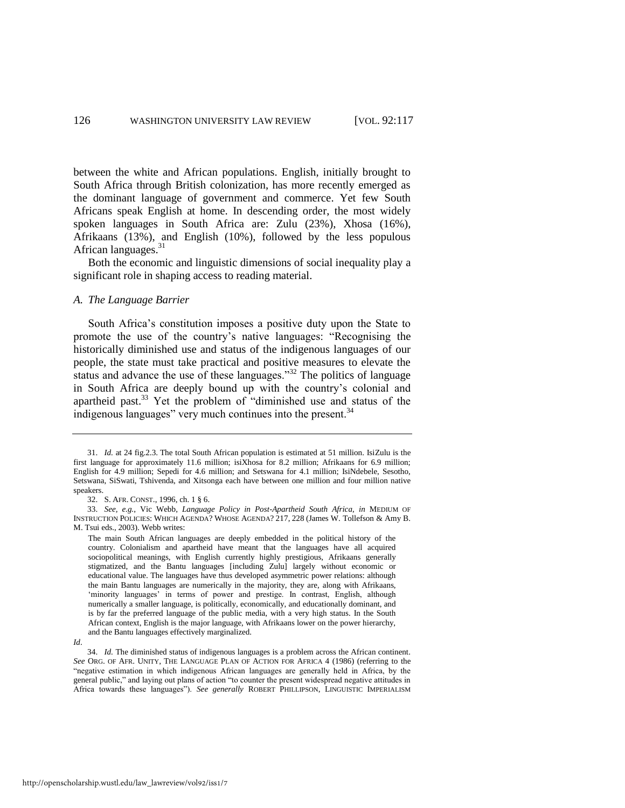between the white and African populations. English, initially brought to South Africa through British colonization, has more recently emerged as the dominant language of government and commerce. Yet few South Africans speak English at home. In descending order, the most widely spoken languages in South Africa are: Zulu (23%), Xhosa (16%), Afrikaans (13%), and English (10%), followed by the less populous African languages.<sup>31</sup>

Both the economic and linguistic dimensions of social inequality play a significant role in shaping access to reading material.

# *A. The Language Barrier*

<span id="page-10-0"></span>South Africa's constitution imposes a positive duty upon the State to promote the use of the country's native languages: "Recognising the historically diminished use and status of the indigenous languages of our people, the state must take practical and positive measures to elevate the status and advance the use of these languages." $32$  The politics of language in South Africa are deeply bound up with the country's colonial and apartheid past.<sup>33</sup> Yet the problem of "diminished use and status of the indigenous languages" very much continues into the present.<sup>34</sup>

<sup>31.</sup> *Id.* at 24 fig.2.3. The total South African population is estimated at 51 million. IsiZulu is the first language for approximately 11.6 million; isiXhosa for 8.2 million; Afrikaans for 6.9 million; English for 4.9 million; Sepedi for 4.6 million; and Setswana for 4.1 million; IsiNdebele, Sesotho, Setswana, SiSwati, Tshivenda, and Xitsonga each have between one million and four million native speakers.

<sup>32.</sup> S. AFR. CONST., 1996, ch. 1 § 6.

<sup>33.</sup> *See, e.g.*, Vic Webb, *Language Policy in Post-Apartheid South Africa*, *in* MEDIUM OF INSTRUCTION POLICIES: WHICH AGENDA? WHOSE AGENDA? 217, 228 (James W. Tollefson & Amy B. M. Tsui eds., 2003). Webb writes:

The main South African languages are deeply embedded in the political history of the country. Colonialism and apartheid have meant that the languages have all acquired sociopolitical meanings, with English currently highly prestigious, Afrikaans generally stigmatized, and the Bantu languages [including Zulu] largely without economic or educational value. The languages have thus developed asymmetric power relations: although the main Bantu languages are numerically in the majority, they are, along with Afrikaans, 'minority languages' in terms of power and prestige. In contrast, English, although numerically a smaller language, is politically, economically, and educationally dominant, and is by far the preferred language of the public media, with a very high status. In the South African context, English is the major language, with Afrikaans lower on the power hierarchy, and the Bantu languages effectively marginalized.

*Id*.

<sup>34.</sup> *Id.* The diminished status of indigenous languages is a problem across the African continent. *See* ORG. OF AFR. UNITY, THE LANGUAGE PLAN OF ACTION FOR AFRICA 4 (1986) (referring to the "negative estimation in which indigenous African languages are generally held in Africa, by the general public," and laying out plans of action "to counter the present widespread negative attitudes in Africa towards these languages"). *See generally* ROBERT PHILLIPSON, LINGUISTIC IMPERIALISM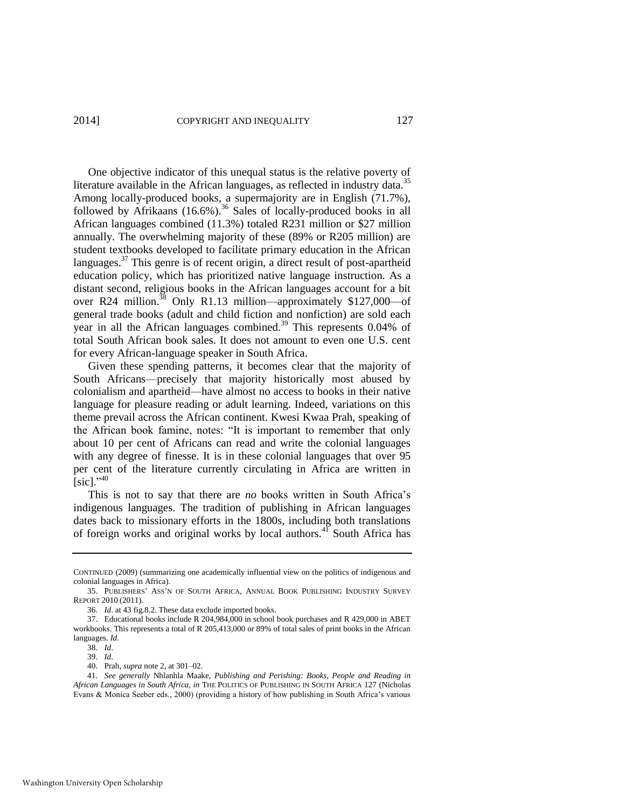One objective indicator of this unequal status is the relative poverty of literature available in the African languages, as reflected in industry data.<sup>35</sup> Among locally-produced books, a supermajority are in English (71.7%), followed by Afrikaans  $(16.6\%)$ .<sup>36</sup> Sales of locally-produced books in all African languages combined (11.3%) totaled R231 million or \$27 million annually. The overwhelming majority of these (89% or R205 million) are student textbooks developed to facilitate primary education in the African languages. $37$  This genre is of recent origin, a direct result of post-apartheid education policy, which has prioritized native language instruction. As a distant second, religious books in the African languages account for a bit over R24 million.<sup>38</sup> Only R1.13 million—approximately \$127,000—of general trade books (adult and child fiction and nonfiction) are sold each year in all the African languages combined.<sup>39</sup> This represents 0.04% of total South African book sales. It does not amount to even one U.S. cent for every African-language speaker in South Africa.

Given these spending patterns, it becomes clear that the majority of South Africans—precisely that majority historically most abused by colonialism and apartheid—have almost no access to books in their native language for pleasure reading or adult learning. Indeed, variations on this theme prevail across the African continent. Kwesi Kwaa Prah, speaking of the African book famine, notes: "It is important to remember that only about 10 per cent of Africans can read and write the colonial languages with any degree of finesse. It is in these colonial languages that over 95 per cent of the literature currently circulating in Africa are written in  $[sic]$ ."<sup>40</sup>

This is not to say that there are *no* books written in South Africa's indigenous languages. The tradition of publishing in African languages dates back to missionary efforts in the 1800s, including both translations of foreign works and original works by local authors.<sup>41</sup> South Africa has

CONTINUED (2009) (summarizing one academically influential view on the politics of indigenous and colonial languages in Africa).

<sup>35.</sup> PUBLISHERS' ASS'N OF SOUTH AFRICA, ANNUAL BOOK PUBLISHING INDUSTRY SURVEY REPORT 2010 (2011).

<sup>36.</sup> *Id*. at 43 fig.8.2. These data exclude imported books.

<sup>37.</sup> Educational books include R 204,984,000 in school book purchases and R 429,000 in ABET workbooks. This represents a total of R 205,413,000 or 89% of total sales of print books in the African languages. *Id*.

<sup>38.</sup> *Id*.

<sup>39.</sup> *Id*.

<sup>40.</sup> Prah, *supra* not[e 2,](#page-3-1) at 301–02.

<sup>41.</sup> *See generally* Nhlanhla Maake, *Publishing and Perishing: Books, People and Reading in African Languages in South Africa*, *in* THE POLITICS OF PUBLISHING IN SOUTH AFRICA 127 (Nicholas Evans & Monica Seeber eds., 2000) (providing a history of how publishing in South Africa's various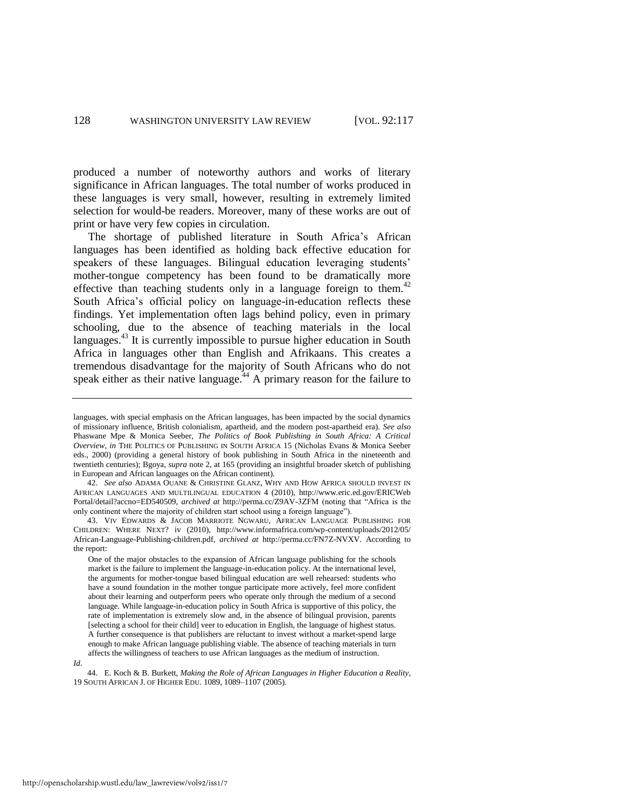produced a number of noteworthy authors and works of literary significance in African languages. The total number of works produced in these languages is very small, however, resulting in extremely limited selection for would-be readers. Moreover, many of these works are out of print or have very few copies in circulation.

The shortage of published literature in South Africa's African languages has been identified as holding back effective education for speakers of these languages. Bilingual education leveraging students' mother-tongue competency has been found to be dramatically more effective than teaching students only in a language foreign to them.<sup>42</sup> South Africa's official policy on language-in-education reflects these findings. Yet implementation often lags behind policy, even in primary schooling, due to the absence of teaching materials in the local languages. $43$  It is currently impossible to pursue higher education in South Africa in languages other than English and Afrikaans. This creates a tremendous disadvantage for the majority of South Africans who do not speak either as their native language.<sup> $44$ </sup> A primary reason for the failure to

42. *See also* ADAMA OUANE & CHRISTINE GLANZ, WHY AND HOW AFRICA SHOULD INVEST IN AFRICAN LANGUAGES AND MULTILINGUAL EDUCATION 4 (2010), http://www.eric.ed.gov/ERICWeb Portal/detail?accno=ED540509, *archived at* http://perma.cc/Z9AV-3ZFM (noting that "Africa is the only continent where the majority of children start school using a foreign language").

43. VIV EDWARDS & JACOB MARRIOTE NGWARU, AFRICAN LANGUAGE PUBLISHING FOR CHILDREN: WHERE NEXT? iv (2010), http://www.informafrica.com/wp-content/uploads/2012/05/ African-Language-Publishing-children.pdf, *archived at* http://perma.cc/FN7Z-NVXV. According to the report:

One of the major obstacles to the expansion of African language publishing for the schools market is the failure to implement the language-in-education policy. At the international level, the arguments for mother-tongue based bilingual education are well rehearsed: students who have a sound foundation in the mother tongue participate more actively, feel more confident about their learning and outperform peers who operate only through the medium of a second language. While language-in-education policy in South Africa is supportive of this policy, the rate of implementation is extremely slow and, in the absence of bilingual provision, parents [selecting a school for their child] veer to education in English, the language of highest status. A further consequence is that publishers are reluctant to invest without a market-spend large enough to make African language publishing viable. The absence of teaching materials in turn affects the willingness of teachers to use African languages as the medium of instruction.

*Id*.

44. E. Koch & B. Burkett, *Making the Role of African Languages in Higher Education a Reality*, 19 SOUTH AFRICAN J. OF HIGHER EDU. 1089, 1089–1107 (2005).

<span id="page-12-0"></span>languages, with special emphasis on the African languages, has been impacted by the social dynamics of missionary influence, British colonialism, apartheid, and the modern post-apartheid era). *See also*  Phaswane Mpe & Monica Seeber, *The Politics of Book Publishing in South Africa: A Critical Overview*, *in* THE POLITICS OF PUBLISHING IN SOUTH AFRICA 15 (Nicholas Evans & Monica Seeber eds., 2000) (providing a general history of book publishing in South Africa in the nineteenth and twentieth centuries); Bgoya, *supra* not[e 2,](#page-3-1) at 165 (providing an insightful broader sketch of publishing in European and African languages on the African continent).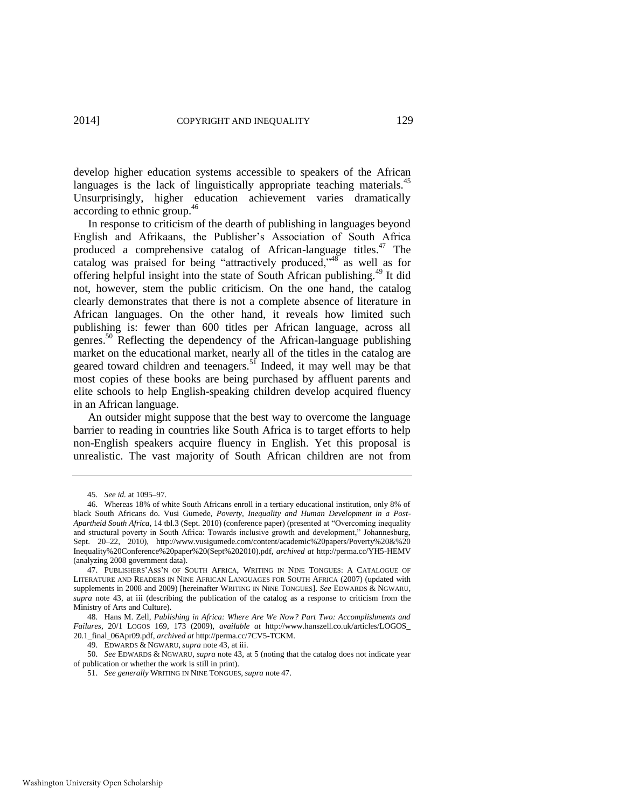develop higher education systems accessible to speakers of the African languages is the lack of linguistically appropriate teaching materials.<sup>45</sup> Unsurprisingly, higher education achievement varies dramatically according to ethnic group.<sup>46</sup>

<span id="page-13-1"></span><span id="page-13-0"></span>In response to criticism of the dearth of publishing in languages beyond English and Afrikaans, the Publisher's Association of South Africa produced a comprehensive catalog of African-language titles.<sup>47</sup> The catalog was praised for being "attractively produced,"<sup>48</sup> as well as for offering helpful insight into the state of South African publishing.<sup>49</sup> It did not, however, stem the public criticism. On the one hand, the catalog clearly demonstrates that there is not a complete absence of literature in African languages. On the other hand, it reveals how limited such publishing is: fewer than 600 titles per African language, across all genres.<sup>50</sup> Reflecting the dependency of the African-language publishing market on the educational market, nearly all of the titles in the catalog are geared toward children and teenagers.<sup>51</sup> Indeed, it may well may be that most copies of these books are being purchased by affluent parents and elite schools to help English-speaking children develop acquired fluency in an African language.

<span id="page-13-2"></span>An outsider might suppose that the best way to overcome the language barrier to reading in countries like South Africa is to target efforts to help non-English speakers acquire fluency in English. Yet this proposal is unrealistic. The vast majority of South African children are not from

50. *See* EDWARDS & NGWARU, *supra* not[e 43,](#page-12-0) at 5 (noting that the catalog does not indicate year of publication or whether the work is still in print).

<sup>45.</sup> *See id.* at 1095–97.

<sup>46.</sup> Whereas 18% of white South Africans enroll in a tertiary educational institution, only 8% of black South Africans do. Vusi Gumede, *Poverty, Inequality and Human Development in a Post-Apartheid South Africa*, 14 tbl.3 (Sept. 2010) (conference paper) (presented at "Overcoming inequality and structural poverty in South Africa: Towards inclusive growth and development," Johannesburg, Sept. 20–22, 2010), http://www.vusigumede.com/content/academic%20papers/Poverty%20&%20 Inequality%20Conference%20paper%20(Sept%202010).pdf, *archived at* http://perma.cc/YH5-HEMV (analyzing 2008 government data).

<sup>47.</sup> PUBLISHERS'ASS'N OF SOUTH AFRICA, WRITING IN NINE TONGUES: A CATALOGUE OF LITERATURE AND READERS IN NINE AFRICAN LANGUAGES FOR SOUTH AFRICA (2007) (updated with supplements in 2008 and 2009) [hereinafter WRITING IN NINE TONGUES]. *See* EDWARDS & NGWARU, *supra* note [43,](#page-12-0) at iii (describing the publication of the catalog as a response to criticism from the Ministry of Arts and Culture).

<sup>48.</sup> Hans M. Zell, *Publishing in Africa: Where Are We Now? Part Two: Accomplishments and Failures*, 20/1 LOGOS 169, 173 (2009), *available at* http://www.hanszell.co.uk/articles/LOGOS\_ 20.1\_final\_06Apr09.pdf, *archived at* http://perma.cc/7CV5-TCKM.

<sup>49.</sup> EDWARDS & NGWARU, *supra* not[e 43,](#page-12-0) at iii.

<sup>51.</sup> *See generally* WRITING IN NINE TONGUES, *supra* note [47.](#page-13-0)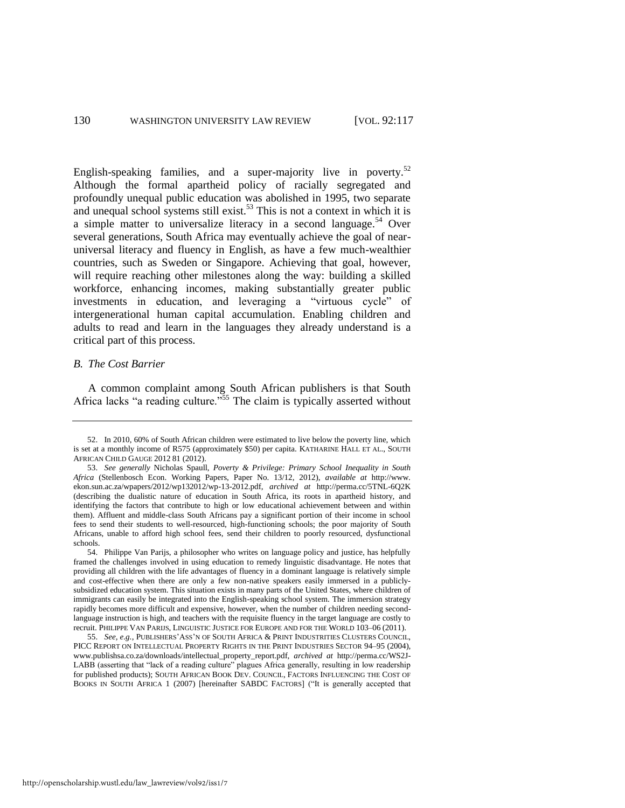<span id="page-14-0"></span>English-speaking families, and a super-majority live in poverty.<sup>52</sup> Although the formal apartheid policy of racially segregated and profoundly unequal public education was abolished in 1995, two separate and unequal school systems still exist.<sup>53</sup> This is not a context in which it is a simple matter to universalize literacy in a second language.<sup>54</sup> Over several generations, South Africa may eventually achieve the goal of nearuniversal literacy and fluency in English, as have a few much-wealthier countries, such as Sweden or Singapore. Achieving that goal, however, will require reaching other milestones along the way: building a skilled workforce, enhancing incomes, making substantially greater public investments in education, and leveraging a "virtuous cycle" of intergenerational human capital accumulation. Enabling children and adults to read and learn in the languages they already understand is a critical part of this process.

# *B. The Cost Barrier*

<span id="page-14-1"></span>A common complaint among South African publishers is that South Africa lacks "a reading culture.<sup>555</sup> The claim is typically asserted without

<sup>52.</sup> In 2010, 60% of South African children were estimated to live below the poverty line, which is set at a monthly income of R575 (approximately \$50) per capita. KATHARINE HALL ET AL., SOUTH AFRICAN CHILD GAUGE 2012 81 (2012).

<sup>53.</sup> *See generally* Nicholas Spaull, *Poverty & Privilege: Primary School Inequality in South Africa* (Stellenbosch Econ. Working Papers, Paper No. 13/12, 2012), *available at* http://www. ekon.sun.ac.za/wpapers/2012/wp132012/wp-13-2012.pdf, *archived at* http://perma.cc/5TNL-6Q2K (describing the dualistic nature of education in South Africa, its roots in apartheid history, and identifying the factors that contribute to high or low educational achievement between and within them). Affluent and middle-class South Africans pay a significant portion of their income in school fees to send their students to well-resourced, high-functioning schools; the poor majority of South Africans, unable to afford high school fees, send their children to poorly resourced, dysfunctional schools.

<sup>54.</sup> Philippe Van Parijs, a philosopher who writes on language policy and justice, has helpfully framed the challenges involved in using education to remedy linguistic disadvantage. He notes that providing all children with the life advantages of fluency in a dominant language is relatively simple and cost-effective when there are only a few non-native speakers easily immersed in a publiclysubsidized education system. This situation exists in many parts of the United States, where children of immigrants can easily be integrated into the English-speaking school system. The immersion strategy rapidly becomes more difficult and expensive, however, when the number of children needing secondlanguage instruction is high, and teachers with the requisite fluency in the target language are costly to recruit. PHILIPPE VAN PARIJS, LINGUISTIC JUSTICE FOR EUROPE AND FOR THE WORLD 103–06 (2011).

<sup>55.</sup> *See, e.g.*, PUBLISHERS'ASS'N OF SOUTH AFRICA & PRINT INDUSTRITIES CLUSTERS COUNCIL, PICC REPORT ON INTELLECTUAL PROPERTY RIGHTS IN THE PRINT INDUSTRIES SECTOR 94–95 (2004), www.publishsa.co.za/downloads/intellectual\_property\_report.pdf, *archived at* http://perma.cc/WS2J-LABB (asserting that "lack of a reading culture" plagues Africa generally, resulting in low readership for published products); SOUTH AFRICAN BOOK DEV. COUNCIL, FACTORS INFLUENCING THE COST OF BOOKS IN SOUTH AFRICA 1 (2007) [hereinafter SABDC FACTORS] ("It is generally accepted that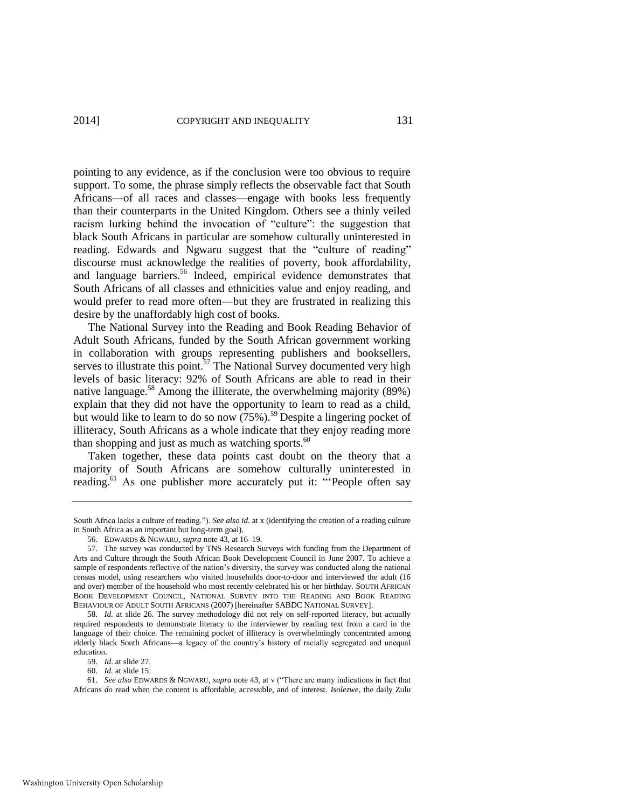pointing to any evidence, as if the conclusion were too obvious to require support. To some, the phrase simply reflects the observable fact that South Africans—of all races and classes—engage with books less frequently than their counterparts in the United Kingdom. Others see a thinly veiled racism lurking behind the invocation of "culture": the suggestion that black South Africans in particular are somehow culturally uninterested in reading. Edwards and Ngwaru suggest that the "culture of reading" discourse must acknowledge the realities of poverty, book affordability, and language barriers.<sup>56</sup> Indeed, empirical evidence demonstrates that South Africans of all classes and ethnicities value and enjoy reading, and would prefer to read more often—but they are frustrated in realizing this desire by the unaffordably high cost of books.

<span id="page-15-0"></span>The National Survey into the Reading and Book Reading Behavior of Adult South Africans, funded by the South African government working in collaboration with groups representing publishers and booksellers, serves to illustrate this point.<sup>57</sup> The National Survey documented very high levels of basic literacy: 92% of South Africans are able to read in their native language.<sup>58</sup> Among the illiterate, the overwhelming majority  $(89\%)$ explain that they did not have the opportunity to learn to read as a child, but would like to learn to do so now  $(75%)$ .<sup>59</sup> Despite a lingering pocket of illiteracy, South Africans as a whole indicate that they enjoy reading more than shopping and just as much as watching sports. $60$ 

Taken together, these data points cast doubt on the theory that a majority of South Africans are somehow culturally uninterested in reading.<sup>61</sup> As one publisher more accurately put it: "People often say

59. *Id*. at slide 27.

60. *Id.* at slide 15.

South Africa lacks a culture of reading."). *See also id*. at x (identifying the creation of a reading culture in South Africa as an important but long-term goal).

<sup>56.</sup> EDWARDS & NGWARU, *supra* not[e 43,](#page-12-0) at 16–19.

<sup>57.</sup> The survey was conducted by TNS Research Surveys with funding from the Department of Arts and Culture through the South African Book Development Council in June 2007. To achieve a sample of respondents reflective of the nation's diversity, the survey was conducted along the national census model, using researchers who visited households door-to-door and interviewed the adult (16 and over) member of the household who most recently celebrated his or her birthday. SOUTH AFRICAN BOOK DEVELOPMENT COUNCIL, NATIONAL SURVEY INTO THE READING AND BOOK READING BEHAVIOUR OF ADULT SOUTH AFRICANS (2007) [hereinafter SABDC NATIONAL SURVEY].

<sup>58.</sup> *Id.* at slide 26. The survey methodology did not rely on self-reported literacy, but actually required respondents to demonstrate literacy to the interviewer by reading text from a card in the language of their choice. The remaining pocket of illiteracy is overwhelmingly concentrated among elderly black South Africans—a legacy of the country's history of racially segregated and unequal education.

<sup>61.</sup> *See also* EDWARDS & NGWARU, *supra* not[e 43,](#page-12-0) at v ("There are many indications in fact that Africans *do* read when the content is affordable, accessible, and of interest. *Isolezwe*, the daily Zulu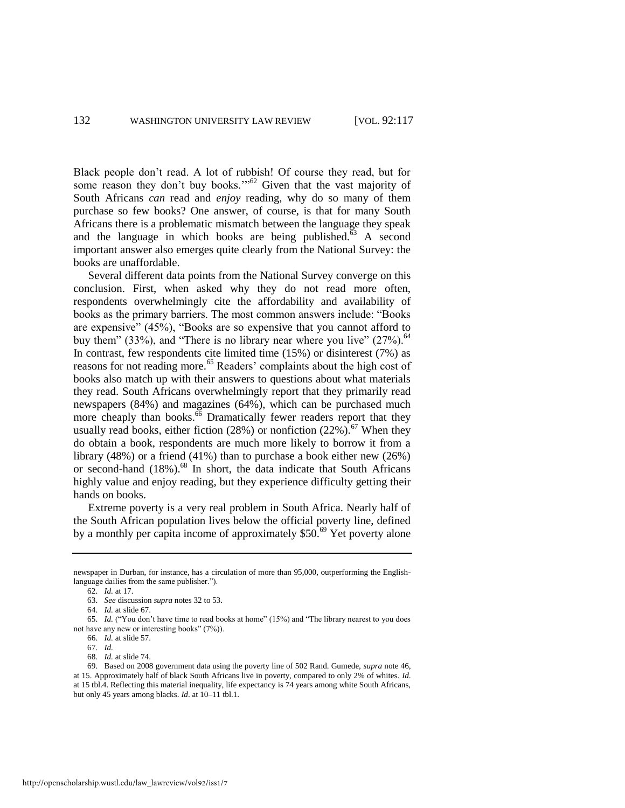Black people don't read. A lot of rubbish! Of course they read, but for some reason they don't buy books."<sup>62</sup> Given that the vast majority of South Africans *can* read and *enjoy* reading, why do so many of them purchase so few books? One answer, of course, is that for many South Africans there is a problematic mismatch between the language they speak and the language in which books are being published. $63$  A second important answer also emerges quite clearly from the National Survey: the books are unaffordable.

Several different data points from the National Survey converge on this conclusion. First, when asked why they do not read more often, respondents overwhelmingly cite the affordability and availability of books as the primary barriers. The most common answers include: "Books are expensive" (45%), "Books are so expensive that you cannot afford to buy them" (33%), and "There is no library near where you live"  $(27\%)$ .<sup>64</sup> In contrast, few respondents cite limited time  $(15%)$  or disinterest  $(7%)$  as reasons for not reading more.<sup>65</sup> Readers' complaints about the high cost of books also match up with their answers to questions about what materials they read. South Africans overwhelmingly report that they primarily read newspapers (84%) and magazines (64%), which can be purchased much more cheaply than books. $\frac{66}{6}$  Dramatically fewer readers report that they usually read books, either fiction (28%) or nonfiction (22%).<sup>67</sup> When they do obtain a book, respondents are much more likely to borrow it from a library (48%) or a friend (41%) than to purchase a book either new (26%) or second-hand (18%).<sup>68</sup> In short, the data indicate that South Africans highly value and enjoy reading, but they experience difficulty getting their hands on books.

Extreme poverty is a very real problem in South Africa. Nearly half of the South African population lives below the official poverty line, defined by a monthly per capita income of approximately \$50.<sup>69</sup> Yet poverty alone

newspaper in Durban, for instance, has a circulation of more than 95,000, outperforming the Englishlanguage dailies from the same publisher.").

<sup>62.</sup> *Id.* at 17.

<sup>63.</sup> *See* discussion *supra* notes [32 t](#page-10-0)[o 53.](#page-14-0)

<sup>64.</sup> *Id.* at slide 67.

<sup>65.</sup> *Id.* ("You don't have time to read books at home" (15%) and "The library nearest to you does not have any new or interesting books" (7%)).

<sup>66.</sup> *Id.* at slide 57.

<sup>67.</sup> *Id.*

<sup>68.</sup> *Id.* at slide 74.

<sup>69.</sup> Based on 2008 government data using the poverty line of 502 Rand. Gumede, *supra* not[e 46,](#page-13-1)  at 15. Approximately half of black South Africans live in poverty, compared to only 2% of whites. *Id*. at 15 tbl.4. Reflecting this material inequality, life expectancy is 74 years among white South Africans, but only 45 years among blacks. *Id*. at 10–11 tbl.1.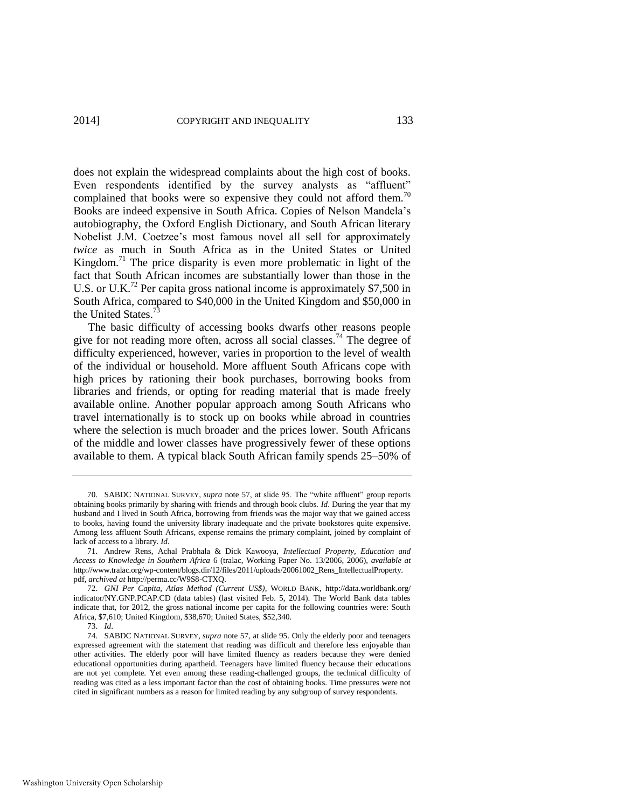2014] **COPYRIGHT AND INEQUALITY** 133

<span id="page-17-1"></span>does not explain the widespread complaints about the high cost of books. Even respondents identified by the survey analysts as "affluent" complained that books were so expensive they could not afford them.<sup>70</sup> Books are indeed expensive in South Africa. Copies of Nelson Mandela's autobiography, the Oxford English Dictionary, and South African literary Nobelist J.M. Coetzee's most famous novel all sell for approximately *twice* as much in South Africa as in the United States or United Kingdom.<sup>71</sup> The price disparity is even more problematic in light of the fact that South African incomes are substantially lower than those in the U.S. or U.K.<sup>72</sup> Per capita gross national income is approximately \$7,500 in South Africa, compared to \$40,000 in the United Kingdom and \$50,000 in the United States.<sup>7</sup>

<span id="page-17-2"></span><span id="page-17-0"></span>The basic difficulty of accessing books dwarfs other reasons people give for not reading more often, across all social classes.<sup>74</sup> The degree of difficulty experienced, however, varies in proportion to the level of wealth of the individual or household. More affluent South Africans cope with high prices by rationing their book purchases, borrowing books from libraries and friends, or opting for reading material that is made freely available online. Another popular approach among South Africans who travel internationally is to stock up on books while abroad in countries where the selection is much broader and the prices lower. South Africans of the middle and lower classes have progressively fewer of these options available to them. A typical black South African family spends 25–50% of

73. *Id*.

<sup>70.</sup> SABDC NATIONAL SURVEY, *supra* note [57,](#page-15-0) at slide 95. The "white affluent" group reports obtaining books primarily by sharing with friends and through book clubs. *Id*. During the year that my husband and I lived in South Africa, borrowing from friends was the major way that we gained access to books, having found the university library inadequate and the private bookstores quite expensive. Among less affluent South Africans, expense remains the primary complaint, joined by complaint of lack of access to a library. *Id*.

<sup>71.</sup> Andrew Rens, Achal Prabhala & Dick Kawooya, *Intellectual Property, Education and Access to Knowledge in Southern Africa* 6 (tralac, Working Paper No. 13/2006, 2006), *available at* http://www.tralac.org/wp-content/blogs.dir/12/files/2011/uploads/20061002\_Rens\_IntellectualProperty. pdf, *archived at* http://perma.cc/W9S8-CTXQ.

<sup>72.</sup> *GNI Per Capita, Atlas Method (Current US\$)*, WORLD BANK, http://data.worldbank.org/ indicator/NY.GNP.PCAP.CD (data tables) (last visited Feb. 5, 2014). The World Bank data tables indicate that, for 2012, the gross national income per capita for the following countries were: South Africa, \$7,610; United Kingdom, \$38,670; United States, \$52,340.

<sup>74.</sup> SABDC NATIONAL SURVEY, *supra* not[e 57,](#page-15-0) at slide 95. Only the elderly poor and teenagers expressed agreement with the statement that reading was difficult and therefore less enjoyable than other activities. The elderly poor will have limited fluency as readers because they were denied educational opportunities during apartheid. Teenagers have limited fluency because their educations are not yet complete. Yet even among these reading-challenged groups, the technical difficulty of reading was cited as a less important factor than the cost of obtaining books. Time pressures were not cited in significant numbers as a reason for limited reading by any subgroup of survey respondents.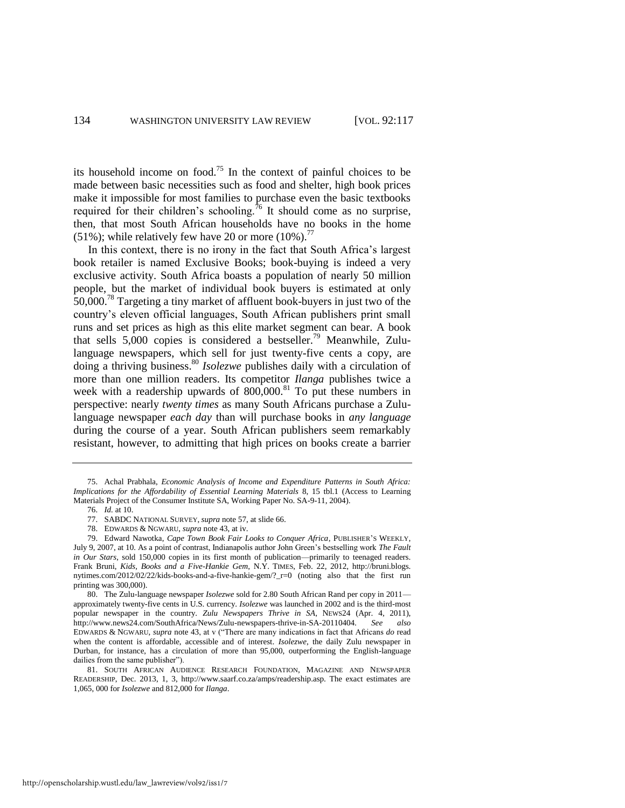its household income on food.<sup>75</sup> In the context of painful choices to be made between basic necessities such as food and shelter, high book prices make it impossible for most families to purchase even the basic textbooks required for their children's schooling.<sup>76</sup> It should come as no surprise, then, that most South African households have no books in the home (51%); while relatively few have 20 or more  $(10\%)$ .<sup>77</sup>

In this context, there is no irony in the fact that South Africa's largest book retailer is named Exclusive Books; book-buying is indeed a very exclusive activity. South Africa boasts a population of nearly 50 million people, but the market of individual book buyers is estimated at only 50,000.<sup>78</sup> Targeting a tiny market of affluent book-buyers in just two of the country's eleven official languages, South African publishers print small runs and set prices as high as this elite market segment can bear. A book that sells  $5,000$  copies is considered a bestseller.<sup>79</sup> Meanwhile, Zululanguage newspapers, which sell for just twenty-five cents a copy, are doing a thriving business.<sup>80</sup> *Isolezwe* publishes daily with a circulation of more than one million readers. Its competitor *Ilanga* publishes twice a week with a readership upwards of 800,000.<sup>81</sup> To put these numbers in perspective: nearly *twenty times* as many South Africans purchase a Zululanguage newspaper *each day* than will purchase books in *any language* during the course of a year. South African publishers seem remarkably resistant, however, to admitting that high prices on books create a barrier

http://openscholarship.wustl.edu/law\_lawreview/vol92/iss1/7

<sup>75.</sup> Achal Prabhala, *Economic Analysis of Income and Expenditure Patterns in South Africa: Implications for the Affordability of Essential Learning Materials* 8, 15 tbl.1 (Access to Learning Materials Project of the Consumer Institute SA, Working Paper No. SA-9-11, 2004).

<sup>76.</sup> *Id.* at 10.

<sup>77.</sup> SABDC NATIONAL SURVEY, *supra* not[e 57,](#page-15-0) at slide 66.

<sup>78.</sup> EDWARDS & NGWARU, *supra* not[e 43,](#page-12-0) at iv.

<sup>79.</sup> Edward Nawotka, *Cape Town Book Fair Looks to Conquer Africa*, PUBLISHER'S WEEKLY, July 9, 2007, at 10. As a point of contrast, Indianapolis author John Green's bestselling work *The Fault in Our Stars*, sold 150,000 copies in its first month of publication—primarily to teenaged readers. Frank Bruni, *Kids, Books and a Five-Hankie Gem*, N.Y. TIMES, Feb. 22, 2012, http://bruni.blogs. nytimes.com/2012/02/22/kids-books-and-a-five-hankie-gem/?\_r=0 (noting also that the first run printing was 300,000).

<sup>80.</sup> The Zulu-language newspaper *Isolezwe* sold for 2.80 South African Rand per copy in 2011 approximately twenty-five cents in U.S. currency. *Isolezwe* was launched in 2002 and is the third-most popular newspaper in the country. *Zulu Newspapers Thrive in SA*, NEWS24 (Apr. 4, 2011), http://www.news24.com/SouthAfrica/News/Zulu-newspapers-thrive-in-SA-20110404. *See also*  EDWARDS & NGWARU, *supra* note [43,](#page-12-0) at v ("There are many indications in fact that Africans *do* read when the content is affordable, accessible and of interest. *Isolezwe*, the daily Zulu newspaper in Durban, for instance, has a circulation of more than 95,000, outperforming the English-language dailies from the same publisher").

<sup>81.</sup> SOUTH AFRICAN AUDIENCE RESEARCH FOUNDATION, MAGAZINE AND NEWSPAPER READERSHIP, Dec. 2013, 1, 3, http://www.saarf.co.za/amps/readership.asp. The exact estimates are 1,065, 000 for *Isolezwe* and 812,000 for *Ilanga*.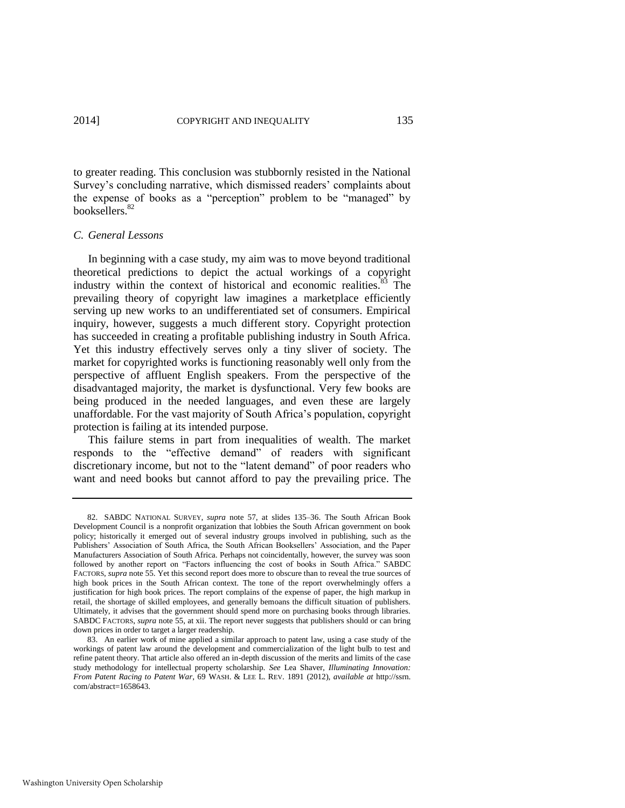to greater reading. This conclusion was stubbornly resisted in the National Survey's concluding narrative, which dismissed readers' complaints about the expense of books as a "perception" problem to be "managed" by booksellers.<sup>82</sup>

# *C. General Lessons*

In beginning with a case study, my aim was to move beyond traditional theoretical predictions to depict the actual workings of a copyright industry within the context of historical and economic realities.<sup>83</sup> The prevailing theory of copyright law imagines a marketplace efficiently serving up new works to an undifferentiated set of consumers. Empirical inquiry, however, suggests a much different story. Copyright protection has succeeded in creating a profitable publishing industry in South Africa. Yet this industry effectively serves only a tiny sliver of society. The market for copyrighted works is functioning reasonably well only from the perspective of affluent English speakers. From the perspective of the disadvantaged majority, the market is dysfunctional. Very few books are being produced in the needed languages, and even these are largely unaffordable. For the vast majority of South Africa's population, copyright protection is failing at its intended purpose.

This failure stems in part from inequalities of wealth. The market responds to the "effective demand" of readers with significant discretionary income, but not to the "latent demand" of poor readers who want and need books but cannot afford to pay the prevailing price. The

<sup>82.</sup> SABDC NATIONAL SURVEY, *supra* note [57,](#page-15-0) at slides 135–36. The South African Book Development Council is a nonprofit organization that lobbies the South African government on book policy; historically it emerged out of several industry groups involved in publishing, such as the Publishers' Association of South Africa, the South African Booksellers' Association, and the Paper Manufacturers Association of South Africa. Perhaps not coincidentally, however, the survey was soon followed by another report on "Factors influencing the cost of books in South Africa." SABDC FACTORS, *supra* not[e 55.](#page-14-1) Yet this second report does more to obscure than to reveal the true sources of high book prices in the South African context. The tone of the report overwhelmingly offers a justification for high book prices. The report complains of the expense of paper, the high markup in retail, the shortage of skilled employees, and generally bemoans the difficult situation of publishers. Ultimately, it advises that the government should spend more on purchasing books through libraries. SABDC FACTORS, *supra* not[e 55,](#page-14-1) at xii. The report never suggests that publishers should or can bring down prices in order to target a larger readership.

<sup>83.</sup> An earlier work of mine applied a similar approach to patent law, using a case study of the workings of patent law around the development and commercialization of the light bulb to test and refine patent theory. That article also offered an in-depth discussion of the merits and limits of the case study methodology for intellectual property scholarship. *See* Lea Shaver, *Illuminating Innovation: From Patent Racing to Patent War*, 69 WASH. & LEE L. REV. 1891 (2012), *available at* http://ssrn. com/abstract=1658643.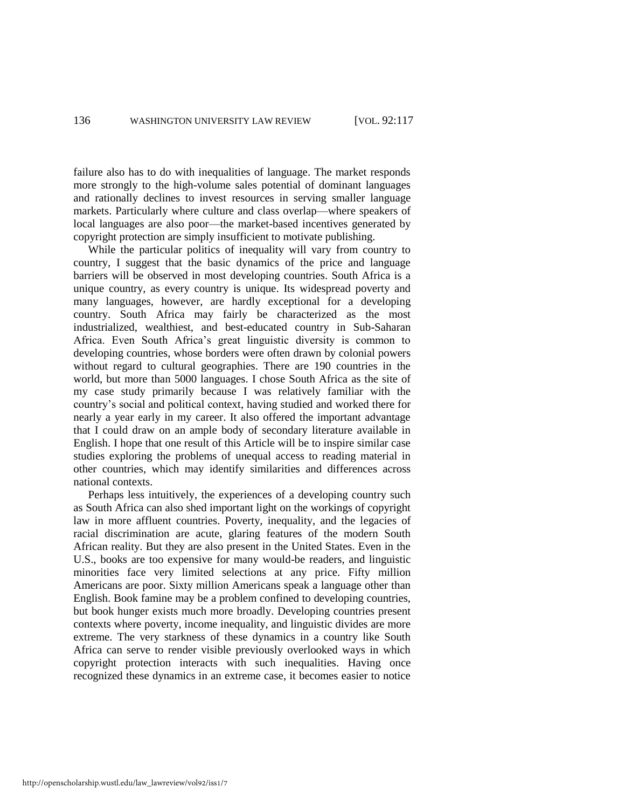failure also has to do with inequalities of language. The market responds more strongly to the high-volume sales potential of dominant languages and rationally declines to invest resources in serving smaller language markets. Particularly where culture and class overlap—where speakers of local languages are also poor—the market-based incentives generated by copyright protection are simply insufficient to motivate publishing.

While the particular politics of inequality will vary from country to country, I suggest that the basic dynamics of the price and language barriers will be observed in most developing countries. South Africa is a unique country, as every country is unique. Its widespread poverty and many languages, however, are hardly exceptional for a developing country. South Africa may fairly be characterized as the most industrialized, wealthiest, and best-educated country in Sub-Saharan Africa. Even South Africa's great linguistic diversity is common to developing countries, whose borders were often drawn by colonial powers without regard to cultural geographies. There are 190 countries in the world, but more than 5000 languages. I chose South Africa as the site of my case study primarily because I was relatively familiar with the country's social and political context, having studied and worked there for nearly a year early in my career. It also offered the important advantage that I could draw on an ample body of secondary literature available in English. I hope that one result of this Article will be to inspire similar case studies exploring the problems of unequal access to reading material in other countries, which may identify similarities and differences across national contexts.

Perhaps less intuitively, the experiences of a developing country such as South Africa can also shed important light on the workings of copyright law in more affluent countries. Poverty, inequality, and the legacies of racial discrimination are acute, glaring features of the modern South African reality. But they are also present in the United States. Even in the U.S., books are too expensive for many would-be readers, and linguistic minorities face very limited selections at any price. Fifty million Americans are poor. Sixty million Americans speak a language other than English. Book famine may be a problem confined to developing countries, but book hunger exists much more broadly. Developing countries present contexts where poverty, income inequality, and linguistic divides are more extreme. The very starkness of these dynamics in a country like South Africa can serve to render visible previously overlooked ways in which copyright protection interacts with such inequalities. Having once recognized these dynamics in an extreme case, it becomes easier to notice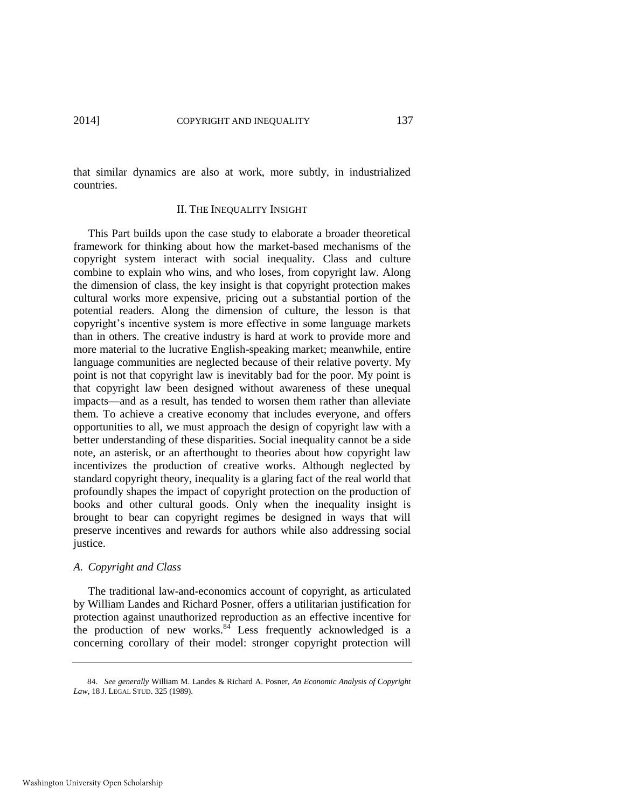that similar dynamics are also at work, more subtly, in industrialized countries.

#### II. THE INEQUALITY INSIGHT

This Part builds upon the case study to elaborate a broader theoretical framework for thinking about how the market-based mechanisms of the copyright system interact with social inequality. Class and culture combine to explain who wins, and who loses, from copyright law. Along the dimension of class, the key insight is that copyright protection makes cultural works more expensive, pricing out a substantial portion of the potential readers. Along the dimension of culture, the lesson is that copyright's incentive system is more effective in some language markets than in others. The creative industry is hard at work to provide more and more material to the lucrative English-speaking market; meanwhile, entire language communities are neglected because of their relative poverty. My point is not that copyright law is inevitably bad for the poor. My point is that copyright law been designed without awareness of these unequal impacts—and as a result, has tended to worsen them rather than alleviate them. To achieve a creative economy that includes everyone, and offers opportunities to all, we must approach the design of copyright law with a better understanding of these disparities. Social inequality cannot be a side note, an asterisk, or an afterthought to theories about how copyright law incentivizes the production of creative works. Although neglected by standard copyright theory, inequality is a glaring fact of the real world that profoundly shapes the impact of copyright protection on the production of books and other cultural goods. Only when the inequality insight is brought to bear can copyright regimes be designed in ways that will preserve incentives and rewards for authors while also addressing social justice.

# *A. Copyright and Class*

<span id="page-21-0"></span>The traditional law-and-economics account of copyright, as articulated by William Landes and Richard Posner, offers a utilitarian justification for protection against unauthorized reproduction as an effective incentive for the production of new works. $84$ <sup>t</sup> Less frequently acknowledged is a concerning corollary of their model: stronger copyright protection will

<sup>84.</sup> *See generally* William M. Landes & Richard A. Posner, *An Economic Analysis of Copyright Law*, 18 J. LEGAL STUD. 325 (1989).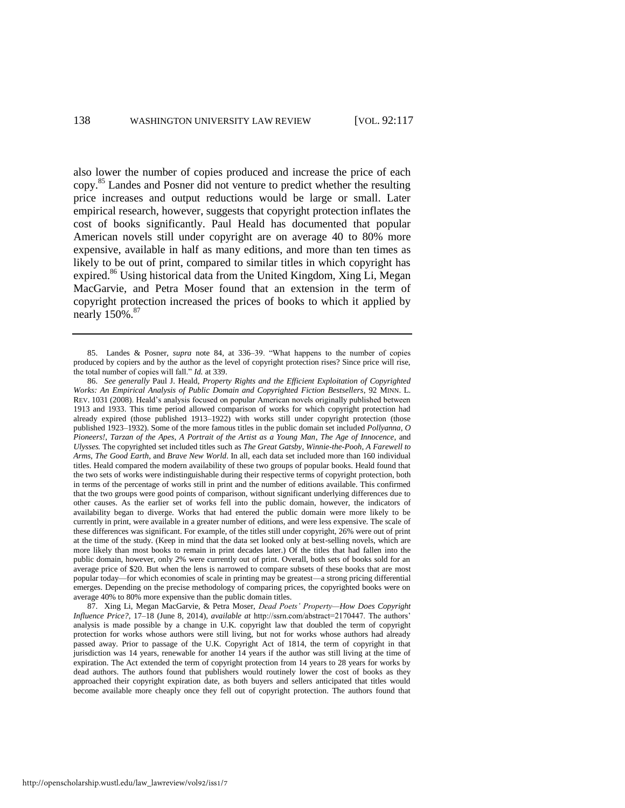also lower the number of copies produced and increase the price of each copy.<sup>85</sup> Landes and Posner did not venture to predict whether the resulting price increases and output reductions would be large or small. Later empirical research, however, suggests that copyright protection inflates the cost of books significantly. Paul Heald has documented that popular American novels still under copyright are on average 40 to 80% more expensive, available in half as many editions, and more than ten times as likely to be out of print, compared to similar titles in which copyright has expired.<sup>86</sup> Using historical data from the United Kingdom, Xing Li, Megan MacGarvie, and Petra Moser found that an extension in the term of copyright protection increased the prices of books to which it applied by nearly 150%.<sup>87</sup>

86. *See generally* Paul J. Heald, *Property Rights and the Efficient Exploitation of Copyrighted Works: An Empirical Analysis of Public Domain and Copyrighted Fiction Bestsellers*, 92 MINN. L. REV. 1031 (2008). Heald's analysis focused on popular American novels originally published between 1913 and 1933. This time period allowed comparison of works for which copyright protection had already expired (those published 1913–1922) with works still under copyright protection (those published 1923–1932). Some of the more famous titles in the public domain set included *Pollyanna*, *O Pioneers!*, *Tarzan of the Apes*, *A Portrait of the Artist as a Young Man*, *The Age of Innocence*, and *Ulysses.* The copyrighted set included titles such as *The Great Gatsby*, *Winnie-the-Pooh*, *A Farewell to Arms*, *The Good Earth*, and *Brave New World*. In all, each data set included more than 160 individual titles. Heald compared the modern availability of these two groups of popular books. Heald found that the two sets of works were indistinguishable during their respective terms of copyright protection, both in terms of the percentage of works still in print and the number of editions available. This confirmed that the two groups were good points of comparison, without significant underlying differences due to other causes. As the earlier set of works fell into the public domain, however, the indicators of availability began to diverge. Works that had entered the public domain were more likely to be currently in print, were available in a greater number of editions, and were less expensive. The scale of these differences was significant. For example, of the titles still under copyright, 26% were out of print at the time of the study. (Keep in mind that the data set looked only at best-selling novels, which are more likely than most books to remain in print decades later.) Of the titles that had fallen into the public domain, however, only 2% were currently out of print. Overall, both sets of books sold for an average price of \$20. But when the lens is narrowed to compare subsets of these books that are most popular today—for which economies of scale in printing may be greatest—a strong pricing differential emerges. Depending on the precise methodology of comparing prices, the copyrighted books were on average 40% to 80% more expensive than the public domain titles.

87. Xing Li, Megan MacGarvie, & Petra Moser, *Dead Poets' Property—How Does Copyright Influence Price?*, 17–18 (June 8, 2014), *available at* http://ssrn.com/abstract=2170447. The authors' analysis is made possible by a change in U.K. copyright law that doubled the term of copyright protection for works whose authors were still living, but not for works whose authors had already passed away. Prior to passage of the U.K. Copyright Act of 1814, the term of copyright in that jurisdiction was 14 years, renewable for another 14 years if the author was still living at the time of expiration. The Act extended the term of copyright protection from 14 years to 28 years for works by dead authors. The authors found that publishers would routinely lower the cost of books as they approached their copyright expiration date, as both buyers and sellers anticipated that titles would become available more cheaply once they fell out of copyright protection. The authors found that

<span id="page-22-1"></span><span id="page-22-0"></span><sup>85.</sup> Landes & Posner, *supra* note [84,](#page-21-0) at 336–39. "What happens to the number of copies produced by copiers and by the author as the level of copyright protection rises? Since price will rise, the total number of copies will fall." *Id.* at 339.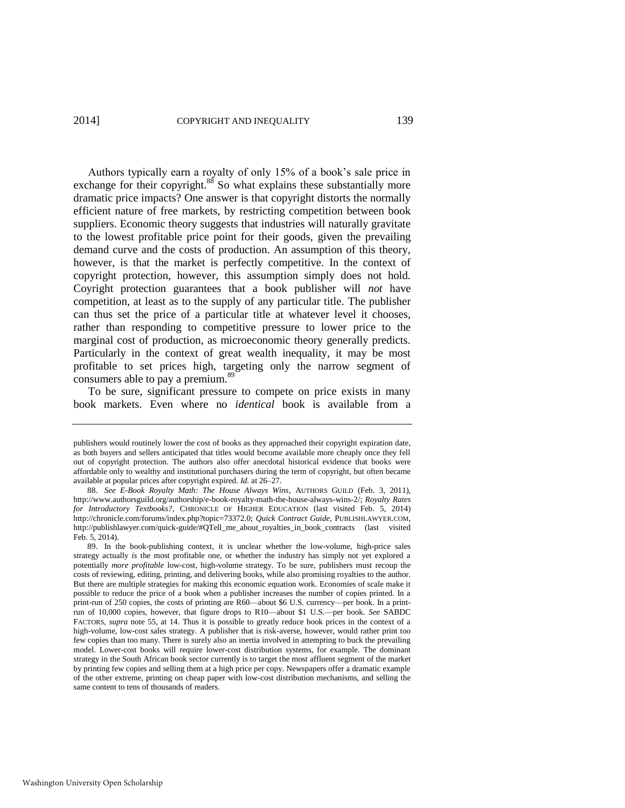Authors typically earn a royalty of only 15% of a book's sale price in exchange for their copyright.<sup>88</sup> So what explains these substantially more dramatic price impacts? One answer is that copyright distorts the normally efficient nature of free markets, by restricting competition between book suppliers. Economic theory suggests that industries will naturally gravitate to the lowest profitable price point for their goods, given the prevailing demand curve and the costs of production. An assumption of this theory, however, is that the market is perfectly competitive. In the context of copyright protection, however, this assumption simply does not hold. Coyright protection guarantees that a book publisher will *not* have competition, at least as to the supply of any particular title. The publisher can thus set the price of a particular title at whatever level it chooses, rather than responding to competitive pressure to lower price to the marginal cost of production, as microeconomic theory generally predicts. Particularly in the context of great wealth inequality, it may be most profitable to set prices high, targeting only the narrow segment of consumers able to pay a premium.<sup>89</sup>

To be sure, significant pressure to compete on price exists in many book markets. Even where no *identical* book is available from a

publishers would routinely lower the cost of books as they approached their copyright expiration date, as both buyers and sellers anticipated that titles would become available more cheaply once they fell out of copyright protection. The authors also offer anecdotal historical evidence that books were affordable only to wealthy and institutional purchasers during the term of copyright, but often became available at popular prices after copyright expired. *Id.* at 26–27.

<sup>88.</sup> *See E-Book Royalty Math: The House Always Wins*, AUTHORS GUILD (Feb. 3, 2011), http://www.authorsguild.org/authorship/e-book-royalty-math-the-house-always-wins-2/; *Royalty Rates for Introductory Textbooks?*, CHRONICLE OF HIGHER EDUCATION (last visited Feb. 5, 2014) http://chronicle.com/forums/index.php?topic=73372.0; *Quick Contract Guide*, PUBLISHLAWYER.COM, http://publishlawyer.com/quick-guide/#QTell\_me\_about\_royalties\_in\_book\_contracts (last visited Feb. 5, 2014).

<sup>89.</sup> In the book-publishing context, it is unclear whether the low-volume, high-price sales strategy actually *is* the most profitable one, or whether the industry has simply not yet explored a potentially *more profitable* low-cost, high-volume strategy. To be sure, publishers must recoup the costs of reviewing, editing, printing, and delivering books, while also promising royalties to the author. But there are multiple strategies for making this economic equation work. Economies of scale make it possible to reduce the price of a book when a publisher increases the number of copies printed. In a print-run of 250 copies, the costs of printing are R60—about \$6 U.S. currency—per book. In a printrun of 10,000 copies, however, that figure drops to R10—about \$1 U.S.—per book. *See* SABDC FACTORS, *supra* note [55,](#page-14-1) at 14. Thus it is possible to greatly reduce book prices in the context of a high-volume, low-cost sales strategy. A publisher that is risk-averse, however, would rather print too few copies than too many. There is surely also an inertia involved in attempting to buck the prevailing model. Lower-cost books will require lower-cost distribution systems, for example. The dominant strategy in the South African book sector currently is to target the most affluent segment of the market by printing few copies and selling them at a high price per copy. Newspapers offer a dramatic example of the other extreme, printing on cheap paper with low-cost distribution mechanisms, and selling the same content to tens of thousands of readers.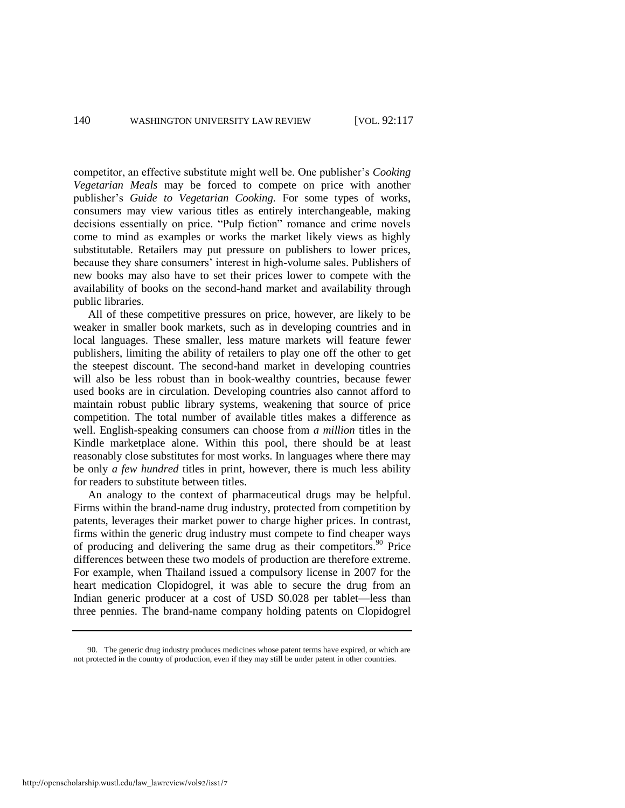competitor, an effective substitute might well be. One publisher's *Cooking Vegetarian Meals* may be forced to compete on price with another publisher's *Guide to Vegetarian Cooking.* For some types of works, consumers may view various titles as entirely interchangeable, making decisions essentially on price. "Pulp fiction" romance and crime novels come to mind as examples or works the market likely views as highly substitutable. Retailers may put pressure on publishers to lower prices, because they share consumers' interest in high-volume sales. Publishers of new books may also have to set their prices lower to compete with the availability of books on the second-hand market and availability through public libraries.

All of these competitive pressures on price, however, are likely to be weaker in smaller book markets, such as in developing countries and in local languages. These smaller, less mature markets will feature fewer publishers, limiting the ability of retailers to play one off the other to get the steepest discount. The second-hand market in developing countries will also be less robust than in book-wealthy countries, because fewer used books are in circulation. Developing countries also cannot afford to maintain robust public library systems, weakening that source of price competition. The total number of available titles makes a difference as well. English-speaking consumers can choose from *a million* titles in the Kindle marketplace alone. Within this pool, there should be at least reasonably close substitutes for most works. In languages where there may be only *a few hundred* titles in print, however, there is much less ability for readers to substitute between titles.

An analogy to the context of pharmaceutical drugs may be helpful. Firms within the brand-name drug industry, protected from competition by patents, leverages their market power to charge higher prices. In contrast, firms within the generic drug industry must compete to find cheaper ways of producing and delivering the same drug as their competitors.<sup>90</sup> Price differences between these two models of production are therefore extreme. For example, when Thailand issued a compulsory license in 2007 for the heart medication Clopidogrel, it was able to secure the drug from an Indian generic producer at a cost of USD \$0.028 per tablet—less than three pennies. The brand-name company holding patents on Clopidogrel

<sup>90.</sup> The generic drug industry produces medicines whose patent terms have expired, or which are not protected in the country of production, even if they may still be under patent in other countries.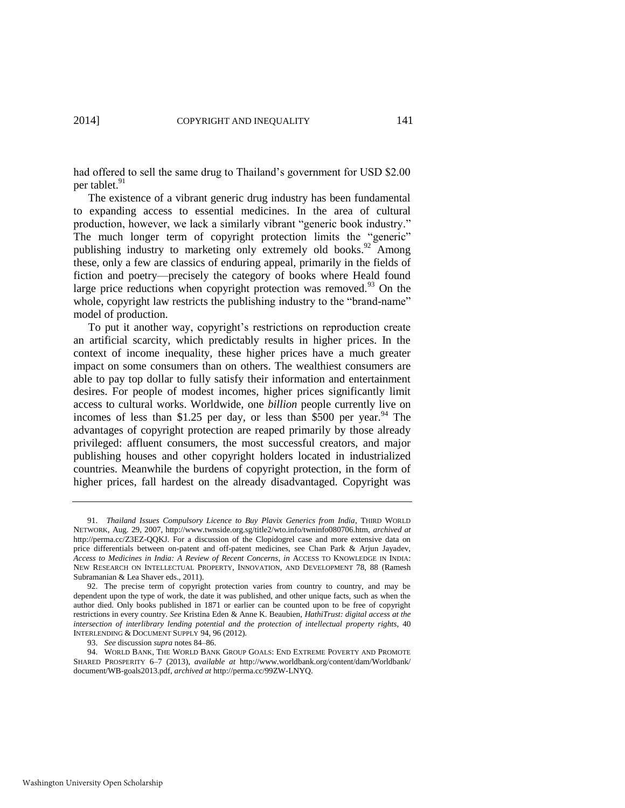had offered to sell the same drug to Thailand's government for USD \$2.00 per tablet.<sup>91</sup>

The existence of a vibrant generic drug industry has been fundamental to expanding access to essential medicines. In the area of cultural production, however, we lack a similarly vibrant "generic book industry." The much longer term of copyright protection limits the "generic" publishing industry to marketing only extremely old books.<sup>92</sup> Among these, only a few are classics of enduring appeal, primarily in the fields of fiction and poetry—precisely the category of books where Heald found large price reductions when copyright protection was removed. $93$  On the whole, copyright law restricts the publishing industry to the "brand-name" model of production.

To put it another way, copyright's restrictions on reproduction create an artificial scarcity, which predictably results in higher prices. In the context of income inequality, these higher prices have a much greater impact on some consumers than on others. The wealthiest consumers are able to pay top dollar to fully satisfy their information and entertainment desires. For people of modest incomes, higher prices significantly limit access to cultural works. Worldwide, one *billion* people currently live on incomes of less than \$1.25 per day, or less than \$500 per year.<sup>94</sup> The advantages of copyright protection are reaped primarily by those already privileged: affluent consumers, the most successful creators, and major publishing houses and other copyright holders located in industrialized countries. Meanwhile the burdens of copyright protection, in the form of higher prices, fall hardest on the already disadvantaged. Copyright was

<sup>91.</sup> *Thailand Issues Compulsory Licence to Buy Plavix Generics from India*, THIRD WORLD NETWORK, Aug. 29, 2007, http://www.twnside.org.sg/title2/wto.info/twninfo080706.htm, *archived at* http://perma.cc/Z3EZ-QQKJ. For a discussion of the Clopidogrel case and more extensive data on price differentials between on-patent and off-patent medicines, see Chan Park & Arjun Jayadev, *Access to Medicines in India: A Review of Recent Concerns*, *in* ACCESS TO KNOWLEDGE IN INDIA: NEW RESEARCH ON INTELLECTUAL PROPERTY, INNOVATION, AND DEVELOPMENT 78, 88 (Ramesh Subramanian & Lea Shaver eds., 2011).

<sup>92.</sup> The precise term of copyright protection varies from country to country, and may be dependent upon the type of work, the date it was published, and other unique facts, such as when the author died. Only books published in 1871 or earlier can be counted upon to be free of copyright restrictions in every country. *See* Kristina Eden & Anne K. Beaubien, *HathiTrust: digital access at the intersection of interlibrary lending potential and the protection of intellectual property rights*, 40 INTERLENDING & DOCUMENT SUPPLY 94, 96 (2012).

<sup>93.</sup> *See* discussion *supra* notes 84–86.

<sup>94.</sup> WORLD BANK, THE WORLD BANK GROUP GOALS: END EXTREME POVERTY AND PROMOTE SHARED PROSPERITY 6–7 (2013), *available at* http://www.worldbank.org/content/dam/Worldbank/ document/WB-goals2013.pdf, *archived at* http://perma.cc/99ZW-LNYQ.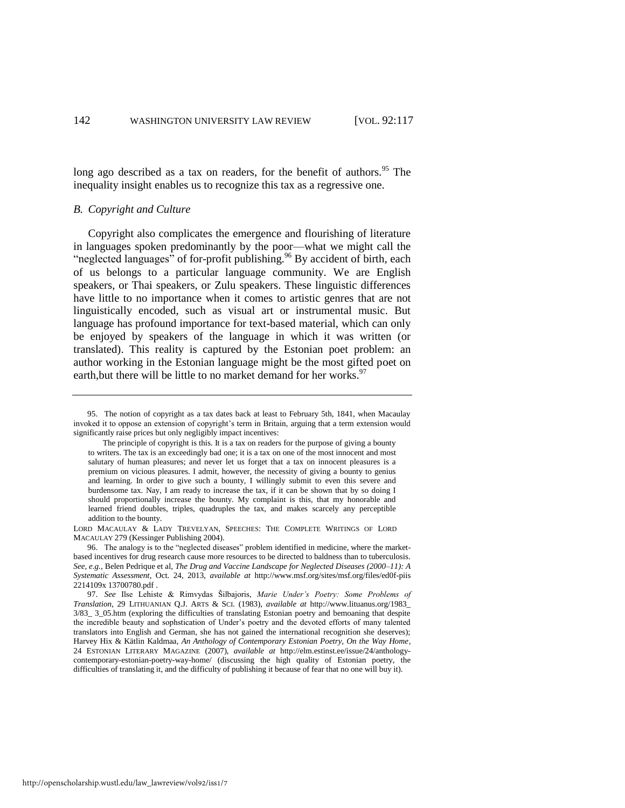long ago described as a tax on readers, for the benefit of authors.<sup>95</sup> The inequality insight enables us to recognize this tax as a regressive one.

# *B. Copyright and Culture*

Copyright also complicates the emergence and flourishing of literature in languages spoken predominantly by the poor—what we might call the "neglected languages" of for-profit publishing.<sup>96</sup> By accident of birth, each of us belongs to a particular language community. We are English speakers, or Thai speakers, or Zulu speakers. These linguistic differences have little to no importance when it comes to artistic genres that are not linguistically encoded, such as visual art or instrumental music. But language has profound importance for text-based material, which can only be enjoyed by speakers of the language in which it was written (or translated). This reality is captured by the Estonian poet problem: an author working in the Estonian language might be the most gifted poet on earth, but there will be little to no market demand for her works.<sup>97</sup>

LORD MACAULAY & LADY TREVELYAN, SPEECHES: THE COMPLETE WRITINGS OF LORD MACAULAY 279 (Kessinger Publishing 2004).

96. The analogy is to the "neglected diseases" problem identified in medicine, where the marketbased incentives for drug research cause more resources to be directed to baldness than to tuberculosis. *See, e.g.*, Belen Pedrique et al, *The Drug and Vaccine Landscape for Neglected Diseases (2000–11): A Systematic Assessment*, Oct. 24, 2013, *available at* http://www.msf.org/sites/msf.org/files/ed0f-piis 2214109x 13700780.pdf .

<sup>95.</sup> The notion of copyright as a tax dates back at least to February 5th, 1841, when Macaulay invoked it to oppose an extension of copyright's term in Britain, arguing that a term extension would significantly raise prices but only negligibly impact incentives:

The principle of copyright is this. It is a tax on readers for the purpose of giving a bounty to writers. The tax is an exceedingly bad one; it is a tax on one of the most innocent and most salutary of human pleasures; and never let us forget that a tax on innocent pleasures is a premium on vicious pleasures. I admit, however, the necessity of giving a bounty to genius and learning. In order to give such a bounty, I willingly submit to even this severe and burdensome tax. Nay, I am ready to increase the tax, if it can be shown that by so doing I should proportionally increase the bounty. My complaint is this, that my honorable and learned friend doubles, triples, quadruples the tax, and makes scarcely any perceptible addition to the bounty.

<sup>97.</sup> *See* Ilse Lehiste & Rimvydas Šilbajoris, *Marie Under's Poetry: Some Problems of Translation*, 29 LITHUANIAN Q.J. ARTS & SCI. (1983), *available at* http://www.lituanus.org/1983\_ 3/83\_ 3\_05.htm (exploring the difficulties of translating Estonian poetry and bemoaning that despite the incredible beauty and sophstication of Under's poetry and the devoted efforts of many talented translators into English and German, she has not gained the international recognition she deserves); Harvey Hix & Kätlin Kaldmaa, *An Anthology of Contemporary Estonian Poetry, On the Way Home*, 24 ESTONIAN LITERARY MAGAZINE (2007), *available at* http://elm.estinst.ee/issue/24/anthologycontemporary-estonian-poetry-way-home/ (discussing the high quality of Estonian poetry, the difficulties of translating it, and the difficulty of publishing it because of fear that no one will buy it).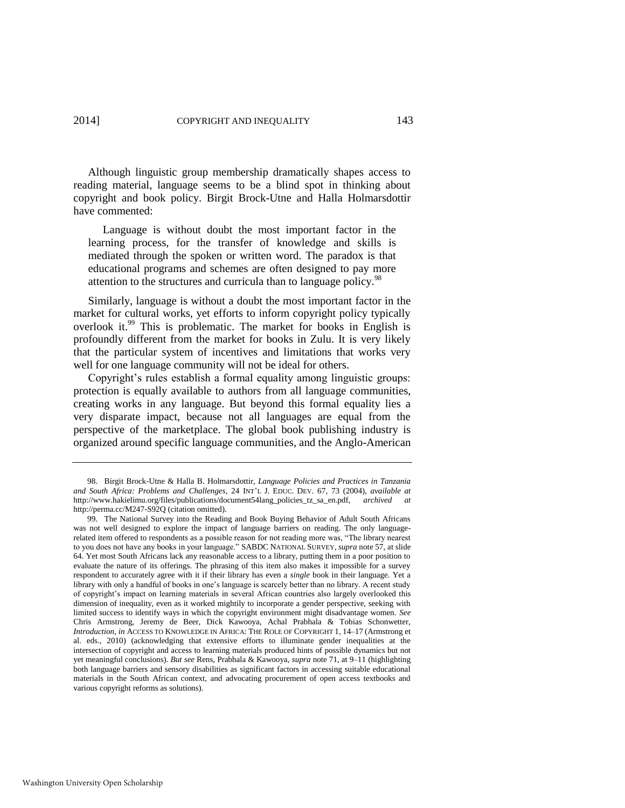Although linguistic group membership dramatically shapes access to reading material, language seems to be a blind spot in thinking about copyright and book policy. Birgit Brock-Utne and Halla Holmarsdottir have commented:

 Language is without doubt the most important factor in the learning process, for the transfer of knowledge and skills is mediated through the spoken or written word. The paradox is that educational programs and schemes are often designed to pay more attention to the structures and curricula than to language policy.<sup>98</sup>

<span id="page-27-0"></span>Similarly, language is without a doubt the most important factor in the market for cultural works, yet efforts to inform copyright policy typically overlook it.<sup>99</sup> This is problematic. The market for books in English is profoundly different from the market for books in Zulu. It is very likely that the particular system of incentives and limitations that works very well for one language community will not be ideal for others.

Copyright's rules establish a formal equality among linguistic groups: protection is equally available to authors from all language communities, creating works in any language. But beyond this formal equality lies a very disparate impact, because not all languages are equal from the perspective of the marketplace. The global book publishing industry is organized around specific language communities, and the Anglo-American

<sup>98.</sup> Birgit Brock-Utne & Halla B. Holmarsdottir, *Language Policies and Practices in Tanzania and South Africa: Problems and Challenges*, 24 INT'L J. EDUC. DEV. 67, 73 (2004), *available at* http://www.hakielimu.org/files/publications/document54lang\_policies\_tz\_sa\_en.pdf, *archived at* http://perma.cc/M247-S92Q (citation omitted).

<sup>99.</sup> The National Survey into the Reading and Book Buying Behavior of Adult South Africans was not well designed to explore the impact of language barriers on reading. The only languagerelated item offered to respondents as a possible reason for not reading more was, "The library nearest to you does not have any books in your language." SABDC NATIONAL SURVEY, *supra* not[e 57,](#page-15-0) at slide 64. Yet most South Africans lack any reasonable access to a library, putting them in a poor position to evaluate the nature of its offerings. The phrasing of this item also makes it impossible for a survey respondent to accurately agree with it if their library has even a *single* book in their language. Yet a library with only a handful of books in one's language is scarcely better than no library. A recent study of copyright's impact on learning materials in several African countries also largely overlooked this dimension of inequality, even as it worked mightily to incorporate a gender perspective, seeking with limited success to identify ways in which the copyright environment might disadvantage women. *See*  Chris Armstrong, Jeremy de Beer, Dick Kawooya, Achal Prabhala & Tobias Schonwetter, *Introduction*, *in* ACCESS TO KNOWLEDGE IN AFRICA: THE ROLE OF COPYRIGHT 1, 14–17 (Armstrong et al. eds., 2010) (acknowledging that extensive efforts to illuminate gender inequalities at the intersection of copyright and access to learning materials produced hints of possible dynamics but not yet meaningful conclusions). *But see* Rens, Prabhala & Kawooya, *supra* not[e 71,](#page-17-0) at 9–11 (highlighting both language barriers and sensory disabilities as significant factors in accessing suitable educational materials in the South African context, and advocating procurement of open access textbooks and various copyright reforms as solutions).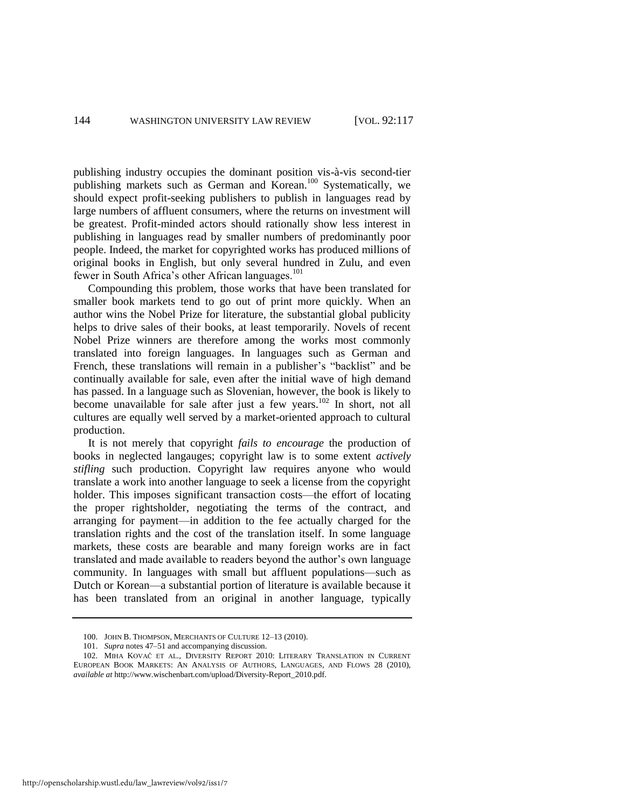publishing industry occupies the dominant position vis-à-vis second-tier publishing markets such as German and Korean.<sup>100</sup> Systematically, we should expect profit-seeking publishers to publish in languages read by large numbers of affluent consumers, where the returns on investment will be greatest. Profit-minded actors should rationally show less interest in publishing in languages read by smaller numbers of predominantly poor people. Indeed, the market for copyrighted works has produced millions of original books in English, but only several hundred in Zulu, and even fewer in South Africa's other African languages.<sup>101</sup>

Compounding this problem, those works that have been translated for smaller book markets tend to go out of print more quickly. When an author wins the Nobel Prize for literature, the substantial global publicity helps to drive sales of their books, at least temporarily. Novels of recent Nobel Prize winners are therefore among the works most commonly translated into foreign languages. In languages such as German and French, these translations will remain in a publisher's "backlist" and be continually available for sale, even after the initial wave of high demand has passed. In a language such as Slovenian, however, the book is likely to become unavailable for sale after just a few years.<sup>102</sup> In short, not all cultures are equally well served by a market-oriented approach to cultural production.

It is not merely that copyright *fails to encourage* the production of books in neglected langauges; copyright law is to some extent *actively stifling* such production. Copyright law requires anyone who would translate a work into another language to seek a license from the copyright holder. This imposes significant transaction costs—the effort of locating the proper rightsholder, negotiating the terms of the contract, and arranging for payment—in addition to the fee actually charged for the translation rights and the cost of the translation itself. In some language markets, these costs are bearable and many foreign works are in fact translated and made available to readers beyond the author's own language community. In languages with small but affluent populations—such as Dutch or Korean—a substantial portion of literature is available because it has been translated from an original in another language, typically

http://openscholarship.wustl.edu/law\_lawreview/vol92/iss1/7

<sup>100.</sup> JOHN B. THOMPSON, MERCHANTS OF CULTURE 12–13 (2010).

<sup>101.</sup> *Supra* note[s 47](#page-13-0)[–51](#page-13-2) and accompanying discussion.

<sup>102.</sup> MIHA KOVAČ ET AL., DIVERSITY REPORT 2010: LITERARY TRANSLATION IN CURRENT EUROPEAN BOOK MARKETS: AN ANALYSIS OF AUTHORS, LANGUAGES, AND FLOWS 28 (2010), *available at* http://www.wischenbart.com/upload/Diversity-Report\_2010.pdf.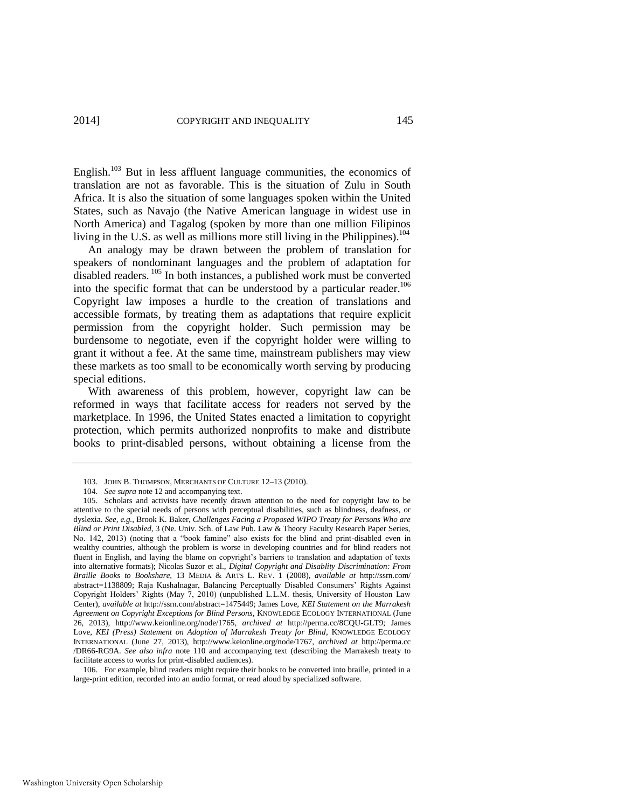English.<sup>103</sup> But in less affluent language communities, the economics of translation are not as favorable. This is the situation of Zulu in South Africa. It is also the situation of some languages spoken within the United States, such as Navajo (the Native American language in widest use in North America) and Tagalog (spoken by more than one million Filipinos living in the U.S. as well as millions more still living in the Philippines).<sup>104</sup>

An analogy may be drawn between the problem of translation for speakers of nondominant languages and the problem of adaptation for disabled readers. <sup>105</sup> In both instances, a published work must be converted into the specific format that can be understood by a particular reader.<sup>106</sup> Copyright law imposes a hurdle to the creation of translations and accessible formats, by treating them as adaptations that require explicit permission from the copyright holder. Such permission may be burdensome to negotiate, even if the copyright holder were willing to grant it without a fee. At the same time, mainstream publishers may view these markets as too small to be economically worth serving by producing special editions.

With awareness of this problem, however, copyright law can be reformed in ways that facilitate access for readers not served by the marketplace. In 1996, the United States enacted a limitation to copyright protection, which permits authorized nonprofits to make and distribute books to print-disabled persons, without obtaining a license from the

106. For example, blind readers might require their books to be converted into braille, printed in a large-print edition, recorded into an audio format, or read aloud by specialized software.

<sup>103.</sup> JOHN B. THOMPSON, MERCHANTS OF CULTURE 12–13 (2010).

<sup>104.</sup> *See supra* not[e 12 a](#page-4-1)nd accompanying text.

<sup>105.</sup> Scholars and activists have recently drawn attention to the need for copyright law to be attentive to the special needs of persons with perceptual disabilities, such as blindness, deafness, or dyslexia. *See, e.g.*, Brook K. Baker, *Challenges Facing a Proposed WIPO Treaty for Persons Who are Blind or Print Disabled*, 3 (Ne. Univ. Sch. of Law Pub. Law & Theory Faculty Research Paper Series, No. 142, 2013) (noting that a "book famine" also exists for the blind and print-disabled even in wealthy countries, although the problem is worse in developing countries and for blind readers not fluent in English, and laying the blame on copyright's barriers to translation and adaptation of texts into alternative formats); Nicolas Suzor et al., *Digital Copyright and Disablity Discrimination: From Braille Books to Bookshare*, 13 MEDIA & ARTS L. REV. 1 (2008), *available at* http://ssrn.com/ abstract=1138809; Raja Kushalnagar, Balancing Perceptually Disabled Consumers' Rights Against Copyright Holders' Rights (May 7, 2010) (unpublished L.L.M. thesis, University of Houston Law Center), *available at* http://ssrn.com/abstract=1475449; James Love, *KEI Statement on the Marrakesh Agreement on Copyright Exceptions for Blind Persons*, KNOWLEDGE ECOLOGY INTERNATIONAL (June 26, 2013), http://www.keionline.org/node/1765, *archived at* http://perma.cc/8CQU-GLT9; James Love, *KEI (Press) Statement on Adoption of Marrakesh Treaty for Blind*, KNOWLEDGE ECOLOGY INTERNATIONAL (June 27, 2013), http://www.keionline.org/node/1767, *archived at* http://perma.cc /DR66-RG9A. *See also infra* note [110](#page-30-0) and accompanying text (describing the Marrakesh treaty to facilitate access to works for print-disabled audiences).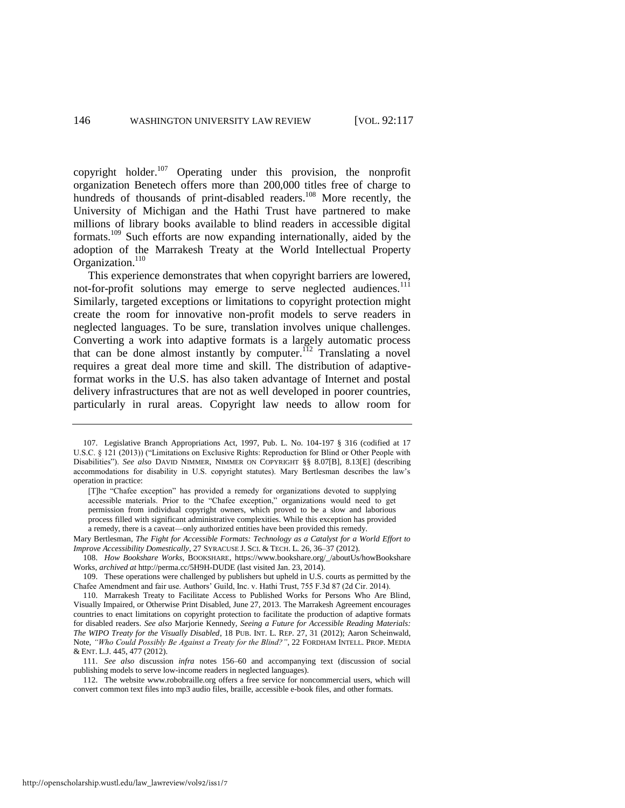copyright holder.<sup>107</sup> Operating under this provision, the nonprofit organization Benetech offers more than 200,000 titles free of charge to hundreds of thousands of print-disabled readers.<sup>108</sup> More recently, the University of Michigan and the Hathi Trust have partnered to make millions of library books available to blind readers in accessible digital formats.<sup>109</sup> Such efforts are now expanding internationally, aided by the adoption of the Marrakesh Treaty at the World Intellectual Property Organization.<sup>110</sup>

<span id="page-30-0"></span>This experience demonstrates that when copyright barriers are lowered, not-for-profit solutions may emerge to serve neglected audiences.<sup>111</sup> Similarly, targeted exceptions or limitations to copyright protection might create the room for innovative non-profit models to serve readers in neglected languages. To be sure, translation involves unique challenges. Converting a work into adaptive formats is a largely automatic process that can be done almost instantly by computer.<sup> $112$ </sup> Translating a novel requires a great deal more time and skill. The distribution of adaptiveformat works in the U.S. has also taken advantage of Internet and postal delivery infrastructures that are not as well developed in poorer countries, particularly in rural areas. Copyright law needs to allow room for

<sup>107.</sup> Legislative Branch Appropriations Act, 1997, Pub. L. No. 104-197 § 316 (codified at 17 U.S.C. § 121 (2013)) ("Limitations on Exclusive Rights: Reproduction for Blind or Other People with Disabilities"). *See also* DAVID NIMMER, NIMMER ON COPYRIGHT §§ 8.07[B], 8.13[E] (describing accommodations for disability in U.S. copyright statutes). Mary Bertlesman describes the law's operation in practice:

<sup>[</sup>T]he "Chafee exception" has provided a remedy for organizations devoted to supplying accessible materials. Prior to the "Chafee exception," organizations would need to get permission from individual copyright owners, which proved to be a slow and laborious process filled with significant administrative complexities. While this exception has provided a remedy, there is a caveat—only authorized entities have been provided this remedy.

Mary Bertlesman, *The Fight for Accessible Formats: Technology as a Catalyst for a World Effort to Improve Accessibility Domestically*, 27 SYRACUSE J. SCI. & TECH. L. 26, 36–37 (2012).

<sup>108.</sup> *How Bookshare Works*, BOOKSHARE, https://www.bookshare.org/\_/aboutUs/howBookshare Works, *archived at* http://perma.cc/5H9H-DUDE (last visited Jan. 23, 2014).

<sup>109.</sup> These operations were challenged by publishers but upheld in U.S. courts as permitted by the Chafee Amendment and fair use. Authors' Guild, Inc. v. Hathi Trust, 755 F.3d 87 (2d Cir. 2014).

<sup>110.</sup> Marrakesh Treaty to Facilitate Access to Published Works for Persons Who Are Blind, Visually Impaired, or Otherwise Print Disabled, June 27, 2013. The Marrakesh Agreement encourages countries to enact limitations on copyright protection to facilitate the production of adaptive formats for disabled readers. *See also* Marjorie Kennedy, *Seeing a Future for Accessible Reading Materials: The WIPO Treaty for the Visually Disabled*, 18 PUB. INT. L. REP. 27, 31 (2012); Aaron Scheinwald, Note, *"Who Could Possibly Be Against a Treaty for the Blind?"*, 22 FORDHAM INTELL. PROP. MEDIA & ENT. L.J. 445, 477 (2012).

<sup>111.</sup> *See also* discussion *infra* notes 156–60 and accompanying text (discussion of social publishing models to serve low-income readers in neglected languages).

<sup>112.</sup> The website www.robobraille.org offers a free service for noncommercial users, which will convert common text files into mp3 audio files, braille, accessible e-book files, and other formats.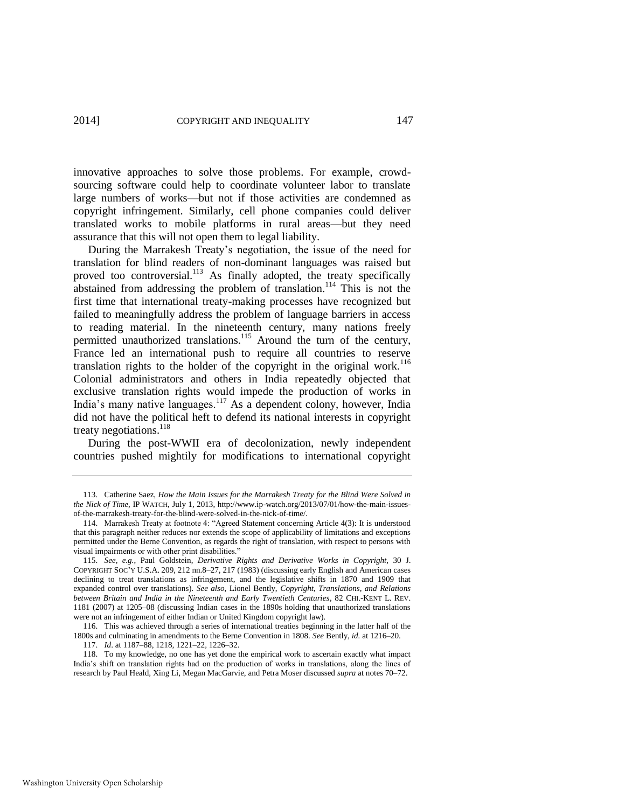innovative approaches to solve those problems. For example, crowdsourcing software could help to coordinate volunteer labor to translate large numbers of works—but not if those activities are condemned as copyright infringement. Similarly, cell phone companies could deliver translated works to mobile platforms in rural areas—but they need assurance that this will not open them to legal liability.

During the Marrakesh Treaty's negotiation, the issue of the need for translation for blind readers of non-dominant languages was raised but proved too controversial.<sup>113</sup> As finally adopted, the treaty specifically abstained from addressing the problem of translation.<sup>114</sup> This is not the first time that international treaty-making processes have recognized but failed to meaningfully address the problem of language barriers in access to reading material. In the nineteenth century, many nations freely permitted unauthorized translations.<sup>115</sup> Around the turn of the century, France led an international push to require all countries to reserve translation rights to the holder of the copyright in the original work.<sup>116</sup> Colonial administrators and others in India repeatedly objected that exclusive translation rights would impede the production of works in India's many native languages.<sup>117</sup> As a dependent colony, however, India did not have the political heft to defend its national interests in copyright treaty negotiations. $^{118}$ 

During the post-WWII era of decolonization, newly independent countries pushed mightily for modifications to international copyright

116. This was achieved through a series of international treaties beginning in the latter half of the 1800s and culminating in amendments to the Berne Convention in 1808. *See* Bently, *id.* at 1216–20.

117. *Id*. at 1187–88, 1218, 1221–22, 1226–32.

118. To my knowledge, no one has yet done the empirical work to ascertain exactly what impact India's shift on translation rights had on the production of works in translations, along the lines of research by Paul Heald, Xing Li, Megan MacGarvie, and Petra Moser discussed *supra* at note[s 70–](#page-17-1)[72.](#page-17-2) 

<sup>113.</sup> Catherine Saez, *How the Main Issues for the Marrakesh Treaty for the Blind Were Solved in the Nick of Time*, IP WATCH, July 1, 2013, http://www.ip-watch.org/2013/07/01/how-the-main-issuesof-the-marrakesh-treaty-for-the-blind-were-solved-in-the-nick-of-time/.

<sup>114.</sup> Marrakesh Treaty at footnote 4: "Agreed Statement concerning Article 4(3): It is understood that this paragraph neither reduces nor extends the scope of applicability of limitations and exceptions permitted under the Berne Convention, as regards the right of translation, with respect to persons with visual impairments or with other print disabilities."

<sup>115.</sup> *See, e.g.*, Paul Goldstein, *Derivative Rights and Derivative Works in Copyright,* 30 J. COPYRIGHT SOC'Y U.S.A. 209, 212 nn.8–27, 217 (1983) (discussing early English and American cases declining to treat translations as infringement, and the legislative shifts in 1870 and 1909 that expanded control over translations). *See also*, Lionel Bently, *Copyright, Translations, and Relations between Britain and India in the Nineteenth and Early Twentieth Centuries*, 82 CHI.-KENT L. REV. 1181 (2007) at 1205–08 (discussing Indian cases in the 1890s holding that unauthorized translations were not an infringement of either Indian or United Kingdom copyright law).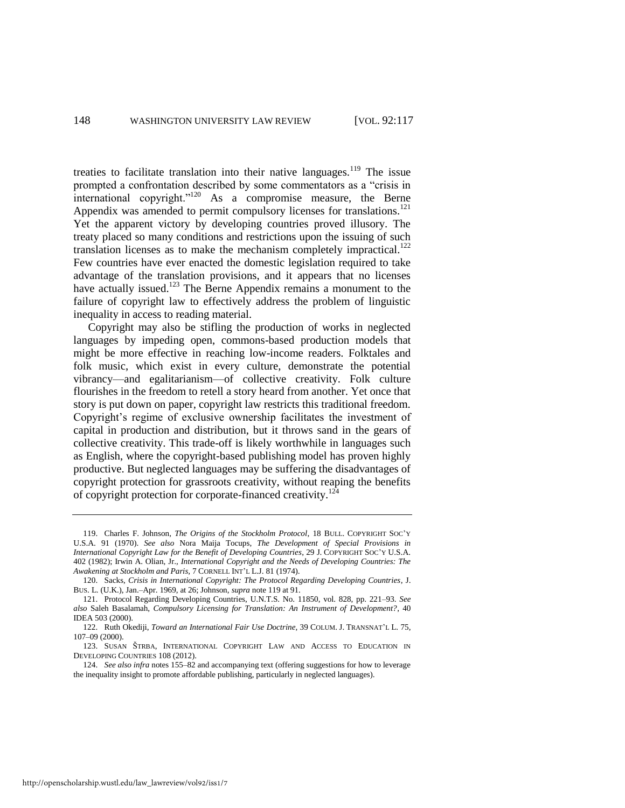<span id="page-32-0"></span>treaties to facilitate translation into their native languages.<sup>119</sup> The issue prompted a confrontation described by some commentators as a "crisis in international copyright."<sup>120</sup> As a compromise measure, the Berne Appendix was amended to permit compulsory licenses for translations.<sup>121</sup> Yet the apparent victory by developing countries proved illusory. The treaty placed so many conditions and restrictions upon the issuing of such translation licenses as to make the mechanism completely impractical.<sup>122</sup> Few countries have ever enacted the domestic legislation required to take advantage of the translation provisions, and it appears that no licenses have actually issued.<sup>123</sup> The Berne Appendix remains a monument to the failure of copyright law to effectively address the problem of linguistic inequality in access to reading material.

Copyright may also be stifling the production of works in neglected languages by impeding open, commons-based production models that might be more effective in reaching low-income readers. Folktales and folk music, which exist in every culture, demonstrate the potential vibrancy—and egalitarianism—of collective creativity. Folk culture flourishes in the freedom to retell a story heard from another. Yet once that story is put down on paper, copyright law restricts this traditional freedom. Copyright's regime of exclusive ownership facilitates the investment of capital in production and distribution, but it throws sand in the gears of collective creativity. This trade-off is likely worthwhile in languages such as English, where the copyright-based publishing model has proven highly productive. But neglected languages may be suffering the disadvantages of copyright protection for grassroots creativity, without reaping the benefits of copyright protection for corporate-financed creativity.<sup>124</sup>

<sup>119.</sup> Charles F. Johnson, *The Origins of the Stockholm Protocol*, 18 BULL. COPYRIGHT SOC'Y U.S.A. 91 (1970). *See also* Nora Maija Tocups, *The Development of Special Provisions in International Copyright Law for the Benefit of Developing Countries*, 29 J. COPYRIGHT SOC'Y U.S.A. 402 (1982); Irwin A. Olian, Jr., *International Copyright and the Needs of Developing Countries: The Awakening at Stockholm and Paris,* 7 CORNELL INT'L L.J. 81 (1974).

<sup>120.</sup> Sacks, *Crisis in International Copyright: The Protocol Regarding Developing Countries*, J. BUS. L. (U.K.), Jan.–Apr. 1969, at 26; Johnson, *supra* not[e 119 a](#page-32-0)t 91.

<sup>121.</sup> Protocol Regarding Developing Countries, U.N.T.S. No. 11850, vol. 828, pp. 221–93. *See also* Saleh Basalamah, *Compulsory Licensing for Translation: An Instrument of Development?*, 40 IDEA 503 (2000).

<sup>122.</sup> Ruth Okediji, *Toward an International Fair Use Doctrine*, 39 COLUM. J. TRANSNAT'L L. 75, 107–09 (2000).

<sup>123.</sup> SUSAN ŠTRBA, INTERNATIONAL COPYRIGHT LAW AND ACCESS TO EDUCATION IN DEVELOPING COUNTRIES 108 (2012).

<sup>124.</sup> *See also infra* note[s 155–](#page-43-0)82 and accompanying text (offering suggestions for how to leverage the inequality insight to promote affordable publishing, particularly in neglected languages).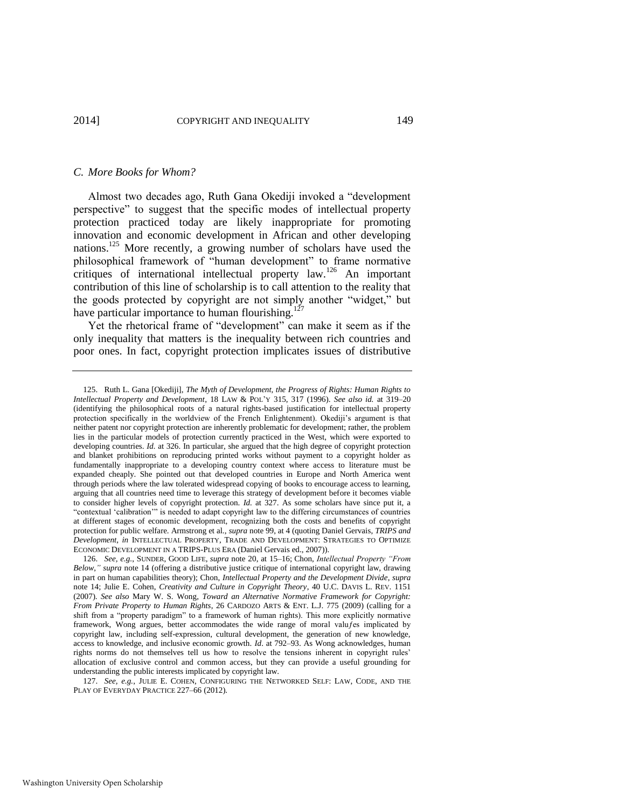#### *C. More Books for Whom?*

Almost two decades ago, Ruth Gana Okediji invoked a "development perspective" to suggest that the specific modes of intellectual property protection practiced today are likely inappropriate for promoting innovation and economic development in African and other developing nations.<sup>125</sup> More recently, a growing number of scholars have used the philosophical framework of "human development" to frame normative critiques of international intellectual property law.<sup>126</sup> An important contribution of this line of scholarship is to call attention to the reality that the goods protected by copyright are not simply another "widget," but have particular importance to human flourishing.<sup>127</sup>

Yet the rhetorical frame of "development" can make it seem as if the only inequality that matters is the inequality between rich countries and poor ones. In fact, copyright protection implicates issues of distributive

<sup>125.</sup> Ruth L. Gana [Okediji], *The Myth of Development, the Progress of Rights: Human Rights to Intellectual Property and Development*, 18 LAW & POL'Y 315, 317 (1996). *See also id.* at 319–20 (identifying the philosophical roots of a natural rights-based justification for intellectual property protection specifically in the worldview of the French Enlightenment). Okediji's argument is that neither patent nor copyright protection are inherently problematic for development; rather, the problem lies in the particular models of protection currently practiced in the West, which were exported to developing countries. *Id.* at 326. In particular, she argued that the high degree of copyright protection and blanket prohibitions on reproducing printed works without payment to a copyright holder as fundamentally inappropriate to a developing country context where access to literature must be expanded cheaply. She pointed out that developed countries in Europe and North America went through periods where the law tolerated widespread copying of books to encourage access to learning, arguing that all countries need time to leverage this strategy of development before it becomes viable to consider higher levels of copyright protection. *Id.* at 327. As some scholars have since put it, a "contextual 'calibration'" is needed to adapt copyright law to the differing circumstances of countries at different stages of economic development, recognizing both the costs and benefits of copyright protection for public welfare. Armstrong et al., *supra* not[e 99,](#page-27-0) at 4 (quoting Daniel Gervais, *TRIPS and Development*, *in* INTELLECTUAL PROPERTY, TRADE AND DEVELOPMENT: STRATEGIES TO OPTIMIZE ECONOMIC DEVELOPMENT IN A TRIPS-PLUS ERA (Daniel Gervais ed., 2007)).

<sup>126.</sup> *See, e.g.*, SUNDER, GOOD LIFE, *supra* note [20,](#page-6-0) at 15–16; Chon, *Intellectual Property "From Below*,*" supra* note [14](#page-5-0) (offering a distributive justice critique of international copyright law, drawing in part on human capabilities theory); Chon, *Intellectual Property and the Development Divide*, *supra* note [14;](#page-5-0) Julie E. Cohen, *Creativity and Culture in Copyright Theory*, 40 U.C. DAVIS L. REV. 1151 (2007). *See also* Mary W. S. Wong, *Toward an Alternative Normative Framework for Copyright: From Private Property to Human Rights*, 26 CARDOZO ARTS & ENT. L.J. 775 (2009) (calling for a shift from a "property paradigm" to a framework of human rights). This more explicitly normative framework, Wong argues, better accommodates the wide range of moral valufes implicated by copyright law, including self-expression, cultural development, the generation of new knowledge, access to knowledge, and inclusive economic growth. *Id*. at 792–93. As Wong acknowledges, human rights norms do not themselves tell us how to resolve the tensions inherent in copyright rules' allocation of exclusive control and common access, but they can provide a useful grounding for understanding the public interests implicated by copyright law.

<sup>127.</sup> *See, e.g.*, JULIE E. COHEN, CONFIGURING THE NETWORKED SELF: LAW, CODE, AND THE PLAY OF EVERYDAY PRACTICE 227–66 (2012).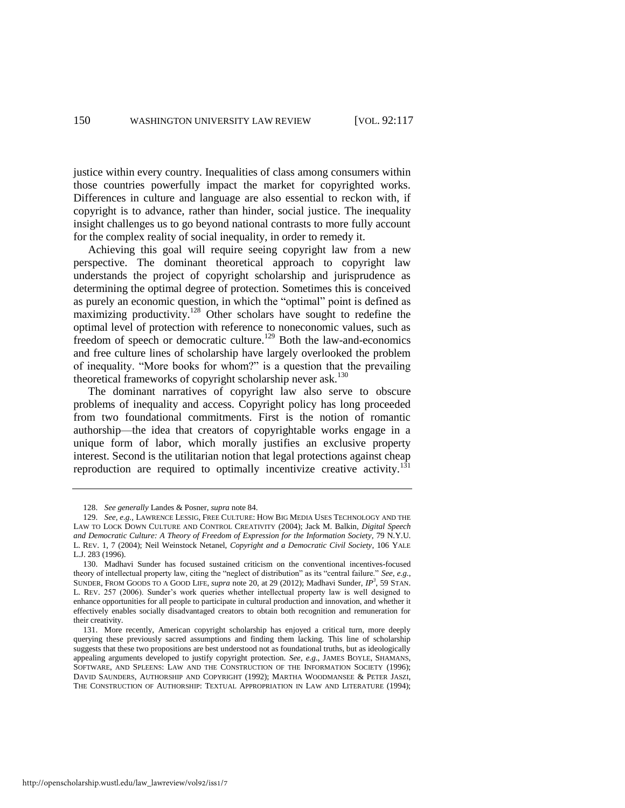justice within every country. Inequalities of class among consumers within those countries powerfully impact the market for copyrighted works. Differences in culture and language are also essential to reckon with, if copyright is to advance, rather than hinder, social justice. The inequality insight challenges us to go beyond national contrasts to more fully account for the complex reality of social inequality, in order to remedy it.

Achieving this goal will require seeing copyright law from a new perspective. The dominant theoretical approach to copyright law understands the project of copyright scholarship and jurisprudence as determining the optimal degree of protection. Sometimes this is conceived as purely an economic question, in which the "optimal" point is defined as maximizing productivity.<sup>128</sup> Other scholars have sought to redefine the optimal level of protection with reference to noneconomic values, such as freedom of speech or democratic culture.<sup>129</sup> Both the law-and-economics and free culture lines of scholarship have largely overlooked the problem of inequality. "More books for whom?" is a question that the prevailing theoretical frameworks of copyright scholarship never  $ask$ <sup>130</sup>

<span id="page-34-1"></span><span id="page-34-0"></span>The dominant narratives of copyright law also serve to obscure problems of inequality and access. Copyright policy has long proceeded from two foundational commitments. First is the notion of romantic authorship—the idea that creators of copyrightable works engage in a unique form of labor, which morally justifies an exclusive property interest. Second is the utilitarian notion that legal protections against cheap reproduction are required to optimally incentivize creative activity.<sup>131</sup>

<sup>128.</sup> *See generally* Landes & Posner, *supra* not[e 84.](#page-21-0) 

<sup>129.</sup> *See, e.g.*, LAWRENCE LESSIG, FREE CULTURE: HOW BIG MEDIA USES TECHNOLOGY AND THE LAW TO LOCK DOWN CULTURE AND CONTROL CREATIVITY (2004); Jack M. Balkin, *Digital Speech and Democratic Culture: A Theory of Freedom of Expression for the Information Society*, 79 N.Y.U. L. REV. 1, 7 (2004); Neil Weinstock Netanel, *Copyright and a Democratic Civil Society*, 106 YALE L.J. 283 (1996).

<sup>130.</sup> Madhavi Sunder has focused sustained criticism on the conventional incentives-focused theory of intellectual property law, citing the "neglect of distribution" as its "central failure." *See, e.g.*, SUNDER, FROM GOODS TO A GOOD LIFE, *supra* note [20,](#page-6-0) at 29 (2012); Madhavi Sunder, *IP<sup>3</sup>* , 59 STAN. L. REV. 257 (2006). Sunder's work queries whether intellectual property law is well designed to enhance opportunities for all people to participate in cultural production and innovation, and whether it effectively enables socially disadvantaged creators to obtain both recognition and remuneration for their creativity.

<sup>131.</sup> More recently, American copyright scholarship has enjoyed a critical turn, more deeply querying these previously sacred assumptions and finding them lacking. This line of scholarship suggests that these two propositions are best understood not as foundational truths, but as ideologically appealing arguments developed to justify copyright protection. *See, e.g.*, JAMES BOYLE, SHAMANS, SOFTWARE, AND SPLEENS: LAW AND THE CONSTRUCTION OF THE INFORMATION SOCIETY (1996); DAVID SAUNDERS, AUTHORSHIP AND COPYRIGHT (1992); MARTHA WOODMANSEE & PETER JASZI, THE CONSTRUCTION OF AUTHORSHIP: TEXTUAL APPROPRIATION IN LAW AND LITERATURE (1994);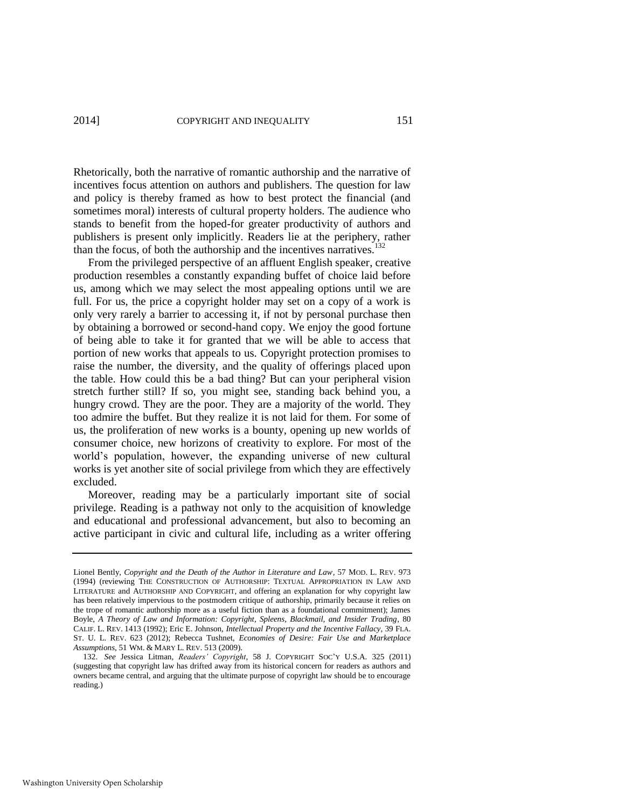Rhetorically, both the narrative of romantic authorship and the narrative of incentives focus attention on authors and publishers. The question for law and policy is thereby framed as how to best protect the financial (and sometimes moral) interests of cultural property holders. The audience who stands to benefit from the hoped-for greater productivity of authors and publishers is present only implicitly. Readers lie at the periphery, rather than the focus, of both the authorship and the incentives narratives.<sup>132</sup>

From the privileged perspective of an affluent English speaker, creative production resembles a constantly expanding buffet of choice laid before us, among which we may select the most appealing options until we are full. For us, the price a copyright holder may set on a copy of a work is only very rarely a barrier to accessing it, if not by personal purchase then by obtaining a borrowed or second-hand copy. We enjoy the good fortune of being able to take it for granted that we will be able to access that portion of new works that appeals to us. Copyright protection promises to raise the number, the diversity, and the quality of offerings placed upon the table. How could this be a bad thing? But can your peripheral vision stretch further still? If so, you might see, standing back behind you, a hungry crowd. They are the poor. They are a majority of the world. They too admire the buffet. But they realize it is not laid for them. For some of us, the proliferation of new works is a bounty, opening up new worlds of consumer choice, new horizons of creativity to explore. For most of the world's population, however, the expanding universe of new cultural works is yet another site of social privilege from which they are effectively excluded.

Moreover, reading may be a particularly important site of social privilege. Reading is a pathway not only to the acquisition of knowledge and educational and professional advancement, but also to becoming an active participant in civic and cultural life, including as a writer offering

Lionel Bently, *Copyright and the Death of the Author in Literature and Law*, 57 MOD. L. REV. 973 (1994) (reviewing THE CONSTRUCTION OF AUTHORSHIP: TEXTUAL APPROPRIATION IN LAW AND LITERATURE and AUTHORSHIP AND COPYRIGHT, and offering an explanation for why copyright law has been relatively impervious to the postmodern critique of authorship, primarily because it relies on the trope of romantic authorship more as a useful fiction than as a foundational commitment); James Boyle, *A Theory of Law and Information: Copyright, Spleens, Blackmail, and Insider Trading*, 80 CALIF. L. REV. 1413 (1992); Eric E. Johnson, *Intellectual Property and the Incentive Fallacy*, 39 FLA. ST. U. L. REV. 623 (2012); Rebecca Tushnet, *Economies of Desire: Fair Use and Marketplace Assumptions*, 51 WM. & MARY L. REV. 513 (2009).

<sup>132.</sup> *See* Jessica Litman, *Readers' Copyright*, 58 J. COPYRIGHT SOC'Y U.S.A. 325 (2011) (suggesting that copyright law has drifted away from its historical concern for readers as authors and owners became central, and arguing that the ultimate purpose of copyright law should be to encourage reading.)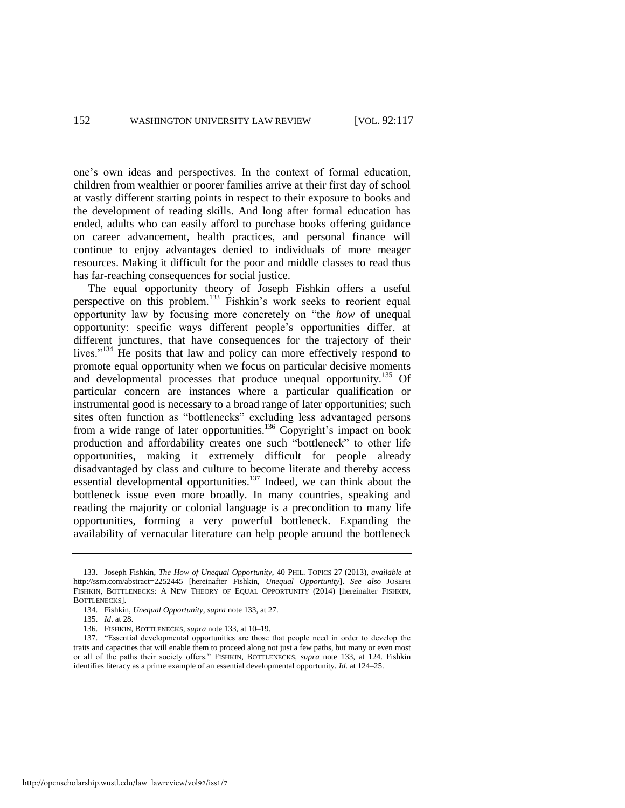one's own ideas and perspectives. In the context of formal education, children from wealthier or poorer families arrive at their first day of school at vastly different starting points in respect to their exposure to books and the development of reading skills. And long after formal education has ended, adults who can easily afford to purchase books offering guidance on career advancement, health practices, and personal finance will continue to enjoy advantages denied to individuals of more meager resources. Making it difficult for the poor and middle classes to read thus has far-reaching consequences for social justice.

<span id="page-36-0"></span>The equal opportunity theory of Joseph Fishkin offers a useful perspective on this problem.<sup>133</sup> Fishkin's work seeks to reorient equal opportunity law by focusing more concretely on "the *how* of unequal opportunity: specific ways different people's opportunities differ, at different junctures, that have consequences for the trajectory of their lives."<sup>134</sup> He posits that law and policy can more effectively respond to promote equal opportunity when we focus on particular decisive moments and developmental processes that produce unequal opportunity.<sup>135</sup> Of particular concern are instances where a particular qualification or instrumental good is necessary to a broad range of later opportunities; such sites often function as "bottlenecks" excluding less advantaged persons from a wide range of later opportunities.<sup>136</sup> Copyright's impact on book production and affordability creates one such "bottleneck" to other life opportunities, making it extremely difficult for people already disadvantaged by class and culture to become literate and thereby access essential developmental opportunities.<sup>137</sup> Indeed, we can think about the bottleneck issue even more broadly. In many countries, speaking and reading the majority or colonial language is a precondition to many life opportunities, forming a very powerful bottleneck. Expanding the availability of vernacular literature can help people around the bottleneck

<sup>133.</sup> Joseph Fishkin, *The How of Unequal Opportunity*, 40 PHIL. TOPICS 27 (2013), *available at* http://ssrn.com/abstract=2252445 [hereinafter Fishkin, *Unequal Opportunity*]. *See also* JOSEPH FISHKIN, BOTTLENECKS: A NEW THEORY OF EQUAL OPPORTUNITY (2014) [hereinafter FISHKIN, BOTTLENECKS].

<sup>134.</sup> Fishkin, *Unequal Opportunity*, *supra* not[e 133,](#page-36-0) at 27.

<sup>135.</sup> *Id*. at 28.

<sup>136.</sup> FISHKIN, BOTTLENECKS, *supra* not[e 133,](#page-36-0) at 10–19.

<sup>137. &</sup>quot;Essential developmental opportunities are those that people need in order to develop the traits and capacities that will enable them to proceed along not just a few paths, but many or even most or all of the paths their society offers." FISHKIN, BOTTLENECKS, *supra* note [133,](#page-36-0) at 124. Fishkin identifies literacy as a prime example of an essential developmental opportunity. *Id*. at 124–25.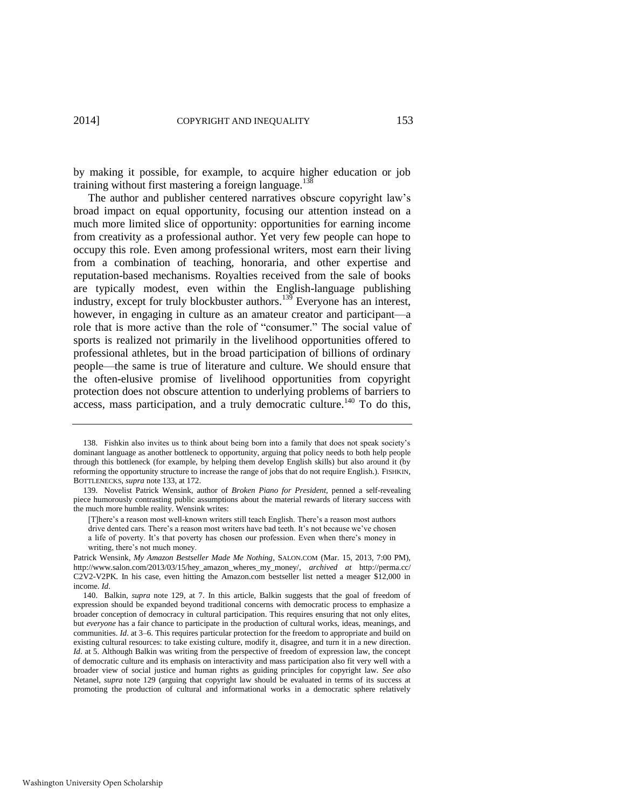by making it possible, for example, to acquire higher education or job training without first mastering a foreign language.<sup>138</sup>

The author and publisher centered narratives obscure copyright law's broad impact on equal opportunity, focusing our attention instead on a much more limited slice of opportunity: opportunities for earning income from creativity as a professional author. Yet very few people can hope to occupy this role. Even among professional writers, most earn their living from a combination of teaching, honoraria, and other expertise and reputation-based mechanisms. Royalties received from the sale of books are typically modest, even within the English-language publishing industry, except for truly blockbuster authors.<sup>139</sup> Everyone has an interest, however, in engaging in culture as an amateur creator and participant—a role that is more active than the role of "consumer." The social value of sports is realized not primarily in the livelihood opportunities offered to professional athletes, but in the broad participation of billions of ordinary people—the same is true of literature and culture. We should ensure that the often-elusive promise of livelihood opportunities from copyright protection does not obscure attention to underlying problems of barriers to access, mass participation, and a truly democratic culture.<sup>140</sup> To do this,

<sup>138.</sup> Fishkin also invites us to think about being born into a family that does not speak society's dominant language as another bottleneck to opportunity, arguing that policy needs to both help people through this bottleneck (for example, by helping them develop English skills) but also around it (by reforming the opportunity structure to increase the range of jobs that do not require English.). FISHKIN, BOTTLENECKS, *supra* not[e 133,](#page-36-0) at 172.

<sup>139.</sup> Novelist Patrick Wensink, author of *Broken Piano for President,* penned a self-revealing piece humorously contrasting public assumptions about the material rewards of literary success with the much more humble reality. Wensink writes:

<sup>[</sup>T]here's a reason most well-known writers still teach English. There's a reason most authors drive dented cars. There's a reason most writers have bad teeth. It's not because we've chosen a life of poverty. It's that poverty has chosen our profession. Even when there's money in writing, there's not much money.

Patrick Wensink, *My Amazon Bestseller Made Me Nothing*, SALON.COM (Mar. 15, 2013, 7:00 PM), http://www.salon.com/2013/03/15/hey\_amazon\_wheres\_my\_money/, *archived at* http://perma.cc/ C2V2-V2PK. In his case, even hitting the Amazon.com bestseller list netted a meager \$12,000 in income. *Id*.

<sup>140.</sup> Balkin, *supra* note [129,](#page-34-0) at 7. In this article, Balkin suggests that the goal of freedom of expression should be expanded beyond traditional concerns with democratic process to emphasize a broader conception of democracy in cultural participation. This requires ensuring that not only elites, but *everyone* has a fair chance to participate in the production of cultural works, ideas, meanings, and communities. *Id*. at 3–6. This requires particular protection for the freedom to appropriate and build on existing cultural resources: to take existing culture, modify it, disagree, and turn it in a new direction. *Id.* at 5. Although Balkin was writing from the perspective of freedom of expression law, the concept of democratic culture and its emphasis on interactivity and mass participation also fit very well with a broader view of social justice and human rights as guiding principles for copyright law. *See also*  Netanel, *supra* note [129](#page-34-0) (arguing that copyright law should be evaluated in terms of its success at promoting the production of cultural and informational works in a democratic sphere relatively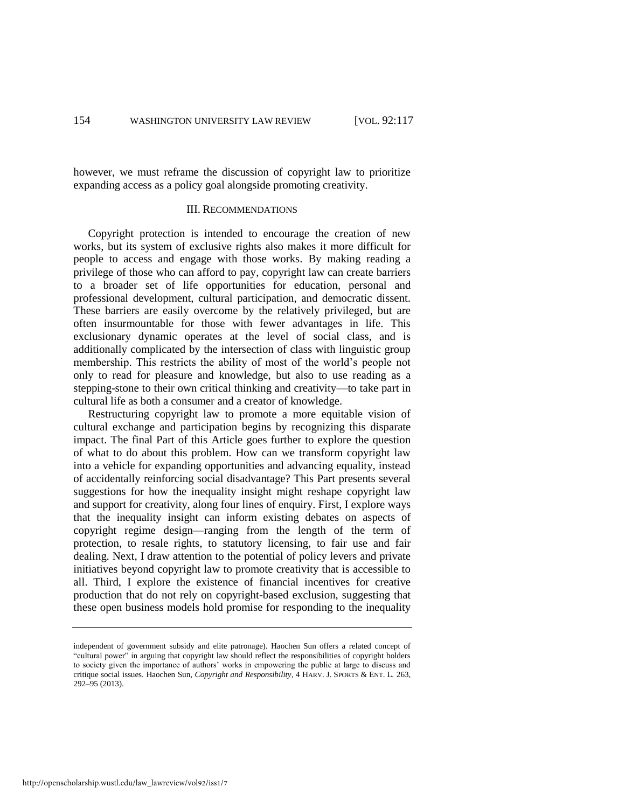however, we must reframe the discussion of copyright law to prioritize expanding access as a policy goal alongside promoting creativity.

# III. RECOMMENDATIONS

Copyright protection is intended to encourage the creation of new works, but its system of exclusive rights also makes it more difficult for people to access and engage with those works. By making reading a privilege of those who can afford to pay, copyright law can create barriers to a broader set of life opportunities for education, personal and professional development, cultural participation, and democratic dissent. These barriers are easily overcome by the relatively privileged, but are often insurmountable for those with fewer advantages in life. This exclusionary dynamic operates at the level of social class, and is additionally complicated by the intersection of class with linguistic group membership. This restricts the ability of most of the world's people not only to read for pleasure and knowledge, but also to use reading as a stepping-stone to their own critical thinking and creativity—to take part in cultural life as both a consumer and a creator of knowledge.

Restructuring copyright law to promote a more equitable vision of cultural exchange and participation begins by recognizing this disparate impact. The final Part of this Article goes further to explore the question of what to do about this problem. How can we transform copyright law into a vehicle for expanding opportunities and advancing equality, instead of accidentally reinforcing social disadvantage? This Part presents several suggestions for how the inequality insight might reshape copyright law and support for creativity, along four lines of enquiry. First, I explore ways that the inequality insight can inform existing debates on aspects of copyright regime design—ranging from the length of the term of protection, to resale rights, to statutory licensing, to fair use and fair dealing. Next, I draw attention to the potential of policy levers and private initiatives beyond copyright law to promote creativity that is accessible to all. Third, I explore the existence of financial incentives for creative production that do not rely on copyright-based exclusion, suggesting that these open business models hold promise for responding to the inequality

independent of government subsidy and elite patronage). Haochen Sun offers a related concept of "cultural power" in arguing that copyright law should reflect the responsibilities of copyright holders to society given the importance of authors' works in empowering the public at large to discuss and critique social issues. Haochen Sun, *Copyright and Responsibility*, 4 HARV. J. SPORTS & ENT. L. 263, 292–95 (2013).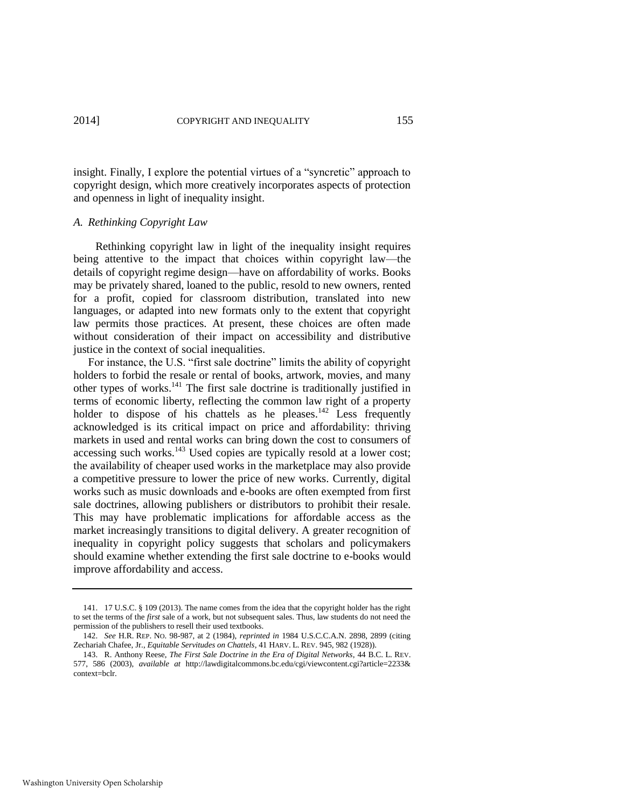insight. Finally, I explore the potential virtues of a "syncretic" approach to copyright design, which more creatively incorporates aspects of protection and openness in light of inequality insight.

### *A. Rethinking Copyright Law*

 Rethinking copyright law in light of the inequality insight requires being attentive to the impact that choices within copyright law—the details of copyright regime design—have on affordability of works. Books may be privately shared, loaned to the public, resold to new owners, rented for a profit, copied for classroom distribution, translated into new languages, or adapted into new formats only to the extent that copyright law permits those practices. At present, these choices are often made without consideration of their impact on accessibility and distributive justice in the context of social inequalities.

For instance, the U.S. "first sale doctrine" limits the ability of copyright holders to forbid the resale or rental of books, artwork, movies, and many other types of works.<sup>141</sup> The first sale doctrine is traditionally justified in terms of economic liberty, reflecting the common law right of a property holder to dispose of his chattels as he pleases.<sup>142</sup> Less frequently acknowledged is its critical impact on price and affordability: thriving markets in used and rental works can bring down the cost to consumers of accessing such works.<sup>143</sup> Used copies are typically resold at a lower cost; the availability of cheaper used works in the marketplace may also provide a competitive pressure to lower the price of new works. Currently, digital works such as music downloads and e-books are often exempted from first sale doctrines, allowing publishers or distributors to prohibit their resale. This may have problematic implications for affordable access as the market increasingly transitions to digital delivery. A greater recognition of inequality in copyright policy suggests that scholars and policymakers should examine whether extending the first sale doctrine to e-books would improve affordability and access.

<sup>141. 17</sup> U.S.C. § 109 (2013). The name comes from the idea that the copyright holder has the right to set the terms of the *first* sale of a work, but not subsequent sales. Thus, law students do not need the permission of the publishers to resell their used textbooks.

<sup>142.</sup> *See* H.R. REP. NO. 98-987, at 2 (1984), *reprinted in* 1984 U.S.C.C.A.N. 2898, 2899 (citing Zechariah Chafee, Jr., *Equitable Servitudes on Chattels*, 41 HARV. L. REV. 945, 982 (1928)).

<sup>143.</sup> R. Anthony Reese, *The First Sale Doctrine in the Era of Digital Networks*, 44 B.C. L. REV. 577, 586 (2003), *available at* http://lawdigitalcommons.bc.edu/cgi/viewcontent.cgi?article=2233& context=bclr.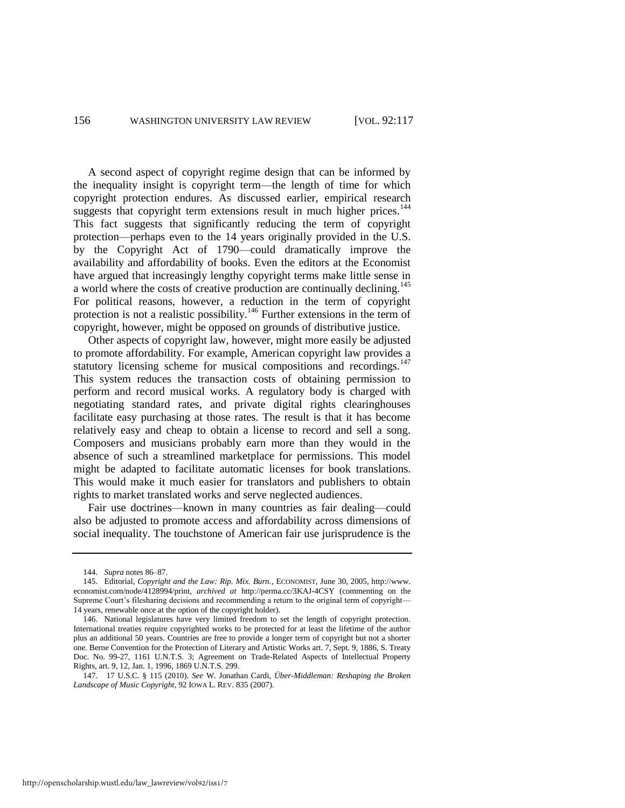A second aspect of copyright regime design that can be informed by the inequality insight is copyright term—the length of time for which copyright protection endures. As discussed earlier, empirical research suggests that copyright term extensions result in much higher prices.<sup>144</sup> This fact suggests that significantly reducing the term of copyright protection—perhaps even to the 14 years originally provided in the U.S. by the Copyright Act of 1790—could dramatically improve the availability and affordability of books. Even the editors at the Economist have argued that increasingly lengthy copyright terms make little sense in a world where the costs of creative production are continually declining.<sup>145</sup> For political reasons, however, a reduction in the term of copyright protection is not a realistic possibility.<sup>146</sup> Further extensions in the term of copyright, however, might be opposed on grounds of distributive justice.

Other aspects of copyright law, however, might more easily be adjusted to promote affordability. For example, American copyright law provides a statutory licensing scheme for musical compositions and recordings.<sup>147</sup> This system reduces the transaction costs of obtaining permission to perform and record musical works. A regulatory body is charged with negotiating standard rates, and private digital rights clearinghouses facilitate easy purchasing at those rates. The result is that it has become relatively easy and cheap to obtain a license to record and sell a song. Composers and musicians probably earn more than they would in the absence of such a streamlined marketplace for permissions. This model might be adapted to facilitate automatic licenses for book translations. This would make it much easier for translators and publishers to obtain rights to market translated works and serve neglected audiences.

Fair use doctrines—known in many countries as fair dealing—could also be adjusted to promote access and affordability across dimensions of social inequality. The touchstone of American fair use jurisprudence is the

<sup>144.</sup> *Supra* note[s 86](#page-22-0)[–87.](#page-22-1)

<sup>145.</sup> Editorial, *Copyright and the Law: Rip. Mix. Burn.*, ECONOMIST, June 30, 2005, http://www. economist.com/node/4128994/print, *archived at* http://perma.cc/3KAJ-4CSY (commenting on the Supreme Court's filesharing decisions and recommending a return to the original term of copyright— 14 years, renewable once at the option of the copyright holder).

<sup>146.</sup> National legislatures have very limited freedom to set the length of copyright protection. International treaties require copyrighted works to be protected for at least the lifetime of the author plus an additional 50 years. Countries are free to provide a longer term of copyright but not a shorter one. Berne Convention for the Protection of Literary and Artistic Works art. 7, Sept. 9, 1886, S. Treaty Doc. No. 99-27, 1161 U.N.T.S. 3; Agreement on Trade-Related Aspects of Intellectual Property Rights, art. 9, 12, Jan. 1, 1996, 1869 U.N.T.S. 299.

<sup>147. 17</sup> U.S.C. § 115 (2010). *See* W. Jonathan Cardi, *Über-Middleman: Reshaping the Broken Landscape of Music Copyright*, 92 IOWA L. REV. 835 (2007).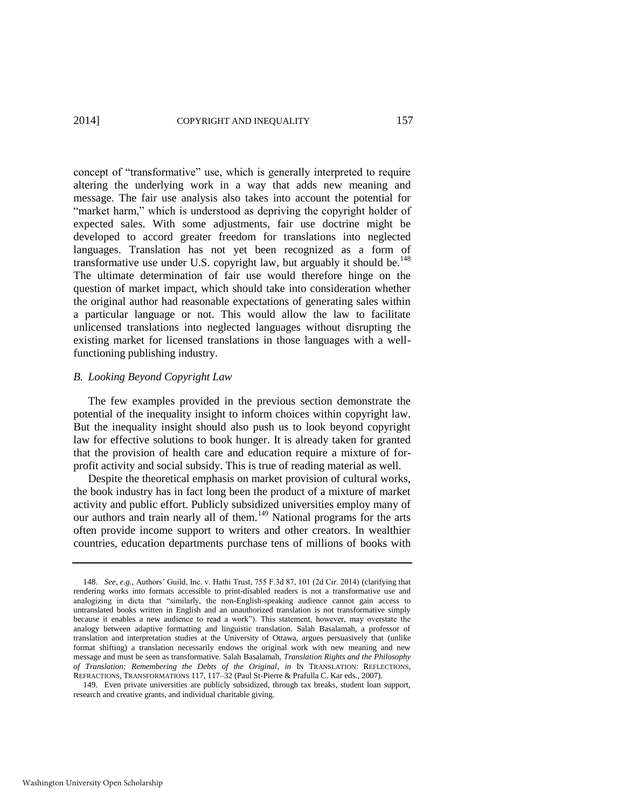concept of "transformative" use, which is generally interpreted to require altering the underlying work in a way that adds new meaning and message. The fair use analysis also takes into account the potential for "market harm," which is understood as depriving the copyright holder of expected sales. With some adjustments, fair use doctrine might be developed to accord greater freedom for translations into neglected languages. Translation has not yet been recognized as a form of transformative use under U.S. copyright law, but arguably it should be. $148$ The ultimate determination of fair use would therefore hinge on the question of market impact, which should take into consideration whether the original author had reasonable expectations of generating sales within a particular language or not. This would allow the law to facilitate unlicensed translations into neglected languages without disrupting the existing market for licensed translations in those languages with a wellfunctioning publishing industry.

# *B. Looking Beyond Copyright Law*

The few examples provided in the previous section demonstrate the potential of the inequality insight to inform choices within copyright law. But the inequality insight should also push us to look beyond copyright law for effective solutions to book hunger. It is already taken for granted that the provision of health care and education require a mixture of forprofit activity and social subsidy. This is true of reading material as well.

Despite the theoretical emphasis on market provision of cultural works, the book industry has in fact long been the product of a mixture of market activity and public effort. Publicly subsidized universities employ many of our authors and train nearly all of them.<sup>149</sup> National programs for the arts often provide income support to writers and other creators. In wealthier countries, education departments purchase tens of millions of books with

<sup>148.</sup> *See, e.g.*, Authors' Guild, Inc. v. Hathi Trust, 755 F.3d 87, 101 (2d Cir. 2014) (clarifying that rendering works into formats accessible to print-disabled readers is not a transformative use and analogizing in dicta that "similarly, the non-English-speaking audience cannot gain access to untranslated books written in English and an unauthorized translation is not transformative simply because it enables a new audience to read a work"). This statement, however, may overstate the analogy between adaptive formatting and linguistic translation. Salah Basalamah, a professor of translation and interpretation studies at the University of Ottawa, argues persuasively that (unlike format shifting) a translation necessarily endows the original work with new meaning and new message and must be seen as transformative. Salah Basalamah, *Translation Rights and the Philosophy of Translation: Remembering the Debts of the Original*, *in* IN TRANSLATION: REFLECTIONS, REFRACTIONS, TRANSFORMATIONS 117, 117–32 (Paul St-Pierre & Prafulla C. Kar eds., 2007).

<sup>149.</sup> Even private universities are publicly subsidized, through tax breaks, student loan support, research and creative grants, and individual charitable giving.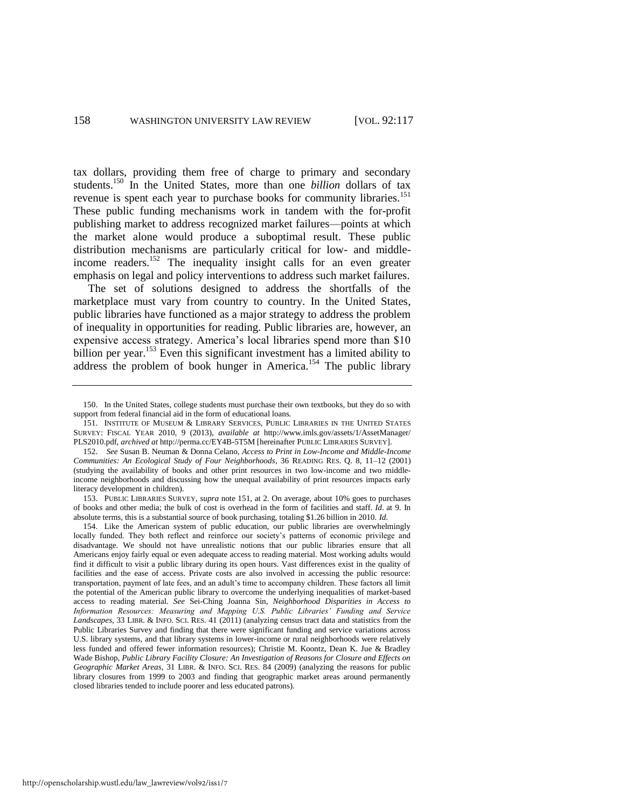<span id="page-42-0"></span>tax dollars, providing them free of charge to primary and secondary students.<sup>150</sup> In the United States, more than one *billion* dollars of tax revenue is spent each year to purchase books for community libraries.<sup>151</sup> These public funding mechanisms work in tandem with the for-profit publishing market to address recognized market failures—points at which the market alone would produce a suboptimal result. These public distribution mechanisms are particularly critical for low- and middleincome readers.<sup>152</sup> The inequality insight calls for an even greater emphasis on legal and policy interventions to address such market failures.

The set of solutions designed to address the shortfalls of the marketplace must vary from country to country. In the United States, public libraries have functioned as a major strategy to address the problem of inequality in opportunities for reading. Public libraries are, however, an expensive access strategy. America's local libraries spend more than \$10 billion per year.<sup>153</sup> Even this significant investment has a limited ability to address the problem of book hunger in America.<sup>154</sup> The public library

153. PUBLIC LIBRARIES SURVEY, *supra* note [151,](#page-42-0) at 2. On average, about 10% goes to purchases of books and other media; the bulk of cost is overhead in the form of facilities and staff. *Id*. at 9. In absolute terms, this is a substantial source of book purchasing, totaling \$1.26 billion in 2010. *Id*.

154. Like the American system of public education, our public libraries are overwhelmingly locally funded. They both reflect and reinforce our society's patterns of economic privilege and disadvantage. We should not have unrealistic notions that our public libraries ensure that all Americans enjoy fairly equal or even adequate access to reading material. Most working adults would find it difficult to visit a public library during its open hours. Vast differences exist in the quality of facilities and the ease of access. Private costs are also involved in accessing the public resource: transportation, payment of late fees, and an adult's time to accompany children. These factors all limit the potential of the American public library to overcome the underlying inequalities of market-based access to reading material. *See* Sei-Ching Joanna Sin, *Neighborhood Disparities in Access to Information Resources: Measuring and Mapping U.S. Public Libraries' Funding and Service Landscapes*, 33 LIBR. & INFO. SCI. RES. 41 (2011) (analyzing census tract data and statistics from the Public Libraries Survey and finding that there were significant funding and service variations across U.S. library systems, and that library systems in lower-income or rural neighborhoods were relatively less funded and offered fewer information resources); Christie M. Koontz, Dean K. Jue & Bradley Wade Bishop, *Public Library Facility Closure: An Investigation of Reasons for Closure and Effects on Geographic Market Areas*, 31 LIBR. & INFO. SCI. RES. 84 (2009) (analyzing the reasons for public library closures from 1999 to 2003 and finding that geographic market areas around permanently closed libraries tended to include poorer and less educated patrons).

<sup>150.</sup> In the United States, college students must purchase their own textbooks, but they do so with support from federal financial aid in the form of educational loans.

<sup>151.</sup> INSTITUTE OF MUSEUM & LIBRARY SERVICES, PUBLIC LIBRARIES IN THE UNITED STATES SURVEY: FISCAL YEAR 2010, 9 (2013), *available at* http://www.imls.gov/assets/1/AssetManager/ PLS2010.pdf, *archived at* http://perma.cc/EY4B-5T5M [hereinafter PUBLIC LIBRARIES SURVEY].

<sup>152.</sup> *See* Susan B. Neuman & Donna Celano, *Access to Print in Low-Income and Middle-Income Communities: An Ecological Study of Four Neighborhoods*, 36 READING RES. Q. 8, 11–12 (2001) (studying the availability of books and other print resources in two low-income and two middleincome neighborhoods and discussing how the unequal availability of print resources impacts early literacy development in children).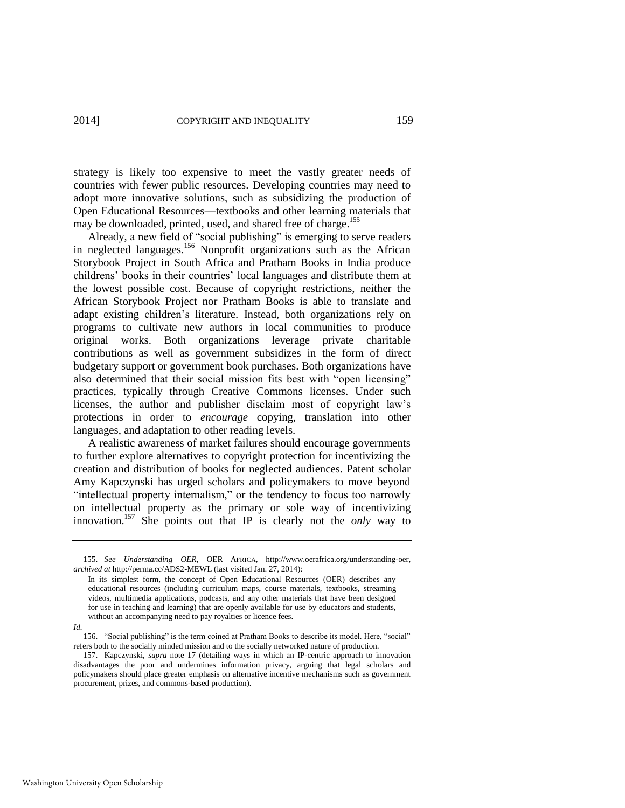strategy is likely too expensive to meet the vastly greater needs of countries with fewer public resources. Developing countries may need to adopt more innovative solutions, such as subsidizing the production of Open Educational Resources—textbooks and other learning materials that may be downloaded, printed, used, and shared free of charge.<sup>155</sup>

<span id="page-43-0"></span>Already, a new field of "social publishing" is emerging to serve readers in neglected languages.<sup>156</sup> Nonprofit organizations such as the African Storybook Project in South Africa and Pratham Books in India produce childrens' books in their countries' local languages and distribute them at the lowest possible cost. Because of copyright restrictions, neither the African Storybook Project nor Pratham Books is able to translate and adapt existing children's literature. Instead, both organizations rely on programs to cultivate new authors in local communities to produce original works. Both organizations leverage private charitable contributions as well as government subsidizes in the form of direct budgetary support or government book purchases. Both organizations have also determined that their social mission fits best with "open licensing" practices, typically through Creative Commons licenses. Under such licenses, the author and publisher disclaim most of copyright law's protections in order to *encourage* copying, translation into other languages, and adaptation to other reading levels.

A realistic awareness of market failures should encourage governments to further explore alternatives to copyright protection for incentivizing the creation and distribution of books for neglected audiences. Patent scholar Amy Kapczynski has urged scholars and policymakers to move beyond "intellectual property internalism," or the tendency to focus too narrowly on intellectual property as the primary or sole way of incentivizing innovation.<sup>157</sup> She points out that IP is clearly not the *only* way to

<sup>155.</sup> *See Understanding OER*, OER AFRICA, http://www.oerafrica.org/understanding-oer, *archived at* http://perma.cc/ADS2-MEWL (last visited Jan. 27, 2014):

In its simplest form, the concept of Open Educational Resources (OER) describes any educational resources (including curriculum maps, course materials, textbooks, streaming videos, multimedia applications, podcasts, and any other materials that have been designed for use in teaching and learning) that are openly available for use by educators and students, without an accompanying need to pay royalties or licence fees.

*Id.*

<sup>156. &</sup>quot;Social publishing" is the term coined at Pratham Books to describe its model. Here, "social" refers both to the socially minded mission and to the socially networked nature of production.

<sup>157.</sup> Kapczynski, *supra* note [17](#page-5-1) (detailing ways in which an IP-centric approach to innovation disadvantages the poor and undermines information privacy, arguing that legal scholars and policymakers should place greater emphasis on alternative incentive mechanisms such as government procurement, prizes, and commons-based production).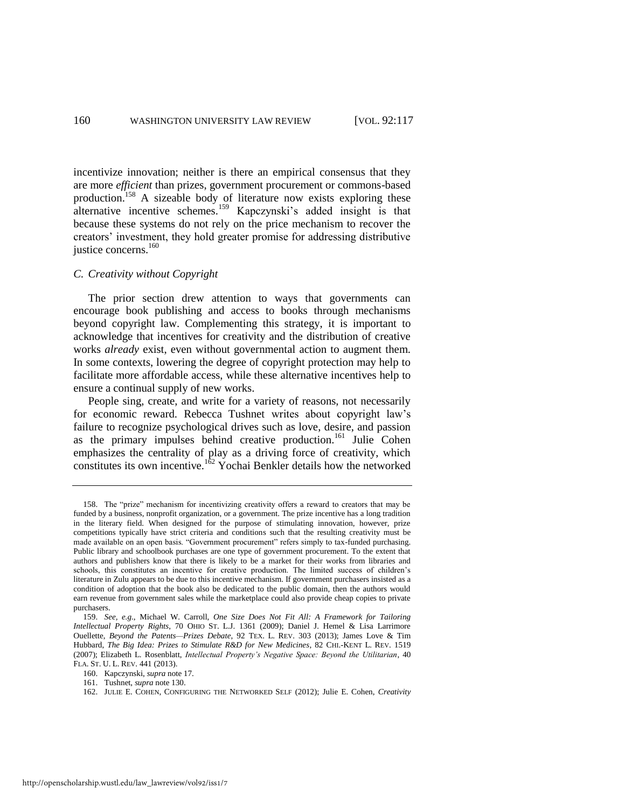incentivize innovation; neither is there an empirical consensus that they are more *efficient* than prizes, government procurement or commons-based production.<sup>158</sup> A sizeable body of literature now exists exploring these alternative incentive schemes.<sup>159</sup> Kapczynski's added insight is that because these systems do not rely on the price mechanism to recover the creators' investment, they hold greater promise for addressing distributive justice concerns.<sup>160</sup>

# *C. Creativity without Copyright*

The prior section drew attention to ways that governments can encourage book publishing and access to books through mechanisms beyond copyright law. Complementing this strategy, it is important to acknowledge that incentives for creativity and the distribution of creative works *already* exist, even without governmental action to augment them. In some contexts, lowering the degree of copyright protection may help to facilitate more affordable access, while these alternative incentives help to ensure a continual supply of new works.

People sing, create, and write for a variety of reasons, not necessarily for economic reward. Rebecca Tushnet writes about copyright law's failure to recognize psychological drives such as love, desire, and passion as the primary impulses behind creative production.<sup>161</sup> Julie Cohen emphasizes the centrality of play as a driving force of creativity, which constitutes its own incentive.<sup>162</sup> Yochai Benkler details how the networked

<sup>158.</sup> The "prize" mechanism for incentivizing creativity offers a reward to creators that may be funded by a business, nonprofit organization, or a government. The prize incentive has a long tradition in the literary field. When designed for the purpose of stimulating innovation, however, prize competitions typically have strict criteria and conditions such that the resulting creativity must be made available on an open basis. "Government procurement" refers simply to tax-funded purchasing. Public library and schoolbook purchases are one type of government procurement. To the extent that authors and publishers know that there is likely to be a market for their works from libraries and schools, this constitutes an incentive for creative production. The limited success of children's literature in Zulu appears to be due to this incentive mechanism. If government purchasers insisted as a condition of adoption that the book also be dedicated to the public domain, then the authors would earn revenue from government sales while the marketplace could also provide cheap copies to private purchasers.

<sup>159.</sup> *See, e.g.*, Michael W. Carroll, *One Size Does Not Fit All: A Framework for Tailoring Intellectual Property Rights*, 70 OHIO ST. L.J. 1361 (2009); Daniel J. Hemel & Lisa Larrimore Ouellette, *Beyond the Patents—Prizes Debate*, 92 TEX. L. REV. 303 (2013); James Love & Tim Hubbard, *The Big Idea: Prizes to Stimulate R&D for New Medicines*, 82 CHI.-KENT L. REV. 1519 (2007); Elizabeth L. Rosenblatt, *Intellectual Property's Negative Space: Beyond the Utilitarian*, 40 FLA. ST. U. L. REV. 441 (2013).

<sup>160.</sup> Kapczynski, *supra* not[e 17.](#page-5-1) 

<sup>161.</sup> Tushnet, *supra* not[e 130.](#page-34-1)

<sup>162.</sup> JULIE E. COHEN, CONFIGURING THE NETWORKED SELF (2012); Julie E. Cohen, *Creativity*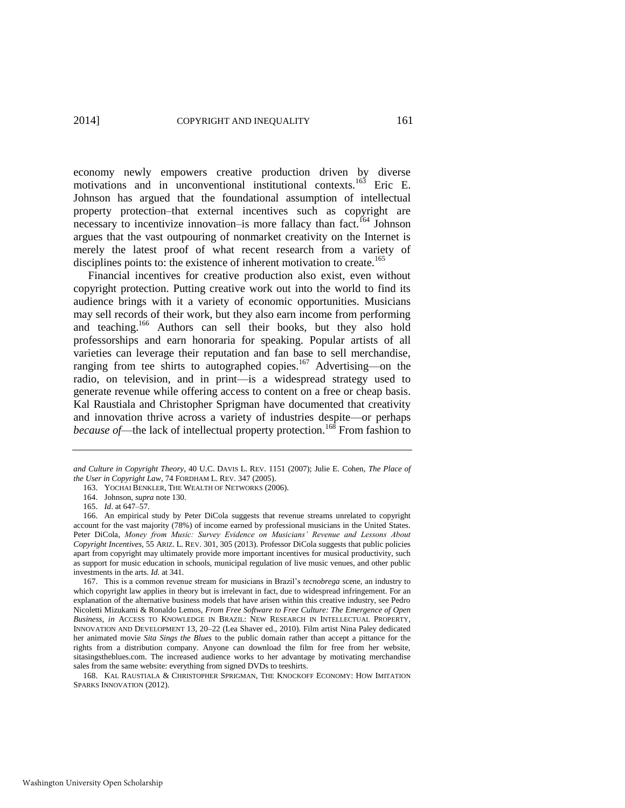economy newly empowers creative production driven by diverse motivations and in unconventional institutional contexts.<sup>163</sup> Eric E. Johnson has argued that the foundational assumption of intellectual property protection–that external incentives such as copyright are necessary to incentivize innovation–is more fallacy than fact.<sup>164</sup> Johnson argues that the vast outpouring of nonmarket creativity on the Internet is merely the latest proof of what recent research from a variety of disciplines points to: the existence of inherent motivation to create.<sup>165</sup>

<span id="page-45-0"></span>Financial incentives for creative production also exist, even without copyright protection. Putting creative work out into the world to find its audience brings with it a variety of economic opportunities. Musicians may sell records of their work, but they also earn income from performing and teaching.<sup>166</sup> Authors can sell their books, but they also hold professorships and earn honoraria for speaking. Popular artists of all varieties can leverage their reputation and fan base to sell merchandise, ranging from tee shirts to autographed copies.<sup>167</sup> Advertising—on the radio, on television, and in print—is a widespread strategy used to generate revenue while offering access to content on a free or cheap basis. Kal Raustiala and Christopher Sprigman have documented that creativity and innovation thrive across a variety of industries despite—or perhaps *because of*—the lack of intellectual property protection.<sup>168</sup> From fashion to

*and Culture in Copyright Theory*, 40 U.C. DAVIS L. REV. 1151 (2007); Julie E. Cohen, *The Place of the User in Copyright Law*, 74 FORDHAM L. REV. 347 (2005).

<sup>163.</sup> YOCHAI BENKLER, THE WEALTH OF NETWORKS (2006).

<sup>164.</sup> Johnson, *supra* not[e 130.](#page-34-1) 

<sup>165.</sup> *Id*. at 647–57.

<sup>166.</sup> An empirical study by Peter DiCola suggests that revenue streams unrelated to copyright account for the vast majority (78%) of income earned by professional musicians in the United States. Peter DiCola, *Money from Music: Survey Evidence on Musicians' Revenue and Lessons About Copyright Incentives*, 55 ARIZ. L. REV. 301, 305 (2013). Professor DiCola suggests that public policies apart from copyright may ultimately provide more important incentives for musical productivity, such as support for music education in schools, municipal regulation of live music venues, and other public investments in the arts. *Id.* at 341.

<sup>167.</sup> This is a common revenue stream for musicians in Brazil's *tecnobrega* scene, an industry to which copyright law applies in theory but is irrelevant in fact, due to widespread infringement. For an explanation of the alternative business models that have arisen within this creative industry, see Pedro Nicoletti Mizukami & Ronaldo Lemos, *From Free Software to Free Culture: The Emergence of Open Business*, *in* ACCESS TO KNOWLEDGE IN BRAZIL: NEW RESEARCH IN INTELLECTUAL PROPERTY, INNOVATION AND DEVELOPMENT 13, 20–22 (Lea Shaver ed., 2010). Film artist Nina Paley dedicated her animated movie *Sita Sings the Blues* to the public domain rather than accept a pittance for the rights from a distribution company. Anyone can download the film for free from her website, sitasingstheblues.com. The increased audience works to her advantage by motivating merchandise sales from the same website: everything from signed DVDs to teeshirts.

<sup>168.</sup> KAL RAUSTIALA & CHRISTOPHER SPRIGMAN, THE KNOCKOFF ECONOMY: HOW IMITATION SPARKS INNOVATION (2012).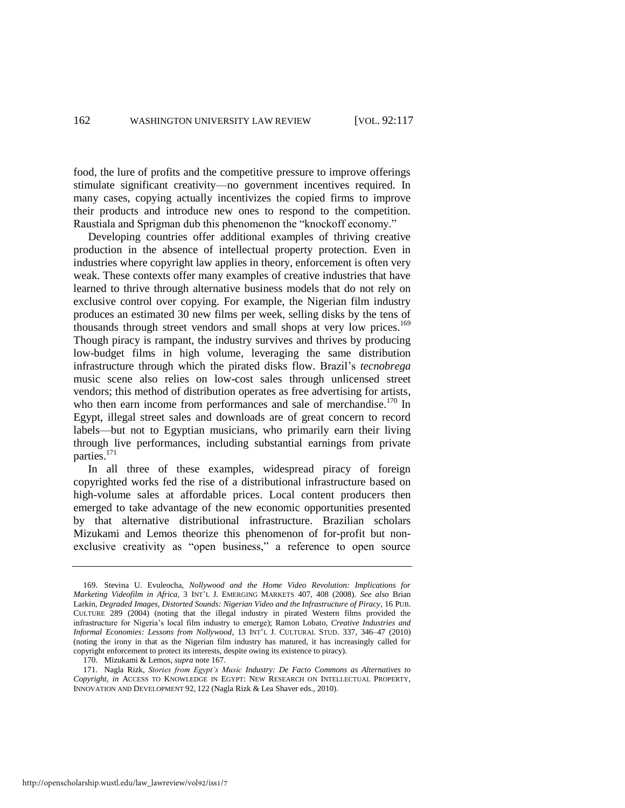food, the lure of profits and the competitive pressure to improve offerings stimulate significant creativity—no government incentives required. In many cases, copying actually incentivizes the copied firms to improve their products and introduce new ones to respond to the competition. Raustiala and Sprigman dub this phenomenon the "knockoff economy."

Developing countries offer additional examples of thriving creative production in the absence of intellectual property protection. Even in industries where copyright law applies in theory, enforcement is often very weak. These contexts offer many examples of creative industries that have learned to thrive through alternative business models that do not rely on exclusive control over copying. For example, the Nigerian film industry produces an estimated 30 new films per week, selling disks by the tens of thousands through street vendors and small shops at very low prices.<sup>169</sup> Though piracy is rampant, the industry survives and thrives by producing low-budget films in high volume, leveraging the same distribution infrastructure through which the pirated disks flow. Brazil's *tecnobrega*  music scene also relies on low-cost sales through unlicensed street vendors; this method of distribution operates as free advertising for artists, who then earn income from performances and sale of merchandise.<sup>170</sup> In Egypt, illegal street sales and downloads are of great concern to record labels—but not to Egyptian musicians, who primarily earn their living through live performances, including substantial earnings from private parties.<sup>171</sup>

In all three of these examples, widespread piracy of foreign copyrighted works fed the rise of a distributional infrastructure based on high-volume sales at affordable prices. Local content producers then emerged to take advantage of the new economic opportunities presented by that alternative distributional infrastructure. Brazilian scholars Mizukami and Lemos theorize this phenomenon of for-profit but nonexclusive creativity as "open business," a reference to open source

<sup>169.</sup> Stevina U. Evuleocha, *Nollywood and the Home Video Revolution: Implications for Marketing Videofilm in Africa*, 3 INT'L J. EMERGING MARKETS 407, 408 (2008). *See also* Brian Larkin, *Degraded Images, Distorted Sounds: Nigerian Video and the Infrastructure of Piracy*, 16 PUB. CULTURE 289 (2004) (noting that the illegal industry in pirated Western films provided the infrastructure for Nigeria's local film industry to emerge); Ramon Lobato, *Creative Industries and Informal Economies: Lessons from Nollywood*, 13 INT'L J. CULTURAL STUD. 337, 346–47 (2010) (noting the irony in that as the Nigerian film industry has matured, it has increasingly called for copyright enforcement to protect its interests, despite owing its existence to piracy).

<sup>170.</sup> Mizukami & Lemos, *supra* not[e 167.](#page-45-0)

<sup>171.</sup> Nagla Rizk, *Stories from Egypt's Music Industry: De Facto Commons as Alternatives to Copyright*, *in* ACCESS TO KNOWLEDGE IN EGYPT: NEW RESEARCH ON INTELLECTUAL PROPERTY, INNOVATION AND DEVELOPMENT 92, 122 (Nagla Rizk & Lea Shaver eds., 2010).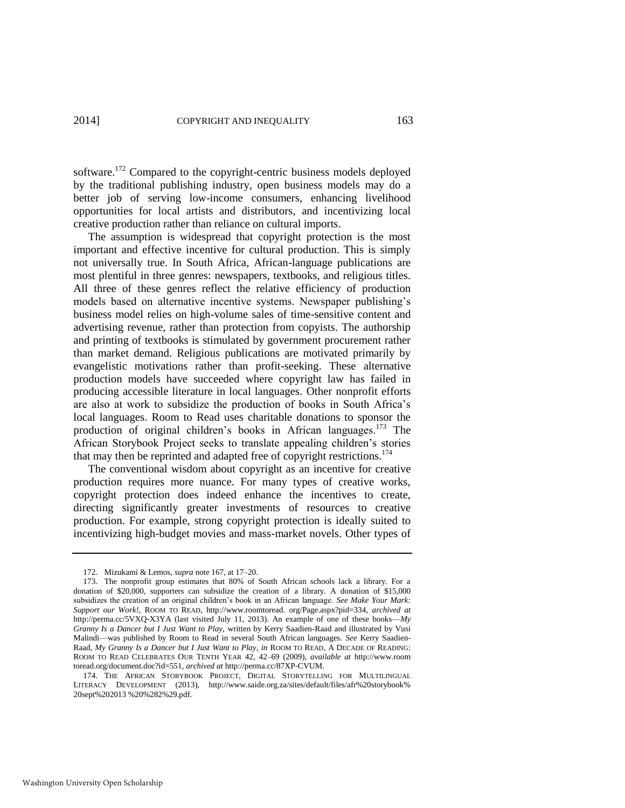software.<sup>172</sup> Compared to the copyright-centric business models deployed by the traditional publishing industry, open business models may do a better job of serving low-income consumers, enhancing livelihood opportunities for local artists and distributors, and incentivizing local creative production rather than reliance on cultural imports.

The assumption is widespread that copyright protection is the most important and effective incentive for cultural production. This is simply not universally true. In South Africa, African-language publications are most plentiful in three genres: newspapers, textbooks, and religious titles. All three of these genres reflect the relative efficiency of production models based on alternative incentive systems. Newspaper publishing's business model relies on high-volume sales of time-sensitive content and advertising revenue, rather than protection from copyists. The authorship and printing of textbooks is stimulated by government procurement rather than market demand. Religious publications are motivated primarily by evangelistic motivations rather than profit-seeking. These alternative production models have succeeded where copyright law has failed in producing accessible literature in local languages. Other nonprofit efforts are also at work to subsidize the production of books in South Africa's local languages. Room to Read uses charitable donations to sponsor the production of original children's books in African languages.<sup>173</sup> The African Storybook Project seeks to translate appealing children's stories that may then be reprinted and adapted free of copyright restrictions.<sup>174</sup>

The conventional wisdom about copyright as an incentive for creative production requires more nuance. For many types of creative works, copyright protection does indeed enhance the incentives to create, directing significantly greater investments of resources to creative production. For example, strong copyright protection is ideally suited to incentivizing high-budget movies and mass-market novels. Other types of

<sup>172.</sup> Mizukami & Lemos, *supra* not[e 167,](#page-45-0) at 17–20.

<sup>173.</sup> The nonprofit group estimates that 80% of South African schools lack a library. For a donation of \$20,000, supporters can subsidize the creation of a library. A donation of \$15,000 subsidizes the creation of an original children's book in an African language. *See Make Your Mark: Support our Work!*, ROOM TO READ, http://www.roomtoread. org/Page.aspx?pid=334, *archived at* http://perma.cc/5VXQ-X3YA (last visited July 11, 2013). An example of one of these books—*My Granny Is a Dancer but I Just Want to Play,* written by Kerry Saadien-Raad and illustrated by Vusi Malindi—was published by Room to Read in several South African languages. *See* Kerry Saadien-Raad, *My Granny Is a Dancer but I Just Want to Play*, *in* ROOM TO READ, A DECADE OF READING: ROOM TO READ CELEBRATES OUR TENTH YEAR 42, 42–69 (2009), *available at* http://www.room toread.org/document.doc?id=551, *archived at* http://perma.cc/87XP-CVUM.

<sup>174.</sup> THE AFRICAN STORYBOOK PROJECT, DIGITAL STORYTELLING FOR MULTILINGUAL LITERACY DEVELOPMENT (2013), http://www.saide.org.za/sites/default/files/afr%20storybook% 20sept%202013 %20%282%29.pdf.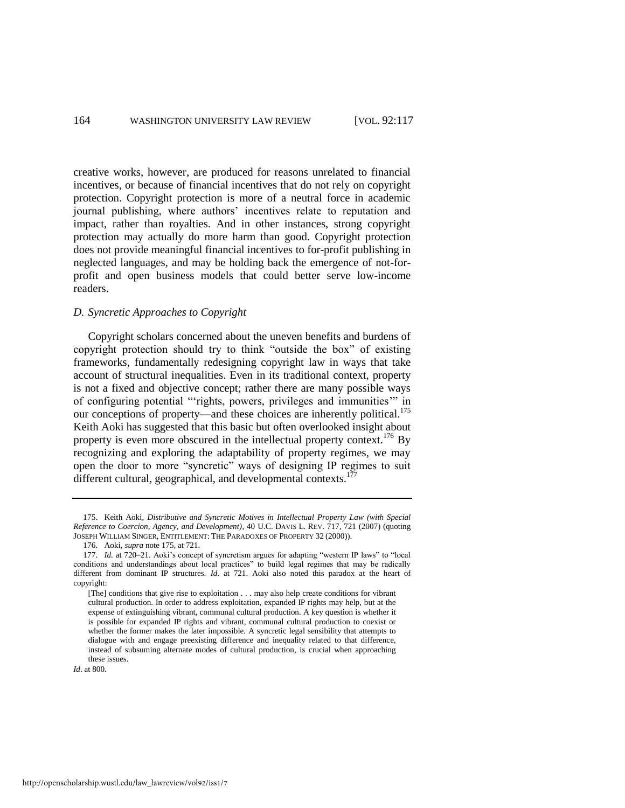creative works, however, are produced for reasons unrelated to financial incentives, or because of financial incentives that do not rely on copyright protection. Copyright protection is more of a neutral force in academic journal publishing, where authors' incentives relate to reputation and impact, rather than royalties. And in other instances, strong copyright protection may actually do more harm than good. Copyright protection does not provide meaningful financial incentives to for-profit publishing in neglected languages, and may be holding back the emergence of not-forprofit and open business models that could better serve low-income readers.

# *D. Syncretic Approaches to Copyright*

<span id="page-48-0"></span>Copyright scholars concerned about the uneven benefits and burdens of copyright protection should try to think "outside the box" of existing frameworks, fundamentally redesigning copyright law in ways that take account of structural inequalities. Even in its traditional context, property is not a fixed and objective concept; rather there are many possible ways of configuring potential "'rights, powers, privileges and immunities'" in our conceptions of property—and these choices are inherently political.<sup>175</sup> Keith Aoki has suggested that this basic but often overlooked insight about property is even more obscured in the intellectual property context.<sup>176</sup> By recognizing and exploring the adaptability of property regimes, we may open the door to more "syncretic" ways of designing IP regimes to suit different cultural, geographical, and developmental contexts.<sup>177</sup>

<sup>175.</sup> Keith Aoki, *Distributive and Syncretic Motives in Intellectual Property Law (with Special Reference to Coercion, Agency, and Development)*, 40 U.C. DAVIS L. REV. 717, 721 (2007) (quoting JOSEPH WILLIAM SINGER, ENTITLEMENT: THE PARADOXES OF PROPERTY 32 (2000)).

<sup>176.</sup> Aoki, *supra* not[e 175,](#page-48-0) at 721.

<sup>177.</sup> *Id.* at 720–21. Aoki's concept of syncretism argues for adapting "western IP laws" to "local conditions and understandings about local practices" to build legal regimes that may be radically different from dominant IP structures. *Id*. at 721. Aoki also noted this paradox at the heart of copyright:

<sup>[</sup>The] conditions that give rise to exploitation . . . may also help create conditions for vibrant cultural production. In order to address exploitation, expanded IP rights may help, but at the expense of extinguishing vibrant, communal cultural production. A key question is whether it is possible for expanded IP rights and vibrant, communal cultural production to coexist or whether the former makes the later impossible. A syncretic legal sensibility that attempts to dialogue with and engage preexisting difference and inequality related to that difference, instead of subsuming alternate modes of cultural production, is crucial when approaching these issues.

*Id*. at 800.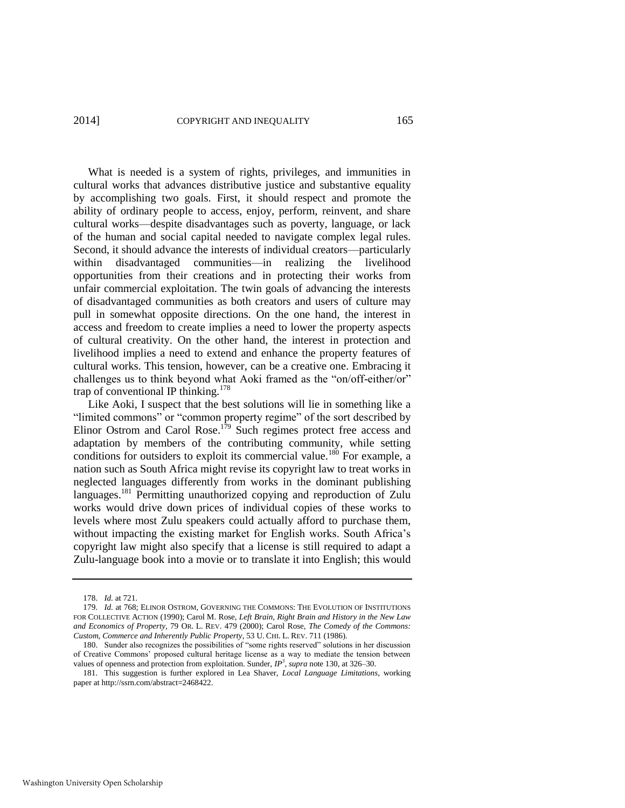What is needed is a system of rights, privileges, and immunities in cultural works that advances distributive justice and substantive equality by accomplishing two goals. First, it should respect and promote the ability of ordinary people to access, enjoy, perform, reinvent, and share cultural works—despite disadvantages such as poverty, language, or lack of the human and social capital needed to navigate complex legal rules. Second, it should advance the interests of individual creators—particularly within disadvantaged communities—in realizing the livelihood opportunities from their creations and in protecting their works from unfair commercial exploitation. The twin goals of advancing the interests of disadvantaged communities as both creators and users of culture may pull in somewhat opposite directions. On the one hand, the interest in access and freedom to create implies a need to lower the property aspects of cultural creativity. On the other hand, the interest in protection and livelihood implies a need to extend and enhance the property features of cultural works. This tension, however, can be a creative one. Embracing it challenges us to think beyond what Aoki framed as the "on/off-either/or" trap of conventional IP thinking.<sup>178</sup>

Like Aoki, I suspect that the best solutions will lie in something like a "limited commons" or "common property regime" of the sort described by Elinor Ostrom and Carol Rose.<sup>179</sup> Such regimes protect free access and adaptation by members of the contributing community, while setting conditions for outsiders to exploit its commercial value.<sup>180</sup> For example, a nation such as South Africa might revise its copyright law to treat works in neglected languages differently from works in the dominant publishing languages.<sup>181</sup> Permitting unauthorized copying and reproduction of Zulu works would drive down prices of individual copies of these works to levels where most Zulu speakers could actually afford to purchase them, without impacting the existing market for English works. South Africa's copyright law might also specify that a license is still required to adapt a Zulu-language book into a movie or to translate it into English; this would

<sup>178.</sup> *Id.* at 721.

<sup>179.</sup> *Id.* at 768; ELINOR OSTROM, GOVERNING THE COMMONS: THE EVOLUTION OF INSTITUTIONS FOR COLLECTIVE ACTION (1990); Carol M. Rose, *Left Brain, Right Brain and History in the New Law and Economics of Property*, 79 OR. L. REV. 479 (2000); Carol Rose, *The Comedy of the Commons: Custom, Commerce and Inherently Public Property*, 53 U. CHI. L. REV. 711 (1986).

<sup>180.</sup> Sunder also recognizes the possibilities of "some rights reserved" solutions in her discussion of Creative Commons' proposed cultural heritage license as a way to mediate the tension between values of openness and protection from exploitation. Sunder,  $IP^3$ , supra note [130,](#page-34-1) at 326–30.

<sup>181.</sup> This suggestion is further explored in Lea Shaver, *Local Language Limitations*, working paper at http://ssrn.com/abstract=2468422.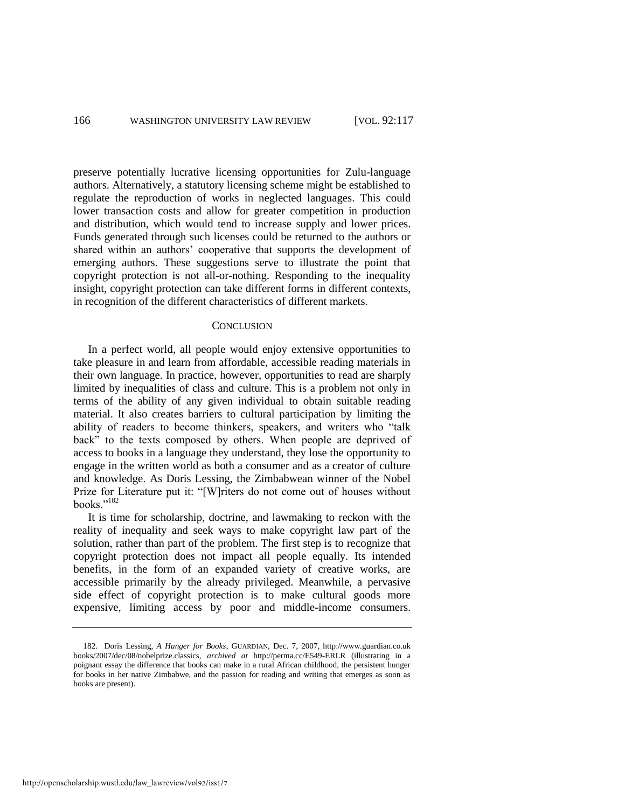preserve potentially lucrative licensing opportunities for Zulu-language authors. Alternatively, a statutory licensing scheme might be established to regulate the reproduction of works in neglected languages. This could lower transaction costs and allow for greater competition in production and distribution, which would tend to increase supply and lower prices. Funds generated through such licenses could be returned to the authors or shared within an authors' cooperative that supports the development of emerging authors. These suggestions serve to illustrate the point that copyright protection is not all-or-nothing. Responding to the inequality insight, copyright protection can take different forms in different contexts, in recognition of the different characteristics of different markets.

#### **CONCLUSION**

In a perfect world, all people would enjoy extensive opportunities to take pleasure in and learn from affordable, accessible reading materials in their own language. In practice, however, opportunities to read are sharply limited by inequalities of class and culture. This is a problem not only in terms of the ability of any given individual to obtain suitable reading material. It also creates barriers to cultural participation by limiting the ability of readers to become thinkers, speakers, and writers who "talk back" to the texts composed by others. When people are deprived of access to books in a language they understand, they lose the opportunity to engage in the written world as both a consumer and as a creator of culture and knowledge. As Doris Lessing, the Zimbabwean winner of the Nobel Prize for Literature put it: "[W]riters do not come out of houses without books."<sup>182</sup>

It is time for scholarship, doctrine, and lawmaking to reckon with the reality of inequality and seek ways to make copyright law part of the solution, rather than part of the problem. The first step is to recognize that copyright protection does not impact all people equally. Its intended benefits, in the form of an expanded variety of creative works, are accessible primarily by the already privileged. Meanwhile, a pervasive side effect of copyright protection is to make cultural goods more expensive, limiting access by poor and middle-income consumers.

<sup>182.</sup> Doris Lessing, *A Hunger for Books*, GUARDIAN, Dec. 7, 2007, http://www.guardian.co.uk books/2007/dec/08/nobelprize.classics, *archived at* http://perma.cc/E549-ERLR (illustrating in a poignant essay the difference that books can make in a rural African childhood, the persistent hunger for books in her native Zimbabwe, and the passion for reading and writing that emerges as soon as books are present).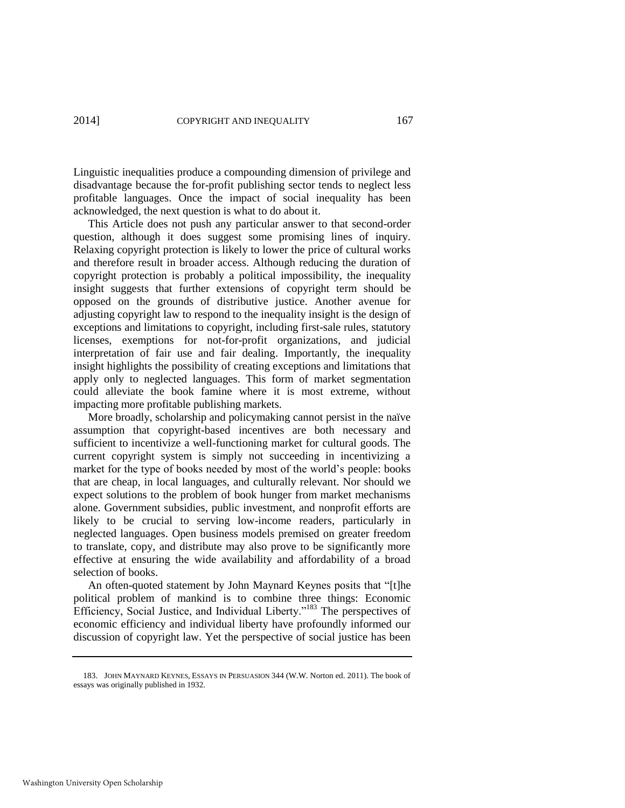Linguistic inequalities produce a compounding dimension of privilege and disadvantage because the for-profit publishing sector tends to neglect less profitable languages. Once the impact of social inequality has been acknowledged, the next question is what to do about it.

This Article does not push any particular answer to that second-order question, although it does suggest some promising lines of inquiry. Relaxing copyright protection is likely to lower the price of cultural works and therefore result in broader access. Although reducing the duration of copyright protection is probably a political impossibility, the inequality insight suggests that further extensions of copyright term should be opposed on the grounds of distributive justice. Another avenue for adjusting copyright law to respond to the inequality insight is the design of exceptions and limitations to copyright, including first-sale rules, statutory licenses, exemptions for not-for-profit organizations, and judicial interpretation of fair use and fair dealing. Importantly, the inequality insight highlights the possibility of creating exceptions and limitations that apply only to neglected languages. This form of market segmentation could alleviate the book famine where it is most extreme, without impacting more profitable publishing markets.

More broadly, scholarship and policymaking cannot persist in the naïve assumption that copyright-based incentives are both necessary and sufficient to incentivize a well-functioning market for cultural goods. The current copyright system is simply not succeeding in incentivizing a market for the type of books needed by most of the world's people: books that are cheap, in local languages, and culturally relevant. Nor should we expect solutions to the problem of book hunger from market mechanisms alone. Government subsidies, public investment, and nonprofit efforts are likely to be crucial to serving low-income readers, particularly in neglected languages. Open business models premised on greater freedom to translate, copy, and distribute may also prove to be significantly more effective at ensuring the wide availability and affordability of a broad selection of books.

An often-quoted statement by John Maynard Keynes posits that "[t]he political problem of mankind is to combine three things: Economic Efficiency, Social Justice, and Individual Liberty."<sup>183</sup> The perspectives of economic efficiency and individual liberty have profoundly informed our discussion of copyright law. Yet the perspective of social justice has been

<sup>183.</sup> JOHN MAYNARD KEYNES, ESSAYS IN PERSUASION 344 (W.W. Norton ed. 2011). The book of essays was originally published in 1932.